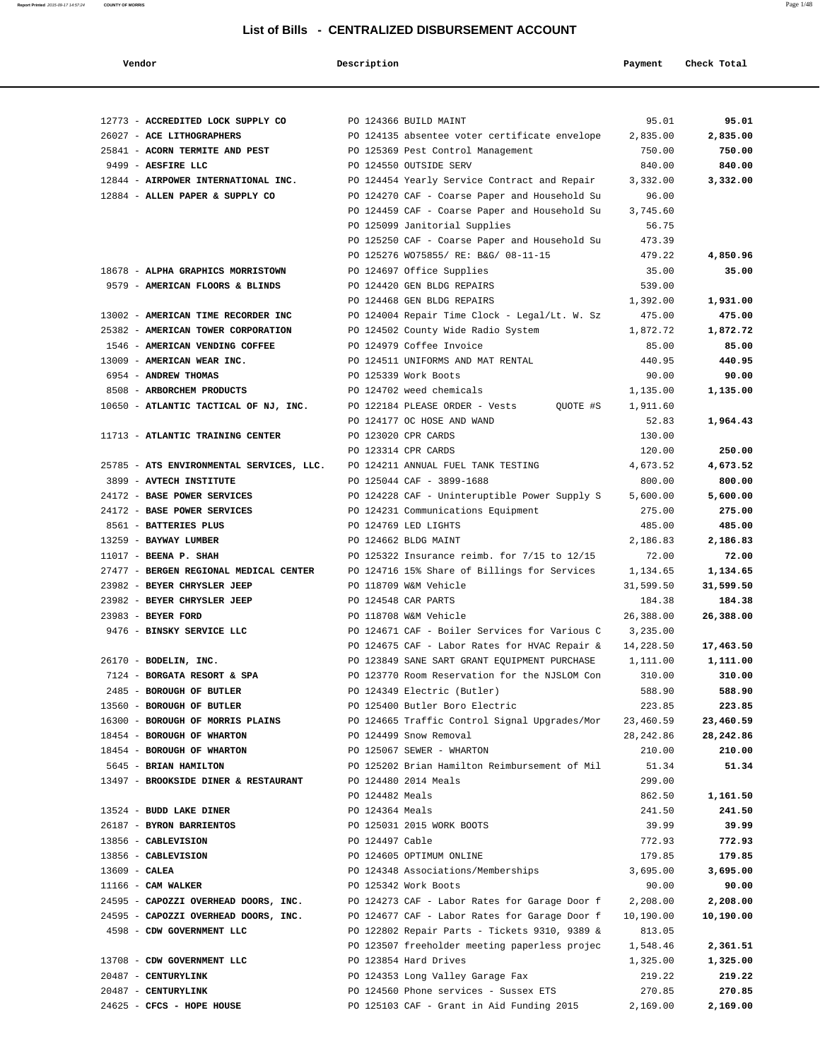| Vendor                                                     | Description                                  |                                                                                       | Payment             | Check Total         |
|------------------------------------------------------------|----------------------------------------------|---------------------------------------------------------------------------------------|---------------------|---------------------|
|                                                            |                                              |                                                                                       |                     |                     |
| 12773 - ACCREDITED LOCK SUPPLY CO PO 124366 BUILD MAINT    |                                              |                                                                                       | 95.01               | 95.01               |
| 26027 - ACE LITHOGRAPHERS                                  |                                              | PO 124135 absentee voter certificate envelope                                         | 2,835.00            | 2,835.00            |
| 25841 - ACORN TERMITE AND PEST                             | PO 125369 Pest Control Management            |                                                                                       | 750.00              | 750.00              |
| 9499 - AESFIRE LLC                                         | PO 124550 OUTSIDE SERV                       |                                                                                       | 840.00              | 840.00              |
| 12844 - AIRPOWER INTERNATIONAL INC.                        |                                              | PO 124454 Yearly Service Contract and Repair                                          | 3,332.00            | 3,332.00            |
| 12884 - ALLEN PAPER & SUPPLY CO                            |                                              | PO 124270 CAF - Coarse Paper and Household Su                                         | 96.00               |                     |
|                                                            |                                              | PO 124459 CAF - Coarse Paper and Household Su                                         | 3,745.60            |                     |
|                                                            | PO 125099 Janitorial Supplies                |                                                                                       | 56.75<br>473.39     |                     |
|                                                            |                                              | PO 125250 CAF - Coarse Paper and Household Su<br>PO 125276 WO75855/ RE: B&G/ 08-11-15 | 479.22              | 4,850.96            |
| 18678 - ALPHA GRAPHICS MORRISTOWN                          | PO 124697 Office Supplies                    |                                                                                       | 35.00               | 35.00               |
| 9579 - AMERICAN FLOORS & BLINDS                            | PO 124420 GEN BLDG REPAIRS                   |                                                                                       | 539.00              |                     |
|                                                            | PO 124468 GEN BLDG REPAIRS                   |                                                                                       | 1,392.00            | 1,931.00            |
| 13002 - AMERICAN TIME RECORDER INC                         |                                              | PO 124004 Repair Time Clock - Legal/Lt. W. Sz                                         | 475.00              | 475.00              |
| 25382 - AMERICAN TOWER CORPORATION                         | PO 124502 County Wide Radio System           |                                                                                       | 1,872.72            | 1,872.72            |
| 1546 - AMERICAN VENDING COFFEE                             | PO 124979 Coffee Invoice                     |                                                                                       | 85.00               | 85.00               |
| 13009 - AMERICAN WEAR INC.                                 | PO 124511 UNIFORMS AND MAT RENTAL            |                                                                                       | 440.95              | 440.95              |
| 6954 - ANDREW THOMAS                                       | PO 125339 Work Boots                         |                                                                                       | 90.00               | 90.00               |
| 8508 - ARBORCHEM PRODUCTS                                  | PO 124702 weed chemicals                     |                                                                                       | 1,135.00            | 1,135.00            |
| 10650 - ATLANTIC TACTICAL OF NJ, INC.                      | PO 122184 PLEASE ORDER - Vests               | QUOTE #S                                                                              | 1,911.60            |                     |
|                                                            | PO 124177 OC HOSE AND WAND                   |                                                                                       | 52.83               | 1,964.43            |
| 11713 - ATLANTIC TRAINING CENTER                           | PO 123020 CPR CARDS                          |                                                                                       | 130.00              |                     |
|                                                            | PO 123314 CPR CARDS                          |                                                                                       | 120.00              | 250.00              |
| 25785 - ATS ENVIRONMENTAL SERVICES, LLC.                   | PO 124211 ANNUAL FUEL TANK TESTING           |                                                                                       | 4,673.52            | 4,673.52            |
| 3899 - AVTECH INSTITUTE                                    | PO 125044 CAF - 3899-1688                    |                                                                                       | 800.00              | 800.00              |
| 24172 - BASE POWER SERVICES                                |                                              | PO 124228 CAF - Uninteruptible Power Supply S                                         | 5,600.00            | 5,600.00            |
| 24172 - BASE POWER SERVICES                                | PO 124231 Communications Equipment           |                                                                                       | 275.00              | 275.00              |
| 8561 - BATTERIES PLUS                                      | PO 124769 LED LIGHTS                         |                                                                                       | 485.00              | 485.00              |
| 13259 - BAYWAY LUMBER                                      | PO 124662 BLDG MAINT                         |                                                                                       | 2,186.83            | 2,186.83            |
| $11017$ - BEENA P. SHAH                                    |                                              | PO 125322 Insurance reimb. for 7/15 to 12/15                                          | 72.00               | 72.00               |
| 27477 - BERGEN REGIONAL MEDICAL CENTER                     |                                              | PO 124716 15% Share of Billings for Services                                          | 1,134.65            | 1,134.65            |
| 23982 - BEYER CHRYSLER JEEP<br>23982 - BEYER CHRYSLER JEEP | PO 118709 W&M Vehicle<br>PO 124548 CAR PARTS |                                                                                       | 31,599.50<br>184.38 | 31,599.50<br>184.38 |
| 23983 - BEYER FORD                                         | PO 118708 W&M Vehicle                        |                                                                                       | 26,388.00           | 26,388.00           |
| 9476 - BINSKY SERVICE LLC                                  |                                              | PO 124671 CAF - Boiler Services for Various C                                         | 3,235.00            |                     |
|                                                            |                                              | PO 124675 CAF - Labor Rates for HVAC Repair &                                         | 14,228.50           | 17,463.50           |
| 26170 - BODELIN, INC.                                      |                                              | PO 123849 SANE SART GRANT EQUIPMENT PURCHASE                                          | 1,111.00            | 1,111.00            |
| 7124 - BORGATA RESORT & SPA                                |                                              | PO 123770 Room Reservation for the NJSLOM Con                                         | 310.00              | 310.00              |
| 2485 - BOROUGH OF BUTLER                                   | PO 124349 Electric (Butler)                  |                                                                                       | 588.90              | 588.90              |
| 13560 - BOROUGH OF BUTLER                                  | PO 125400 Butler Boro Electric               |                                                                                       | 223.85              | 223.85              |
| 16300 - BOROUGH OF MORRIS PLAINS                           |                                              | PO 124665 Traffic Control Signal Upgrades/Mor                                         | 23,460.59           | 23,460.59           |
| 18454 - BOROUGH OF WHARTON                                 | PO 124499 Snow Removal                       |                                                                                       | 28, 242.86          | 28,242.86           |
| 18454 - BOROUGH OF WHARTON                                 | PO 125067 SEWER - WHARTON                    |                                                                                       | 210.00              | 210.00              |
| 5645 - BRIAN HAMILTON                                      |                                              | PO 125202 Brian Hamilton Reimbursement of Mil                                         | 51.34               | 51.34               |
| 13497 - BROOKSIDE DINER & RESTAURANT                       | PO 124480 2014 Meals                         |                                                                                       | 299.00              |                     |
|                                                            | PO 124482 Meals                              |                                                                                       | 862.50              | 1,161.50            |
| 13524 - BUDD LAKE DINER                                    | PO 124364 Meals                              |                                                                                       | 241.50              | 241.50              |
| 26187 - BYRON BARRIENTOS                                   | PO 125031 2015 WORK BOOTS                    |                                                                                       | 39.99               | 39.99               |
| 13856 - CABLEVISION                                        | PO 124497 Cable                              |                                                                                       | 772.93              | 772.93              |
| 13856 - CABLEVISION                                        | PO 124605 OPTIMUM ONLINE                     |                                                                                       | 179.85              | 179.85              |
| 13609 - CALEA<br>11166 - CAM WALKER                        | PO 125342 Work Boots                         | PO 124348 Associations/Memberships                                                    | 3,695.00<br>90.00   | 3,695.00<br>90.00   |
| 24595 - CAPOZZI OVERHEAD DOORS, INC.                       |                                              | PO 124273 CAF - Labor Rates for Garage Door f                                         | 2,208.00            | 2,208.00            |
| 24595 - CAPOZZI OVERHEAD DOORS, INC.                       |                                              | PO 124677 CAF - Labor Rates for Garage Door f                                         | 10,190.00           | 10,190.00           |
| 4598 - CDW GOVERNMENT LLC                                  |                                              | PO 122802 Repair Parts - Tickets 9310, 9389 &                                         | 813.05              |                     |
|                                                            |                                              | PO 123507 freeholder meeting paperless projec                                         | 1,548.46            | 2,361.51            |
| 13708 - CDW GOVERNMENT LLC                                 | PO 123854 Hard Drives                        |                                                                                       | 1,325.00            | 1,325.00            |
| 20487 - CENTURYLINK                                        | PO 124353 Long Valley Garage Fax             |                                                                                       | 219.22              | 219.22              |
| 20487 - CENTURYLINK                                        |                                              | PO 124560 Phone services - Sussex ETS                                                 | 270.85              | 270.85              |
| 24625 - CFCS - HOPE HOUSE                                  |                                              | PO 125103 CAF - Grant in Aid Funding 2015                                             | 2,169.00            | 2,169.00            |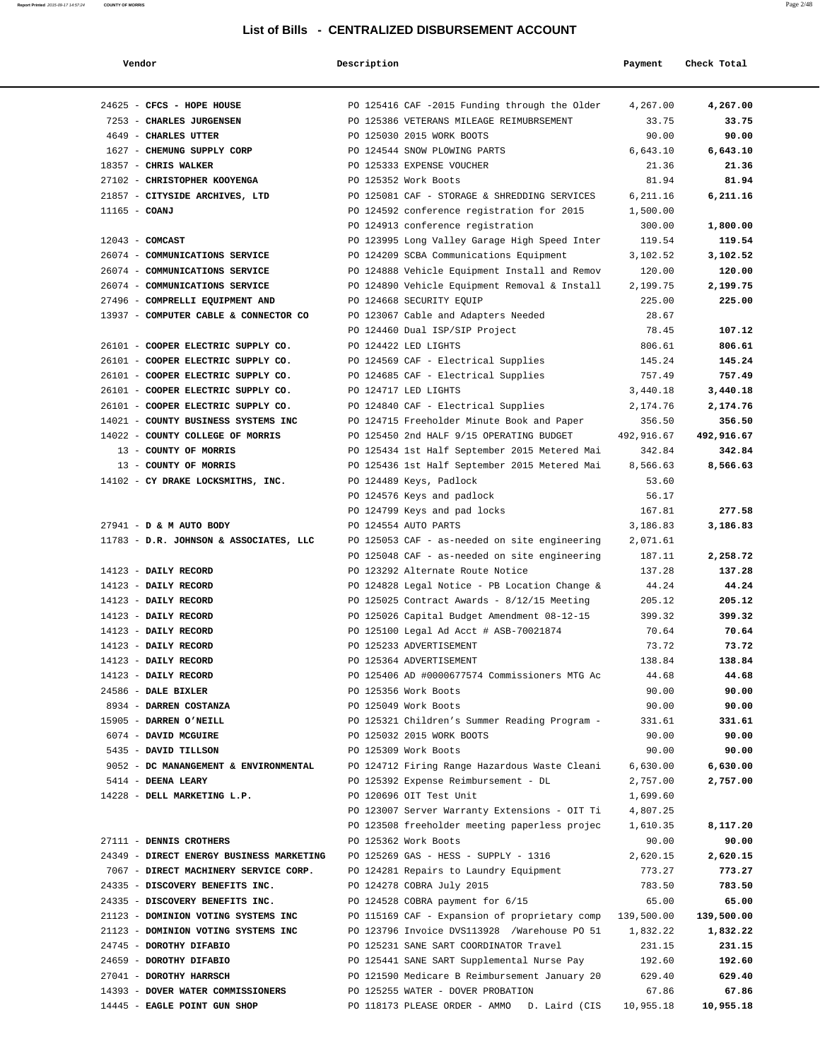| Vendor                                                           | Description |                                                                           | Payment            | Check Total        |
|------------------------------------------------------------------|-------------|---------------------------------------------------------------------------|--------------------|--------------------|
|                                                                  |             |                                                                           |                    |                    |
| 24625 - CFCS - HOPE HOUSE                                        |             | PO 125416 CAF -2015 Funding through the Older                             | 4,267.00           | 4,267.00           |
| 7253 - CHARLES JURGENSEN                                         |             | PO 125386 VETERANS MILEAGE REIMUBRSEMENT                                  | 33.75              | 33.75              |
| 4649 - CHARLES UTTER                                             |             | PO 125030 2015 WORK BOOTS                                                 | 90.00              | 90.00              |
| 1627 - CHEMUNG SUPPLY CORP                                       |             | PO 124544 SNOW PLOWING PARTS                                              | 6,643.10           | 6,643.10           |
| 18357 - CHRIS WALKER                                             |             | PO 125333 EXPENSE VOUCHER                                                 | 21.36              | 21.36              |
| 27102 - CHRISTOPHER KOOYENGA                                     |             | PO 125352 Work Boots                                                      | 81.94              | 81.94              |
| 21857 - CITYSIDE ARCHIVES, LTD                                   |             | PO 125081 CAF - STORAGE & SHREDDING SERVICES                              | 6,211.16           | 6,211.16           |
| $11165$ - COANJ                                                  |             | PO 124592 conference registration for 2015                                | 1,500.00           |                    |
|                                                                  |             | PO 124913 conference registration                                         | 300.00             | 1,800.00           |
| $12043$ - COMCAST                                                |             | PO 123995 Long Valley Garage High Speed Inter                             | 119.54             | 119.54             |
| 26074 - COMMUNICATIONS SERVICE<br>26074 - COMMUNICATIONS SERVICE |             | PO 124209 SCBA Communications Equipment                                   | 3,102.52           | 3,102.52<br>120.00 |
| 26074 - COMMUNICATIONS SERVICE                                   |             | PO 124888 Vehicle Equipment Install and Remov                             | 120.00<br>2,199.75 | 2,199.75           |
| 27496 - COMPRELLI EQUIPMENT AND                                  |             | PO 124890 Vehicle Equipment Removal & Install<br>PO 124668 SECURITY EQUIP | 225.00             | 225.00             |
| 13937 - COMPUTER CABLE & CONNECTOR CO                            |             | PO 123067 Cable and Adapters Needed                                       | 28.67              |                    |
|                                                                  |             | PO 124460 Dual ISP/SIP Project                                            | 78.45              | 107.12             |
| 26101 - COOPER ELECTRIC SUPPLY CO.                               |             | PO 124422 LED LIGHTS                                                      | 806.61             | 806.61             |
| 26101 - COOPER ELECTRIC SUPPLY CO.                               |             | PO 124569 CAF - Electrical Supplies                                       | 145.24             | 145.24             |
| 26101 - COOPER ELECTRIC SUPPLY CO.                               |             | PO 124685 CAF - Electrical Supplies                                       | 757.49             | 757.49             |
| 26101 - COOPER ELECTRIC SUPPLY CO.                               |             | PO 124717 LED LIGHTS                                                      | 3,440.18           | 3,440.18           |
| 26101 - COOPER ELECTRIC SUPPLY CO.                               |             | PO 124840 CAF - Electrical Supplies                                       | 2,174.76           | 2,174.76           |
| 14021 - COUNTY BUSINESS SYSTEMS INC                              |             | PO 124715 Freeholder Minute Book and Paper                                | 356.50             | 356.50             |
| 14022 - COUNTY COLLEGE OF MORRIS                                 |             | PO 125450 2nd HALF 9/15 OPERATING BUDGET                                  | 492,916.67         | 492,916.67         |
| 13 - COUNTY OF MORRIS                                            |             | PO 125434 1st Half September 2015 Metered Mai                             | 342.84             | 342.84             |
| 13 - COUNTY OF MORRIS                                            |             | PO 125436 1st Half September 2015 Metered Mai                             | 8,566.63           | 8,566.63           |
| 14102 - CY DRAKE LOCKSMITHS, INC.                                |             | PO 124489 Keys, Padlock                                                   | 53.60              |                    |
|                                                                  |             | PO 124576 Keys and padlock                                                | 56.17              |                    |
|                                                                  |             | PO 124799 Keys and pad locks                                              | 167.81             | 277.58             |
| 27941 - D & M AUTO BODY                                          |             | PO 124554 AUTO PARTS                                                      | 3,186.83           | 3,186.83           |
| 11783 - D.R. JOHNSON & ASSOCIATES, LLC                           |             | PO 125053 CAF - as-needed on site engineering                             | 2,071.61           |                    |
|                                                                  |             | PO 125048 CAF - as-needed on site engineering                             | 187.11             | 2,258.72           |
| 14123 - DAILY RECORD                                             |             | PO 123292 Alternate Route Notice                                          | 137.28             | 137.28             |
| 14123 - DAILY RECORD                                             |             | PO 124828 Legal Notice - PB Location Change &                             | 44.24              | 44.24              |
| 14123 - DAILY RECORD                                             |             | PO 125025 Contract Awards - $8/12/15$ Meeting                             | 205.12             | 205.12             |
| 14123 - DAILY RECORD                                             |             | PO 125026 Capital Budget Amendment 08-12-15                               | 399.32             | 399.32             |
| 14123 - DAILY RECORD                                             |             | PO 125100 Legal Ad Acct # ASB-70021874                                    | 70.64              | 70.64              |
| 14123 - DAILY RECORD                                             |             | PO 125233 ADVERTISEMENT                                                   | 73.72              | 73.72              |
| 14123 - DAILY RECORD                                             |             | PO 125364 ADVERTISEMENT                                                   | 138.84             | 138.84             |
| 14123 - DAILY RECORD                                             |             | PO 125406 AD #0000677574 Commissioners MTG Ac                             | 44.68              | 44.68              |
| 24586 - DALE BIXLER                                              |             | PO 125356 Work Boots                                                      | 90.00              | 90.00              |
| 8934 - DARREN COSTANZA                                           |             | PO 125049 Work Boots                                                      | 90.00              | 90.00              |
| 15905 - DARREN O'NEILL                                           |             | PO 125321 Children's Summer Reading Program -                             | 331.61             | 331.61             |
| 6074 - DAVID MCGUIRE                                             |             | PO 125032 2015 WORK BOOTS                                                 | 90.00              | 90.00              |
| 5435 - DAVID TILLSON                                             |             | PO 125309 Work Boots                                                      | 90.00              | 90.00              |
| 9052 - DC MANANGEMENT & ENVIRONMENTAL                            |             | PO 124712 Firing Range Hazardous Waste Cleani                             | 6,630.00           | 6,630.00           |
| 5414 - DEENA LEARY                                               |             | PO 125392 Expense Reimbursement - DL                                      | 2,757.00           | 2,757.00           |
| 14228 - DELL MARKETING L.P.                                      |             | PO 120696 OIT Test Unit                                                   | 1,699.60           |                    |
|                                                                  |             | PO 123007 Server Warranty Extensions - OIT Ti                             | 4,807.25           |                    |
|                                                                  |             | PO 123508 freeholder meeting paperless projec                             | 1,610.35           | 8,117.20           |
| 27111 - DENNIS CROTHERS                                          |             | PO 125362 Work Boots                                                      | 90.00              | 90.00              |
| 24349 - DIRECT ENERGY BUSINESS MARKETING                         |             | PO 125269 GAS - HESS - SUPPLY - 1316                                      | 2,620.15           | 2,620.15           |
| 7067 - DIRECT MACHINERY SERVICE CORP.                            |             | PO 124281 Repairs to Laundry Equipment                                    | 773.27             | 773.27             |
| 24335 - DISCOVERY BENEFITS INC.                                  |             | PO 124278 COBRA July 2015                                                 | 783.50             | 783.50             |
| 24335 - DISCOVERY BENEFITS INC.                                  |             | PO 124528 COBRA payment for 6/15                                          | 65.00              | 65.00              |
| 21123 - DOMINION VOTING SYSTEMS INC                              |             | PO 115169 CAF - Expansion of proprietary comp                             | 139,500.00         | 139,500.00         |
| 21123 - DOMINION VOTING SYSTEMS INC                              |             | PO 123796 Invoice DVS113928 /Warehouse PO 51                              | 1,832.22           | 1,832.22           |
| 24745 - DOROTHY DIFABIO                                          |             | PO 125231 SANE SART COORDINATOR Travel                                    | 231.15             | 231.15             |
| 24659 - DOROTHY DIFABIO                                          |             | PO 125441 SANE SART Supplemental Nurse Pay                                | 192.60             | 192.60             |
| 27041 - DOROTHY HARRSCH                                          |             | PO 121590 Medicare B Reimbursement January 20                             | 629.40             | 629.40             |
| 14393 - DOVER WATER COMMISSIONERS                                |             | PO 125255 WATER - DOVER PROBATION                                         | 67.86              | 67.86              |
| 14445 - EAGLE POINT GUN SHOP                                     |             | PO 118173 PLEASE ORDER - AMMO D. Laird (CIS                               | 10,955.18          | 10,955.18          |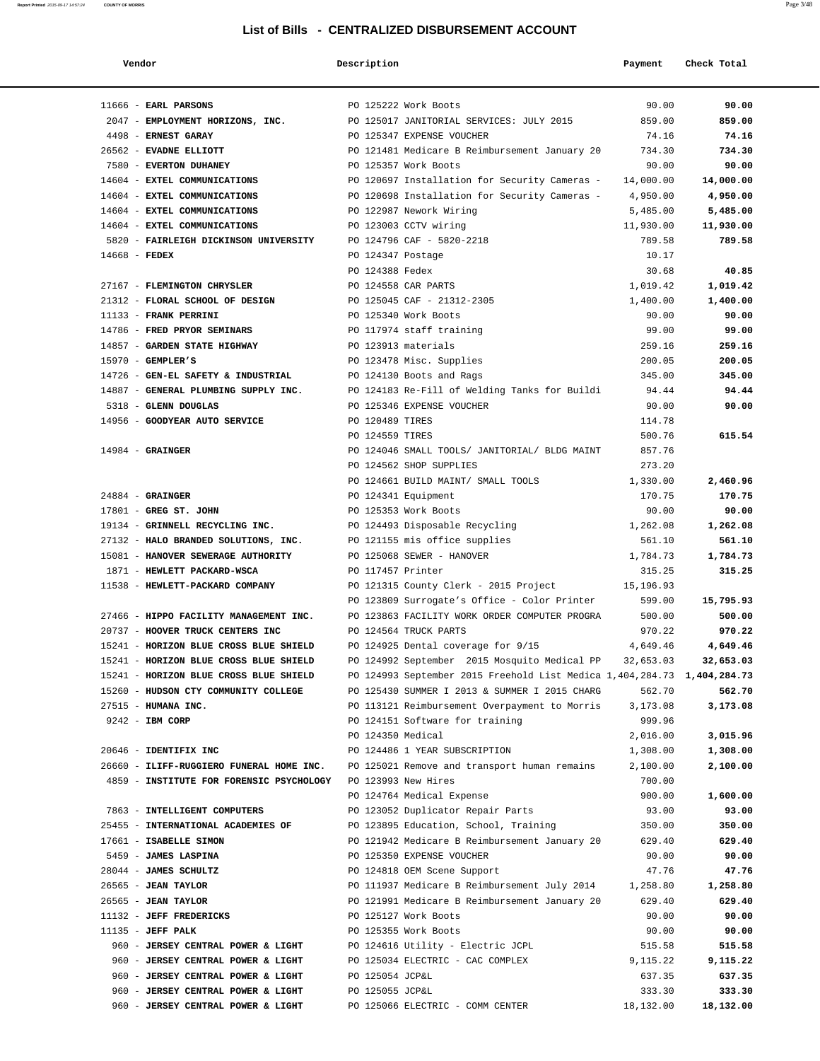| Vendor                                   | Description         |                                                                         | Payment   | Check Total |
|------------------------------------------|---------------------|-------------------------------------------------------------------------|-----------|-------------|
|                                          |                     |                                                                         |           |             |
| $11666$ - EARL PARSONS                   |                     | PO 125222 Work Boots                                                    | 90.00     | 90.00       |
| 2047 - EMPLOYMENT HORIZONS, INC.         |                     | PO 125017 JANITORIAL SERVICES: JULY 2015                                | 859.00    | 859.00      |
| 4498 - ERNEST GARAY                      |                     | PO 125347 EXPENSE VOUCHER                                               | 74.16     | 74.16       |
| 26562 - EVADNE ELLIOTT                   |                     | PO 121481 Medicare B Reimbursement January 20                           | 734.30    | 734.30      |
| 7580 - EVERTON DUHANEY                   |                     | PO 125357 Work Boots                                                    | 90.00     | 90.00       |
| 14604 - EXTEL COMMUNICATIONS             |                     | PO 120697 Installation for Security Cameras -                           | 14,000.00 | 14,000.00   |
| 14604 - EXTEL COMMUNICATIONS             |                     | PO 120698 Installation for Security Cameras -                           | 4,950.00  | 4,950.00    |
| 14604 - EXTEL COMMUNICATIONS             |                     | PO 122987 Nework Wiring                                                 | 5,485.00  | 5,485.00    |
| 14604 - EXTEL COMMUNICATIONS             |                     | PO 123003 CCTV wiring                                                   | 11,930.00 | 11,930.00   |
| 5820 - FAIRLEIGH DICKINSON UNIVERSITY    |                     | PO 124796 CAF - 5820-2218                                               | 789.58    | 789.58      |
| 14668 - FEDEX                            | PO 124347 Postage   |                                                                         | 10.17     |             |
|                                          | PO 124388 Fedex     |                                                                         | 30.68     | 40.85       |
| 27167 - FLEMINGTON CHRYSLER              |                     | PO 124558 CAR PARTS                                                     | 1,019.42  | 1,019.42    |
| 21312 - FLORAL SCHOOL OF DESIGN          |                     | PO 125045 CAF - 21312-2305                                              | 1,400.00  | 1,400.00    |
| 11133 - FRANK PERRINI                    |                     | PO 125340 Work Boots                                                    | 90.00     | 90.00       |
| 14786 - FRED PRYOR SEMINARS              |                     | PO 117974 staff training                                                | 99.00     | 99.00       |
| 14857 - GARDEN STATE HIGHWAY             |                     | PO 123913 materials                                                     | 259.16    | 259.16      |
| $15970$ - GEMPLER'S                      |                     | PO 123478 Misc. Supplies                                                | 200.05    | 200.05      |
| 14726 - GEN-EL SAFETY & INDUSTRIAL       |                     | PO 124130 Boots and Rags                                                | 345.00    | 345.00      |
| 14887 - GENERAL PLUMBING SUPPLY INC.     |                     | PO 124183 Re-Fill of Welding Tanks for Buildi                           | 94.44     | 94.44       |
| 5318 - GLENN DOUGLAS                     |                     | PO 125346 EXPENSE VOUCHER                                               | 90.00     | 90.00       |
| 14956 - GOODYEAR AUTO SERVICE            | PO 120489 TIRES     |                                                                         | 114.78    |             |
|                                          | PO 124559 TIRES     |                                                                         | 500.76    | 615.54      |
| $14984$ - GRAINGER                       |                     | PO 124046 SMALL TOOLS/ JANITORIAL/ BLDG MAINT                           | 857.76    |             |
|                                          |                     | PO 124562 SHOP SUPPLIES                                                 | 273.20    |             |
|                                          |                     | PO 124661 BUILD MAINT/ SMALL TOOLS                                      | 1,330.00  | 2,460.96    |
| $24884$ - GRAINGER                       |                     | PO 124341 Equipment                                                     | 170.75    | 170.75      |
| 17801 - GREG ST. JOHN                    |                     | PO 125353 Work Boots                                                    | 90.00     | 90.00       |
| 19134 - GRINNELL RECYCLING INC.          |                     | PO 124493 Disposable Recycling                                          | 1,262.08  | 1,262.08    |
| 27132 - HALO BRANDED SOLUTIONS, INC.     |                     | PO 121155 mis office supplies                                           | 561.10    | 561.10      |
| 15081 - HANOVER SEWERAGE AUTHORITY       |                     | PO 125068 SEWER - HANOVER                                               | 1,784.73  | 1,784.73    |
| 1871 - HEWLETT PACKARD-WSCA              | PO 117457 Printer   |                                                                         | 315.25    | 315.25      |
| 11538 - HEWLETT-PACKARD COMPANY          |                     | PO 121315 County Clerk - 2015 Project                                   | 15,196.93 |             |
|                                          |                     | PO 123809 Surrogate's Office - Color Printer                            | 599.00    | 15,795.93   |
| 27466 - HIPPO FACILITY MANAGEMENT INC.   |                     | PO 123863 FACILITY WORK ORDER COMPUTER PROGRA                           | 500.00    | 500.00      |
| 20737 - HOOVER TRUCK CENTERS INC         |                     | PO 124564 TRUCK PARTS                                                   | 970.22    | 970.22      |
| 15241 - HORIZON BLUE CROSS BLUE SHIELD   |                     | PO 124925 Dental coverage for 9/15                                      | 4,649.46  | 4,649.46    |
| 15241 - HORIZON BLUE CROSS BLUE SHIELD   |                     | PO 124992 September 2015 Mosquito Medical PP                            | 32,653.03 | 32,653.03   |
| 15241 - HORIZON BLUE CROSS BLUE SHIELD   |                     | PO 124993 September 2015 Freehold List Medica 1,404,284.73 1,404,284.73 |           |             |
| 15260 - HUDSON CTY COMMUNITY COLLEGE     |                     | PO 125430 SUMMER I 2013 & SUMMER I 2015 CHARG                           | 562.70    | 562.70      |
| 27515 - HUMANA INC.                      |                     | PO 113121 Reimbursement Overpayment to Morris                           | 3,173.08  | 3,173.08    |
| 9242 - IBM CORP                          |                     | PO 124151 Software for training                                         | 999.96    |             |
|                                          | PO 124350 Medical   |                                                                         | 2,016.00  | 3,015.96    |
| 20646 - IDENTIFIX INC                    |                     | PO 124486 1 YEAR SUBSCRIPTION                                           | 1,308.00  | 1,308.00    |
| 26660 - ILIFF-RUGGIERO FUNERAL HOME INC. |                     | PO 125021 Remove and transport human remains                            | 2,100.00  | 2,100.00    |
| 4859 - INSTITUTE FOR FORENSIC PSYCHOLOGY | PO 123993 New Hires |                                                                         | 700.00    |             |
|                                          |                     | PO 124764 Medical Expense                                               | 900.00    | 1,600.00    |
| 7863 - INTELLIGENT COMPUTERS             |                     | PO 123052 Duplicator Repair Parts                                       | 93.00     | 93.00       |
| 25455 - INTERNATIONAL ACADEMIES OF       |                     | PO 123895 Education, School, Training                                   | 350.00    | 350.00      |
| 17661 - ISABELLE SIMON                   |                     | PO 121942 Medicare B Reimbursement January 20                           | 629.40    | 629.40      |
| 5459 - JAMES LASPINA                     |                     | PO 125350 EXPENSE VOUCHER                                               | 90.00     | 90.00       |
| 28044 - JAMES SCHULTZ                    |                     | PO 124818 OEM Scene Support                                             | 47.76     | 47.76       |
| 26565 - JEAN TAYLOR                      |                     | PO 111937 Medicare B Reimbursement July 2014                            | 1,258.80  | 1,258.80    |
| $26565$ - JEAN TAYLOR                    |                     | PO 121991 Medicare B Reimbursement January 20                           | 629.40    | 629.40      |
| 11132 - JEFF FREDERICKS                  |                     | PO 125127 Work Boots                                                    | 90.00     | 90.00       |
| 11135 - JEFF PALK                        |                     | PO 125355 Work Boots                                                    | 90.00     | 90.00       |
| 960 - JERSEY CENTRAL POWER & LIGHT       |                     | PO 124616 Utility - Electric JCPL                                       | 515.58    | 515.58      |
| 960 - JERSEY CENTRAL POWER & LIGHT       |                     | PO 125034 ELECTRIC - CAC COMPLEX                                        | 9,115.22  | 9,115.22    |
| 960 - JERSEY CENTRAL POWER & LIGHT       | PO 125054 JCP&L     |                                                                         | 637.35    | 637.35      |
| 960 - JERSEY CENTRAL POWER & LIGHT       | PO 125055 JCP&L     |                                                                         | 333.30    | 333.30      |
| 960 - JERSEY CENTRAL POWER & LIGHT       |                     | PO 125066 ELECTRIC - COMM CENTER                                        | 18,132.00 | 18,132.00   |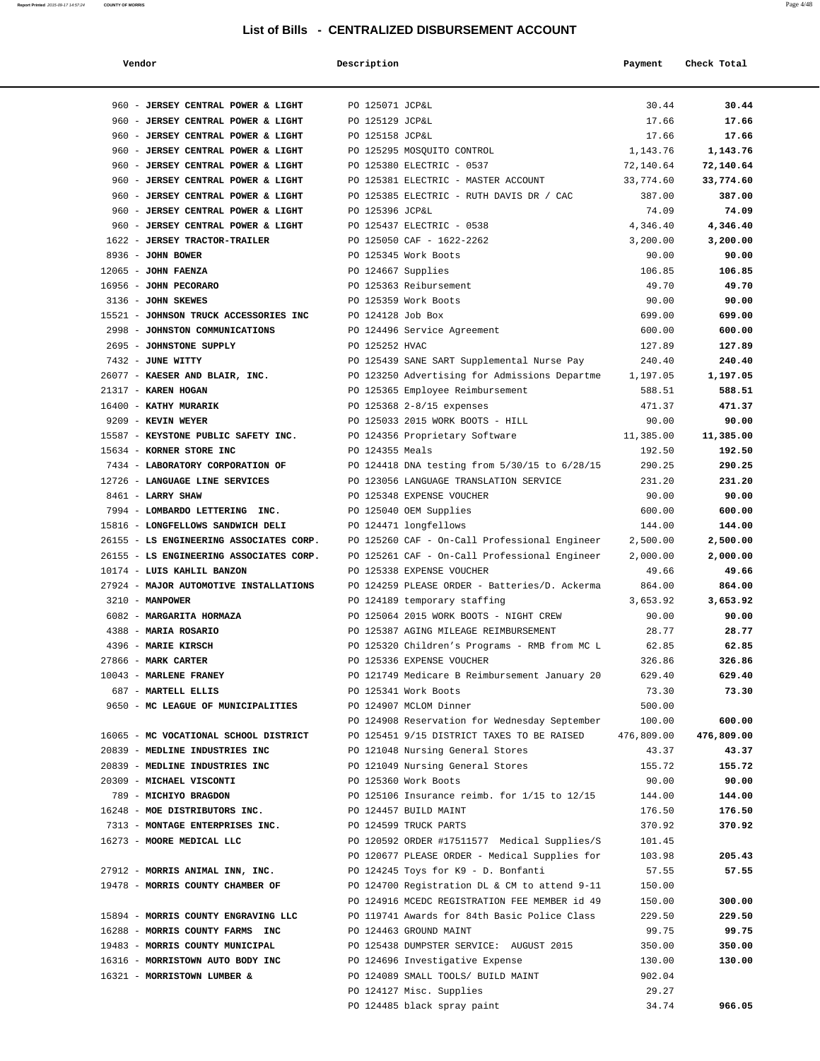| Vendor                                  | Description        |                                               | Payment    | Check Total |
|-----------------------------------------|--------------------|-----------------------------------------------|------------|-------------|
| 960 - JERSEY CENTRAL POWER & LIGHT      | PO 125071 JCP&L    |                                               | 30.44      | 30.44       |
| 960 - JERSEY CENTRAL POWER & LIGHT      | PO 125129 JCP&L    |                                               | 17.66      | 17.66       |
| 960 - JERSEY CENTRAL POWER & LIGHT      | PO 125158 JCP&L    |                                               | 17.66      | 17.66       |
| 960 - JERSEY CENTRAL POWER & LIGHT      |                    | PO 125295 MOSQUITO CONTROL                    | 1,143.76   | 1,143.76    |
| 960 - JERSEY CENTRAL POWER & LIGHT      |                    | PO 125380 ELECTRIC - 0537                     | 72,140.64  | 72,140.64   |
| 960 - JERSEY CENTRAL POWER & LIGHT      |                    | PO 125381 ELECTRIC - MASTER ACCOUNT           | 33,774.60  | 33,774.60   |
| 960 - JERSEY CENTRAL POWER & LIGHT      |                    | PO 125385 ELECTRIC - RUTH DAVIS DR / CAC      | 387.00     | 387.00      |
| 960 - JERSEY CENTRAL POWER & LIGHT      | PO 125396 JCP&L    |                                               | 74.09      | 74.09       |
| 960 - JERSEY CENTRAL POWER & LIGHT      |                    | PO 125437 ELECTRIC - 0538                     | 4,346.40   | 4,346.40    |
| 1622 - JERSEY TRACTOR-TRAILER           |                    | PO 125050 CAF - 1622-2262                     | 3,200.00   | 3,200.00    |
| 8936 - JOHN BOWER                       |                    | PO 125345 Work Boots                          | 90.00      | 90.00       |
| $12065$ - JOHN FAENZA                   | PO 124667 Supplies |                                               | 106.85     | 106.85      |
| 16956 - JOHN PECORARO                   |                    | PO 125363 Reibursement                        | 49.70      | 49.70       |
| 3136 - JOHN SKEWES                      |                    | PO 125359 Work Boots                          | 90.00      | 90.00       |
| 15521 - JOHNSON TRUCK ACCESSORIES INC   | PO 124128 Job Box  |                                               | 699.00     | 699.00      |
| 2998 - JOHNSTON COMMUNICATIONS          |                    | PO 124496 Service Agreement                   | 600.00     | 600.00      |
| 2695 - JOHNSTONE SUPPLY                 | PO 125252 HVAC     |                                               | 127.89     | 127.89      |
| 7432 - JUNE WITTY                       |                    |                                               |            | 240.40      |
| 26077 - KAESER AND BLAIR, INC.          |                    | PO 125439 SANE SART Supplemental Nurse Pay    | 240.40     |             |
|                                         |                    | PO 123250 Advertising for Admissions Departme | 1,197.05   | 1,197.05    |
| 21317 - KAREN HOGAN                     |                    | PO 125365 Employee Reimbursement              | 588.51     | 588.51      |
| 16400 - KATHY MURARIK                   |                    | PO 125368 2-8/15 expenses                     | 471.37     | 471.37      |
| 9209 - KEVIN WEYER                      |                    | PO 125033 2015 WORK BOOTS - HILL              | 90.00      | 90.00       |
| 15587 - KEYSTONE PUBLIC SAFETY INC.     |                    | PO 124356 Proprietary Software                | 11,385.00  | 11,385.00   |
| 15634 - KORNER STORE INC                | PO 124355 Meals    |                                               | 192.50     | 192.50      |
| 7434 - LABORATORY CORPORATION OF        |                    | PO 124418 DNA testing from 5/30/15 to 6/28/15 | 290.25     | 290.25      |
| 12726 - LANGUAGE LINE SERVICES          |                    | PO 123056 LANGUAGE TRANSLATION SERVICE        | 231.20     | 231.20      |
| 8461 - LARRY SHAW                       |                    | PO 125348 EXPENSE VOUCHER                     | 90.00      | 90.00       |
| 7994 - LOMBARDO LETTERING INC.          |                    | PO 125040 OEM Supplies                        | 600.00     | 600.00      |
| 15816 - LONGFELLOWS SANDWICH DELI       |                    | PO 124471 longfellows                         | 144.00     | 144.00      |
| 26155 - LS ENGINEERING ASSOCIATES CORP. |                    | PO 125260 CAF - On-Call Professional Engineer | 2,500.00   | 2,500.00    |
| 26155 - LS ENGINEERING ASSOCIATES CORP. |                    | PO 125261 CAF - On-Call Professional Engineer | 2,000.00   | 2,000.00    |
| 10174 - LUIS KAHLIL BANZON              |                    | PO 125338 EXPENSE VOUCHER                     | 49.66      | 49.66       |
| 27924 - MAJOR AUTOMOTIVE INSTALLATIONS  |                    | PO 124259 PLEASE ORDER - Batteries/D. Ackerma | 864.00     | 864.00      |
| 3210 - MANPOWER                         |                    | PO 124189 temporary staffing                  | 3,653.92   | 3,653.92    |
| 6082 - MARGARITA HORMAZA                |                    | PO 125064 2015 WORK BOOTS - NIGHT CREW        | 90.00      | 90.00       |
| 4388 - MARIA ROSARIO                    |                    | PO 125387 AGING MILEAGE REIMBURSEMENT         | 28.77      | 28.77       |
| 4396 - MARIE KIRSCH                     |                    | PO 125320 Children's Programs - RMB from MC L | 62.85      | 62.85       |
| 27866 - MARK CARTER                     |                    | PO 125336 EXPENSE VOUCHER                     | 326.86     | 326.86      |
| 10043 - MARLENE FRANEY                  |                    | PO 121749 Medicare B Reimbursement January 20 | 629.40     | 629.40      |
| 687 - MARTELL ELLIS                     |                    | PO 125341 Work Boots                          | 73.30      | 73.30       |
| 9650 - MC LEAGUE OF MUNICIPALITIES      |                    | PO 124907 MCLOM Dinner                        | 500.00     |             |
|                                         |                    | PO 124908 Reservation for Wednesday September | 100.00     | 600.00      |
| 16065 - MC VOCATIONAL SCHOOL DISTRICT   |                    | PO 125451 9/15 DISTRICT TAXES TO BE RAISED    | 476,809.00 | 476,809.00  |
| 20839 - MEDLINE INDUSTRIES INC          |                    | PO 121048 Nursing General Stores              | 43.37      | 43.37       |
| 20839 - MEDLINE INDUSTRIES INC          |                    | PO 121049 Nursing General Stores              | 155.72     | 155.72      |
| 20309 - MICHAEL VISCONTI                |                    | PO 125360 Work Boots                          | 90.00      | 90.00       |
| 789 - MICHIYO BRAGDON                   |                    | PO 125106 Insurance reimb. for 1/15 to 12/15  | 144.00     | 144.00      |
| 16248 - MOE DISTRIBUTORS INC.           |                    | PO 124457 BUILD MAINT                         | 176.50     | 176.50      |
| 7313 - MONTAGE ENTERPRISES INC.         |                    | PO 124599 TRUCK PARTS                         | 370.92     | 370.92      |
| 16273 - MOORE MEDICAL LLC               |                    | PO 120592 ORDER #17511577 Medical Supplies/S  | 101.45     |             |
|                                         |                    | PO 120677 PLEASE ORDER - Medical Supplies for | 103.98     | 205.43      |
| 27912 - MORRIS ANIMAL INN, INC.         |                    | PO 124245 Toys for K9 - D. Bonfanti           | 57.55      | 57.55       |
| 19478 - MORRIS COUNTY CHAMBER OF        |                    | PO 124700 Registration DL & CM to attend 9-11 | 150.00     |             |
|                                         |                    | PO 124916 MCEDC REGISTRATION FEE MEMBER id 49 | 150.00     | 300.00      |
| 15894 - MORRIS COUNTY ENGRAVING LLC     |                    | PO 119741 Awards for 84th Basic Police Class  | 229.50     | 229.50      |
| 16288 - MORRIS COUNTY FARMS INC         |                    | PO 124463 GROUND MAINT                        | 99.75      | 99.75       |
| 19483 - MORRIS COUNTY MUNICIPAL         |                    | PO 125438 DUMPSTER SERVICE: AUGUST 2015       | 350.00     | 350.00      |
| 16316 - MORRISTOWN AUTO BODY INC        |                    | PO 124696 Investigative Expense               | 130.00     | 130.00      |
| 16321 - MORRISTOWN LUMBER &             |                    | PO 124089 SMALL TOOLS/ BUILD MAINT            | 902.04     |             |
|                                         |                    | PO 124127 Misc. Supplies                      | 29.27      |             |

PO 124485 black spray paint 34.74 **966.05**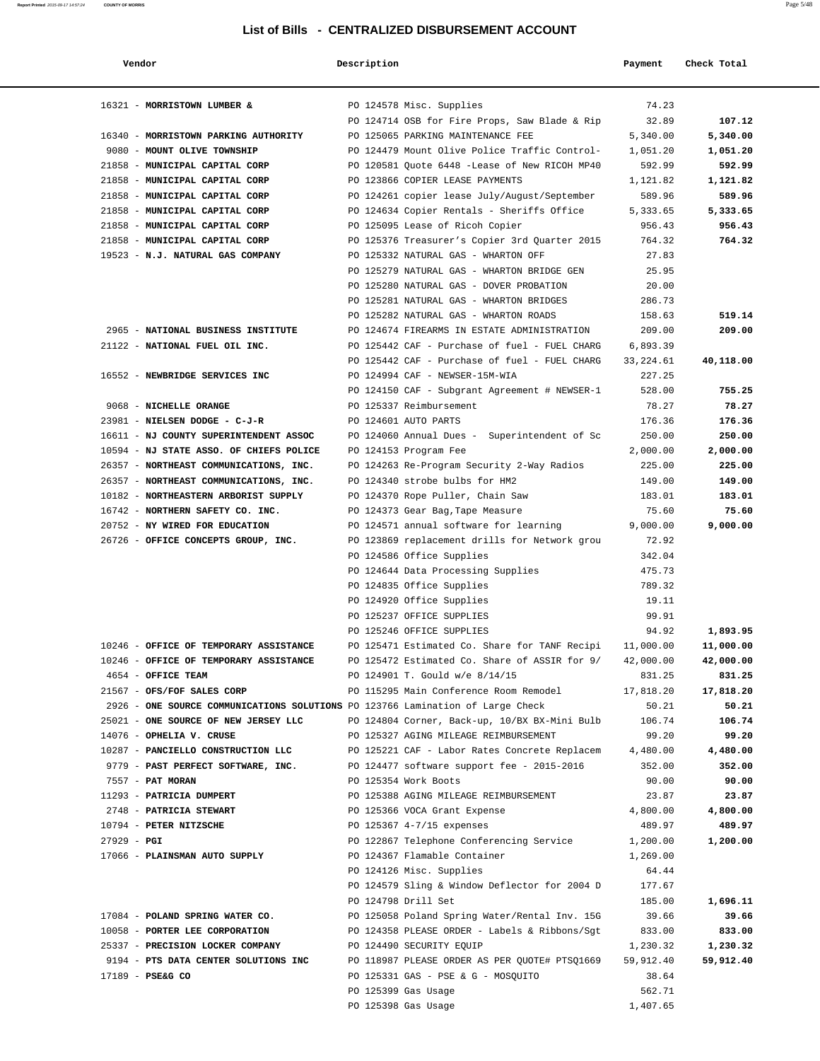| Vendor                                                                         | Description |                                                                                 | Payment             | Check Total         |
|--------------------------------------------------------------------------------|-------------|---------------------------------------------------------------------------------|---------------------|---------------------|
| 16321 - MORRISTOWN LUMBER &                                                    |             | PO 124578 Misc. Supplies                                                        | 74.23               |                     |
|                                                                                |             | PO 124714 OSB for Fire Props, Saw Blade & Rip                                   | 32.89               | 107.12              |
| 16340 - MORRISTOWN PARKING AUTHORITY                                           |             | PO 125065 PARKING MAINTENANCE FEE                                               | 5,340.00            | 5,340.00            |
| 9080 - MOUNT OLIVE TOWNSHIP                                                    |             | PO 124479 Mount Olive Police Traffic Control-                                   | 1,051.20            | 1,051.20            |
| 21858 - MUNICIPAL CAPITAL CORP                                                 |             | PO 120581 Quote 6448 -Lease of New RICOH MP40                                   | 592.99              | 592.99              |
| 21858 - MUNICIPAL CAPITAL CORP                                                 |             | PO 123866 COPIER LEASE PAYMENTS                                                 | 1,121.82            | 1,121.82            |
| 21858 - MUNICIPAL CAPITAL CORP                                                 |             | PO 124261 copier lease July/August/September                                    | 589.96              | 589.96              |
| 21858 - MUNICIPAL CAPITAL CORP                                                 |             | PO 124634 Copier Rentals - Sheriffs Office                                      | 5,333.65            | 5,333.65            |
| 21858 - MUNICIPAL CAPITAL CORP                                                 |             | PO 125095 Lease of Ricoh Copier                                                 | 956.43              | 956.43              |
| 21858 - MUNICIPAL CAPITAL CORP                                                 |             | PO 125376 Treasurer's Copier 3rd Quarter 2015                                   | 764.32              | 764.32              |
| 19523 - N.J. NATURAL GAS COMPANY                                               |             | PO 125332 NATURAL GAS - WHARTON OFF                                             | 27.83               |                     |
|                                                                                |             | PO 125279 NATURAL GAS - WHARTON BRIDGE GEN                                      | 25.95               |                     |
|                                                                                |             | PO 125280 NATURAL GAS - DOVER PROBATION                                         | 20.00               |                     |
|                                                                                |             | PO 125281 NATURAL GAS - WHARTON BRIDGES                                         | 286.73              |                     |
|                                                                                |             | PO 125282 NATURAL GAS - WHARTON ROADS                                           | 158.63              | 519.14              |
| 2965 - NATIONAL BUSINESS INSTITUTE                                             |             | PO 124674 FIREARMS IN ESTATE ADMINISTRATION                                     | 209.00              | 209.00              |
| 21122 - NATIONAL FUEL OIL INC.                                                 |             | PO 125442 CAF - Purchase of fuel - FUEL CHARG                                   | 6,893.39            |                     |
|                                                                                |             | PO 125442 CAF - Purchase of fuel - FUEL CHARG                                   | 33, 224.61          | 40,118.00           |
| 16552 - NEWBRIDGE SERVICES INC                                                 |             | PO 124994 CAF - NEWSER-15M-WIA                                                  | 227.25              |                     |
|                                                                                |             | PO 124150 CAF - Subgrant Agreement # NEWSER-1                                   | 528.00              | 755.25              |
| 9068 - NICHELLE ORANGE                                                         |             | PO 125337 Reimbursement                                                         | 78.27               | 78.27               |
| 23981 - NIELSEN DODGE - C-J-R                                                  |             | PO 124601 AUTO PARTS                                                            | 176.36              | 176.36              |
| 16611 - NJ COUNTY SUPERINTENDENT ASSOC                                         |             | PO 124060 Annual Dues - Superintendent of Sc                                    | 250.00              | 250.00              |
| 10594 - NJ STATE ASSO. OF CHIEFS POLICE                                        |             | PO 124153 Program Fee                                                           | 2,000.00            | 2,000.00            |
| 26357 - NORTHEAST COMMUNICATIONS, INC.                                         |             | PO 124263 Re-Program Security 2-Way Radios                                      | 225.00              | 225.00              |
| 26357 - NORTHEAST COMMUNICATIONS, INC.                                         |             | PO 124340 strobe bulbs for HM2                                                  | 149.00              | 149.00              |
| 10182 - NORTHEASTERN ARBORIST SUPPLY                                           |             | PO 124370 Rope Puller, Chain Saw                                                | 183.01              | 183.01              |
| 16742 - NORTHERN SAFETY CO. INC.                                               |             | PO 124373 Gear Bag, Tape Measure                                                | 75.60               | 75.60               |
| 20752 - NY WIRED FOR EDUCATION                                                 |             | PO 124571 annual software for learning                                          | 9,000.00            | 9,000.00            |
| 26726 - OFFICE CONCEPTS GROUP, INC.                                            |             | PO 123869 replacement drills for Network grou                                   | 72.92               |                     |
|                                                                                |             | PO 124586 Office Supplies                                                       | 342.04              |                     |
|                                                                                |             | PO 124644 Data Processing Supplies                                              | 475.73              |                     |
|                                                                                |             | PO 124835 Office Supplies                                                       | 789.32              |                     |
|                                                                                |             | PO 124920 Office Supplies                                                       | 19.11               |                     |
|                                                                                |             | PO 125237 OFFICE SUPPLIES                                                       | 99.91               |                     |
|                                                                                |             | PO 125246 OFFICE SUPPLIES                                                       | 94.92               | 1,893.95            |
| 10246 - OFFICE OF TEMPORARY ASSISTANCE                                         |             | PO 125471 Estimated Co. Share for TANF Recipi                                   | 11,000.00           | 11,000.00           |
| 10246 - OFFICE OF TEMPORARY ASSISTANCE                                         |             | PO 125472 Estimated Co. Share of ASSIR for 9/<br>PO 124901 T. Gould w/e 8/14/15 | 42,000.00           | 42,000.00           |
| 4654 - OFFICE TEAM<br>21567 - OFS/FOF SALES CORP                               |             | PO 115295 Main Conference Room Remodel                                          | 831.25<br>17,818.20 | 831.25<br>17,818.20 |
| 2926 - ONE SOURCE COMMUNICATIONS SOLUTIONS PO 123766 Lamination of Large Check |             |                                                                                 | 50.21               | 50.21               |
| 25021 - ONE SOURCE OF NEW JERSEY LLC                                           |             | PO 124804 Corner, Back-up, 10/BX BX-Mini Bulb 106.74                            |                     | 106.74              |
| 14076 - OPHELIA V. CRUSE                                                       |             | PO 125327 AGING MILEAGE REIMBURSEMENT                                           | 99.20               | 99.20               |
| 10287 - PANCIELLO CONSTRUCTION LLC                                             |             | PO 125221 CAF - Labor Rates Concrete Replacem 4,480.00                          |                     | 4,480.00            |
| 9779 - PAST PERFECT SOFTWARE, INC.                                             |             | PO 124477 software support fee - 2015-2016                                      | 352.00              | 352.00              |
| 7557 - PAT MORAN                                                               |             | PO 125354 Work Boots                                                            | 90.00               | 90.00               |
| 11293 - PATRICIA DUMPERT                                                       |             | PO 125388 AGING MILEAGE REIMBURSEMENT                                           | 23.87               | 23.87               |
| 2748 - PATRICIA STEWART                                                        |             | PO 125366 VOCA Grant Expense                                                    | 4,800.00            | 4,800.00            |
| 10794 - PETER NITZSCHE                                                         |             | PO 125367 4-7/15 expenses                                                       | 489.97              | 489.97              |
| $27929 - PGI$                                                                  |             | PO 122867 Telephone Conferencing Service                                        | 1,200.00            | 1,200.00            |
| 17066 - PLAINSMAN AUTO SUPPLY                                                  |             | PO 124367 Flamable Container                                                    | 1,269.00            |                     |
|                                                                                |             | PO 124126 Misc. Supplies                                                        | 64.44               |                     |
|                                                                                |             | PO 124579 Sling & Window Deflector for 2004 D                                   | 177.67              |                     |
|                                                                                |             | PO 124798 Drill Set                                                             | 185.00              | 1,696.11            |
| 17084 - POLAND SPRING WATER CO.                                                |             | PO 125058 Poland Spring Water/Rental Inv. 15G                                   | 39.66               | 39.66               |
| 10058 - PORTER LEE CORPORATION                                                 |             | PO 124358 PLEASE ORDER - Labels & Ribbons/Sgt                                   | 833.00              | 833.00              |
| 25337 - PRECISION LOCKER COMPANY                                               |             | PO 124490 SECURITY EQUIP                                                        | 1,230.32            | 1,230.32            |
| 9194 - PTS DATA CENTER SOLUTIONS INC                                           |             | PO 118987 PLEASE ORDER AS PER QUOTE# PTSQ1669                                   | 59,912.40           | 59,912.40           |
| 17189 - PSE&G CO                                                               |             | PO 125331 GAS - PSE & G - MOSQUITO                                              | 38.64               |                     |
|                                                                                |             | PO 125399 Gas Usage                                                             | 562.71              |                     |
|                                                                                |             | PO 125398 Gas Usage                                                             | 1,407.65            |                     |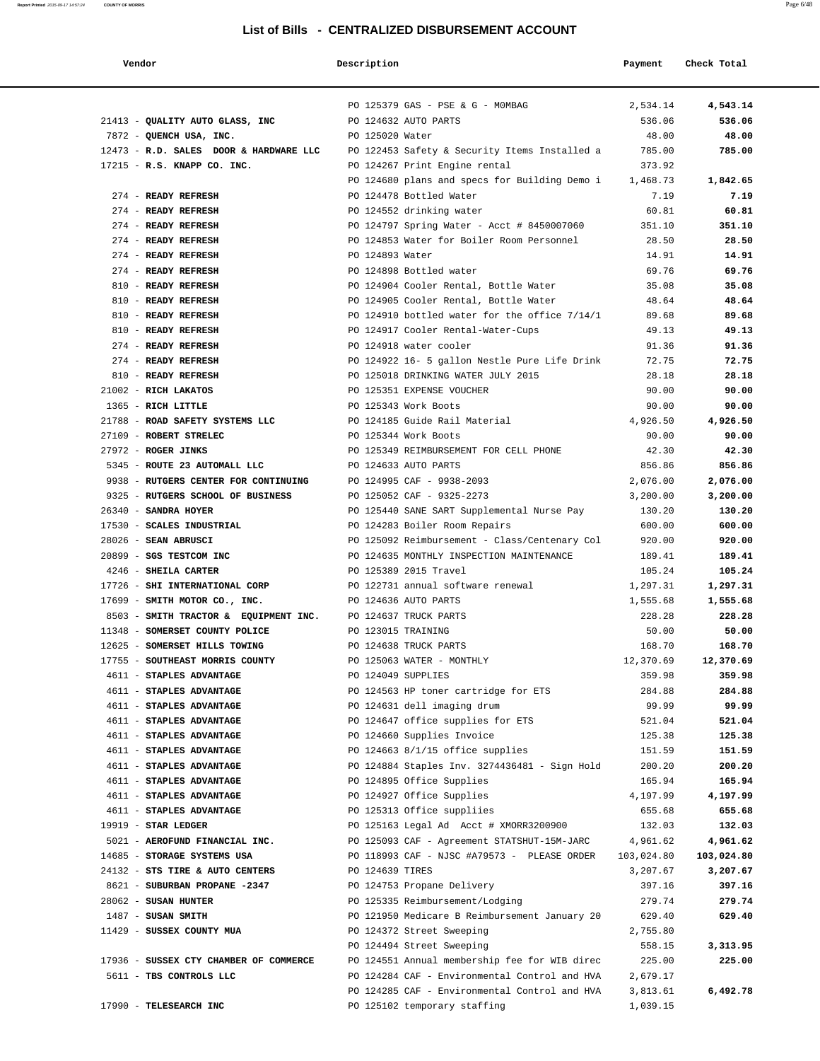| Vendor                                 | Description        |                                               | Payment    | Check Total |
|----------------------------------------|--------------------|-----------------------------------------------|------------|-------------|
|                                        |                    | PO 125379 GAS - PSE & G - MOMBAG              | 2,534.14   | 4,543.14    |
| 21413 - QUALITY AUTO GLASS, INC        |                    | PO 124632 AUTO PARTS                          | 536.06     | 536.06      |
| 7872 - QUENCH USA, INC.                | PO 125020 Water    |                                               | 48.00      | 48.00       |
| 12473 - R.D. SALES DOOR & HARDWARE LLC |                    | PO 122453 Safety & Security Items Installed a | 785.00     | 785.00      |
| 17215 - R.S. KNAPP CO. INC.            |                    | PO 124267 Print Engine rental                 | 373.92     |             |
|                                        |                    | PO 124680 plans and specs for Building Demo i | 1,468.73   | 1,842.65    |
| 274 - READY REFRESH                    |                    | PO 124478 Bottled Water                       | 7.19       | 7.19        |
| 274 - READY REFRESH                    |                    | PO 124552 drinking water                      | 60.81      | 60.81       |
| 274 - READY REFRESH                    |                    | PO 124797 Spring Water - Acct # 8450007060    | 351.10     | 351.10      |
| 274 - READY REFRESH                    |                    | PO 124853 Water for Boiler Room Personnel     | 28.50      | 28.50       |
| 274 - READY REFRESH                    | PO 124893 Water    |                                               | 14.91      | 14.91       |
| 274 - READY REFRESH                    |                    | PO 124898 Bottled water                       | 69.76      | 69.76       |
| 810 - READY REFRESH                    |                    | PO 124904 Cooler Rental, Bottle Water         | 35.08      | 35.08       |
| 810 - READY REFRESH                    |                    | PO 124905 Cooler Rental, Bottle Water         | 48.64      | 48.64       |
| 810 - READY REFRESH                    |                    | PO 124910 bottled water for the office 7/14/1 | 89.68      | 89.68       |
| 810 - READY REFRESH                    |                    | PO 124917 Cooler Rental-Water-Cups            | 49.13      | 49.13       |
| 274 - READY REFRESH                    |                    | PO 124918 water cooler                        | 91.36      | 91.36       |
| 274 - READY REFRESH                    |                    | PO 124922 16- 5 gallon Nestle Pure Life Drink | 72.75      | 72.75       |
| 810 - READY REFRESH                    |                    | PO 125018 DRINKING WATER JULY 2015            | 28.18      | 28.18       |
| 21002 - RICH LAKATOS                   |                    | PO 125351 EXPENSE VOUCHER                     | 90.00      | 90.00       |
| 1365 - RICH LITTLE                     |                    | PO 125343 Work Boots                          | 90.00      | 90.00       |
| 21788 - ROAD SAFETY SYSTEMS LLC        |                    | PO 124185 Guide Rail Material                 | 4,926.50   | 4,926.50    |
| 27109 - ROBERT STRELEC                 |                    | PO 125344 Work Boots                          | 90.00      | 90.00       |
| 27972 - ROGER JINKS                    |                    | PO 125349 REIMBURSEMENT FOR CELL PHONE        | 42.30      | 42.30       |
| 5345 - ROUTE 23 AUTOMALL LLC           |                    | PO 124633 AUTO PARTS                          | 856.86     | 856.86      |
| 9938 - RUTGERS CENTER FOR CONTINUING   |                    | PO 124995 CAF - 9938-2093                     | 2,076.00   | 2,076.00    |
| 9325 - RUTGERS SCHOOL OF BUSINESS      |                    | PO 125052 CAF - 9325-2273                     | 3,200.00   | 3,200.00    |
| 26340 - SANDRA HOYER                   |                    | PO 125440 SANE SART Supplemental Nurse Pay    | 130.20     | 130.20      |
| 17530 - SCALES INDUSTRIAL              |                    | PO 124283 Boiler Room Repairs                 | 600.00     | 600.00      |
| 28026 - SEAN ABRUSCI                   |                    | PO 125092 Reimbursement - Class/Centenary Col | 920.00     | 920.00      |
| 20899 - SGS TESTCOM INC                |                    | PO 124635 MONTHLY INSPECTION MAINTENANCE      | 189.41     | 189.41      |
| 4246 - SHEILA CARTER                   |                    | PO 125389 2015 Travel                         | 105.24     | 105.24      |
| 17726 - SHI INTERNATIONAL CORP         |                    | PO 122731 annual software renewal             | 1,297.31   | 1,297.31    |
| 17699 - SMITH MOTOR CO., INC.          |                    | PO 124636 AUTO PARTS                          | 1,555.68   | 1,555.68    |
| 8503 - SMITH TRACTOR & EQUIPMENT INC.  |                    | PO 124637 TRUCK PARTS                         | 228.28     | 228.28      |
| 11348 - SOMERSET COUNTY POLICE         | PO 123015 TRAINING |                                               | 50.00      | 50.00       |
| 12625 - SOMERSET HILLS TOWING          |                    | PO 124638 TRUCK PARTS                         | 168.70     | 168.70      |
| 17755 - SOUTHEAST MORRIS COUNTY        |                    | PO 125063 WATER - MONTHLY                     | 12,370.69  | 12,370.69   |
| 4611 - STAPLES ADVANTAGE               | PO 124049 SUPPLIES |                                               | 359.98     | 359.98      |
| 4611 - STAPLES ADVANTAGE               |                    | PO 124563 HP toner cartridge for ETS          | 284.88     | 284.88      |
| 4611 - STAPLES ADVANTAGE               |                    | PO 124631 dell imaging drum                   | 99.99      | 99.99       |
| 4611 - STAPLES ADVANTAGE               |                    | PO 124647 office supplies for ETS             | 521.04     | 521.04      |
| 4611 - STAPLES ADVANTAGE               |                    | PO 124660 Supplies Invoice                    | 125.38     | 125.38      |
| 4611 - STAPLES ADVANTAGE               |                    | PO 124663 8/1/15 office supplies              | 151.59     | 151.59      |
| 4611 - STAPLES ADVANTAGE               |                    | PO 124884 Staples Inv. 3274436481 - Sign Hold | 200.20     | 200.20      |
| 4611 - STAPLES ADVANTAGE               |                    | PO 124895 Office Supplies                     | 165.94     | 165.94      |
| 4611 - STAPLES ADVANTAGE               |                    | PO 124927 Office Supplies                     | 4,197.99   | 4,197.99    |
| 4611 - STAPLES ADVANTAGE               |                    | PO 125313 Office suppliies                    | 655.68     | 655.68      |
| 19919 - STAR LEDGER                    |                    | PO 125163 Legal Ad Acct # XMORR3200900        | 132.03     | 132.03      |
| 5021 - AEROFUND FINANCIAL INC.         |                    | PO 125093 CAF - Agreement STATSHUT-15M-JARC   | 4,961.62   | 4,961.62    |
| 14685 - STORAGE SYSTEMS USA            |                    | PO 118993 CAF - NJSC #A79573 - PLEASE ORDER   | 103,024.80 | 103,024.80  |
| 24132 - STS TIRE & AUTO CENTERS        | PO 124639 TIRES    |                                               | 3,207.67   | 3,207.67    |
| 8621 - SUBURBAN PROPANE -2347          |                    | PO 124753 Propane Delivery                    | 397.16     | 397.16      |
| 28062 - SUSAN HUNTER                   |                    | PO 125335 Reimbursement/Lodging               | 279.74     | 279.74      |
| $1487$ - SUSAN SMITH                   |                    | PO 121950 Medicare B Reimbursement January 20 | 629.40     | 629.40      |
| 11429 - SUSSEX COUNTY MUA              |                    | PO 124372 Street Sweeping                     | 2,755.80   |             |
|                                        |                    | PO 124494 Street Sweeping                     | 558.15     | 3,313.95    |
| 17936 - SUSSEX CTY CHAMBER OF COMMERCE |                    | PO 124551 Annual membership fee for WIB direc | 225.00     | 225.00      |
| 5611 - TBS CONTROLS LLC                |                    | PO 124284 CAF - Environmental Control and HVA | 2,679.17   |             |
|                                        |                    | PO 124285 CAF - Environmental Control and HVA | 3,813.61   | 6,492.78    |
| 17990 - TELESEARCH INC                 |                    | PO 125102 temporary staffing                  | 1,039.15   |             |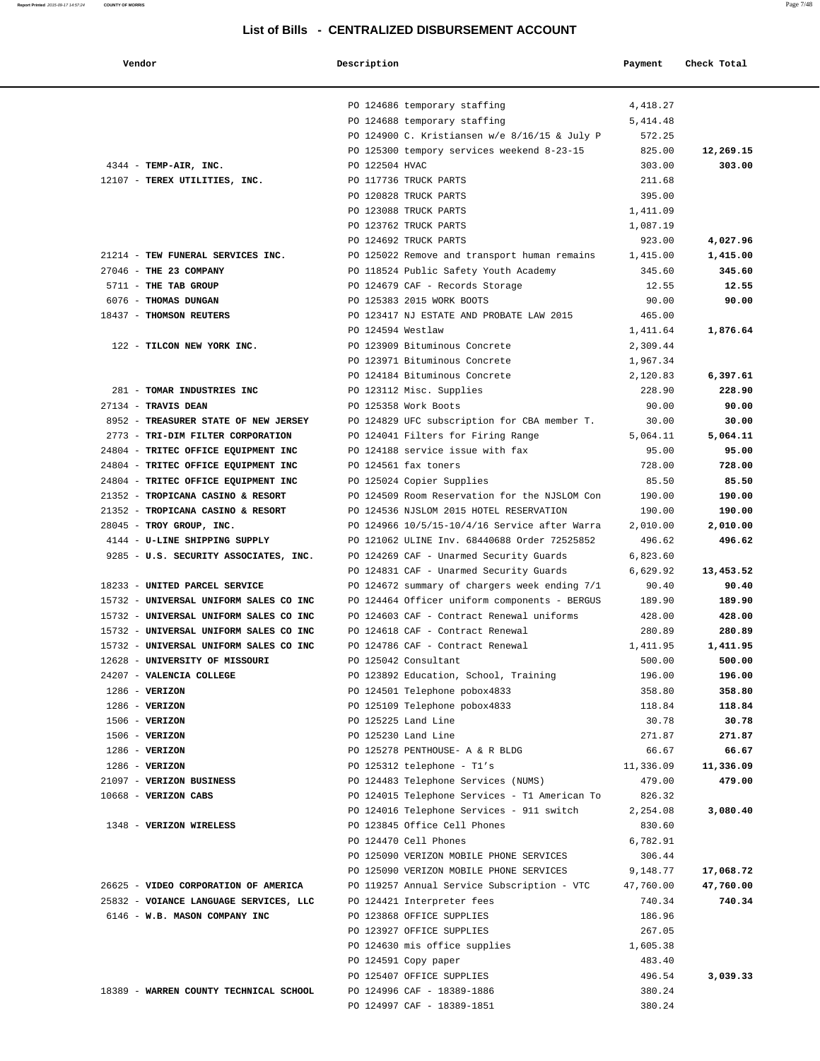| Vendor | Description | Payment | Check Total |
|--------|-------------|---------|-------------|
|        |             |         |             |

|                                        |                | PO 124686 temporary staffing                         | 4,418.27         |                 |
|----------------------------------------|----------------|------------------------------------------------------|------------------|-----------------|
|                                        |                | PO 124688 temporary staffing                         | 5, 414.48        |                 |
|                                        |                | PO 124900 C. Kristiansen w/e 8/16/15 & July P        | 572.25           |                 |
|                                        |                | PO 125300 tempory services weekend 8-23-15           | 825.00           | 12,269.15       |
| 4344 - TEMP-AIR, INC.                  | PO 122504 HVAC | PO 117736 TRUCK PARTS                                | 303.00<br>211.68 | 303.00          |
| 12107 - TEREX UTILITIES, INC.          |                | PO 120828 TRUCK PARTS                                | 395.00           |                 |
|                                        |                | PO 123088 TRUCK PARTS                                | 1,411.09         |                 |
|                                        |                | PO 123762 TRUCK PARTS                                | 1,087.19         |                 |
|                                        |                | PO 124692 TRUCK PARTS                                | 923.00           | 4,027.96        |
| 21214 - TEW FUNERAL SERVICES INC.      |                | PO 125022 Remove and transport human remains         | 1,415.00         | 1,415.00        |
| 27046 - THE 23 COMPANY                 |                | PO 118524 Public Safety Youth Academy                | 345.60           | 345.60          |
| 5711 - THE TAB GROUP                   |                | PO 124679 CAF - Records Storage                      | 12.55            | 12.55           |
| 6076 - THOMAS DUNGAN                   |                | PO 125383 2015 WORK BOOTS                            | 90.00            | 90.00           |
| 18437 - THOMSON REUTERS                |                | PO 123417 NJ ESTATE AND PROBATE LAW 2015             | 465.00           |                 |
|                                        |                | PO 124594 Westlaw                                    | 1,411.64         | 1,876.64        |
| 122 - TILCON NEW YORK INC.             |                | PO 123909 Bituminous Concrete                        | 2,309.44         |                 |
|                                        |                | PO 123971 Bituminous Concrete                        | 1,967.34         |                 |
|                                        |                | PO 124184 Bituminous Concrete                        | 2,120.83         | 6,397.61        |
| 281 - TOMAR INDUSTRIES INC             |                | PO 123112 Misc. Supplies                             | 228.90           | 228.90          |
| 27134 - TRAVIS DEAN                    |                | PO 125358 Work Boots                                 | 90.00            | 90.00           |
| 8952 - TREASURER STATE OF NEW JERSEY   |                | PO 124829 UFC subscription for CBA member T.         | 30.00            | 30.00           |
| 2773 - TRI-DIM FILTER CORPORATION      |                | PO 124041 Filters for Firing Range                   | 5,064.11         | 5,064.11        |
| 24804 - TRITEC OFFICE EQUIPMENT INC    |                | PO 124188 service issue with fax                     | 95.00            | 95.00           |
| 24804 - TRITEC OFFICE EQUIPMENT INC    |                | PO 124561 fax toners                                 | 728.00           | 728.00          |
| 24804 - TRITEC OFFICE EQUIPMENT INC    |                | PO 125024 Copier Supplies                            | 85.50            | 85.50           |
| 21352 - TROPICANA CASINO & RESORT      |                | PO 124509 Room Reservation for the NJSLOM Con        | 190.00           | 190.00          |
| 21352 - TROPICANA CASINO & RESORT      |                | PO 124536 NJSLOM 2015 HOTEL RESERVATION              | 190.00           | 190.00          |
| 28045 - TROY GROUP, INC.               |                | PO 124966 10/5/15-10/4/16 Service after Warra        | 2,010.00         | 2,010.00        |
| 4144 - U-LINE SHIPPING SUPPLY          |                | PO 121062 ULINE Inv. 68440688 Order 72525852         | 496.62           | 496.62          |
| 9285 - U.S. SECURITY ASSOCIATES, INC.  |                | PO 124269 CAF - Unarmed Security Guards              | 6,823.60         |                 |
|                                        |                | PO 124831 CAF - Unarmed Security Guards              | 6,629.92         | 13,453.52       |
| 18233 - UNITED PARCEL SERVICE          |                | PO 124672 summary of chargers week ending 7/1        | 90.40            | 90.40           |
| 15732 - UNIVERSAL UNIFORM SALES CO INC |                | PO 124464 Officer uniform components - BERGUS        | 189.90           | 189.90          |
| 15732 - UNIVERSAL UNIFORM SALES CO INC |                | PO 124603 CAF - Contract Renewal uniforms            | 428.00           | 428.00          |
| 15732 - UNIVERSAL UNIFORM SALES CO INC |                | PO 124618 CAF - Contract Renewal                     | 280.89           | 280.89          |
| 15732 - UNIVERSAL UNIFORM SALES CO INC |                | PO 124786 CAF - Contract Renewal                     | 1,411.95         | 1,411.95        |
| 12628 - UNIVERSITY OF MISSOURI         |                | PO 125042 Consultant                                 | 500.00           | 500.00          |
| 24207 - VALENCIA COLLEGE               |                | PO 123892 Education, School, Training                | 196.00           | 196.00          |
| $1286$ - VERIZON                       |                | PO 124501 Telephone pobox4833                        | 358.80           | 358.80          |
| $1286$ - VERIZON<br>$1506 - VERIZON$   |                | PO 125109 Telephone pobox4833<br>PO 125225 Land Line | 118.84<br>30.78  | 118.84<br>30.78 |
| $1506 - VERIZON$                       |                | PO 125230 Land Line                                  | 271.87           | 271.87          |
| $1286$ - VERIZON                       |                | PO 125278 PENTHOUSE- A & R BLDG                      | 66.67            | 66.67           |
| $1286$ - VERIZON                       |                | PO 125312 telephone - T1's                           | 11,336.09        | 11,336.09       |
| 21097 - VERIZON BUSINESS               |                | PO 124483 Telephone Services (NUMS)                  | 479.00           | 479.00          |
| 10668 - VERIZON CABS                   |                | PO 124015 Telephone Services - T1 American To        | 826.32           |                 |
|                                        |                | PO 124016 Telephone Services - 911 switch            | 2,254.08         | 3,080.40        |
| 1348 - VERIZON WIRELESS                |                | PO 123845 Office Cell Phones                         | 830.60           |                 |
|                                        |                | PO 124470 Cell Phones                                | 6,782.91         |                 |
|                                        |                | PO 125090 VERIZON MOBILE PHONE SERVICES              | 306.44           |                 |
|                                        |                | PO 125090 VERIZON MOBILE PHONE SERVICES              | 9,148.77         | 17,068.72       |
| 26625 - VIDEO CORPORATION OF AMERICA   |                | PO 119257 Annual Service Subscription - VTC          | 47,760.00        | 47,760.00       |
| 25832 - VOIANCE LANGUAGE SERVICES, LLC |                | PO 124421 Interpreter fees                           | 740.34           | 740.34          |
| 6146 - W.B. MASON COMPANY INC          |                | PO 123868 OFFICE SUPPLIES                            | 186.96           |                 |
|                                        |                | PO 123927 OFFICE SUPPLIES                            | 267.05           |                 |
|                                        |                | PO 124630 mis office supplies                        | 1,605.38         |                 |
|                                        |                | PO 124591 Copy paper                                 | 483.40           |                 |
|                                        |                | PO 125407 OFFICE SUPPLIES                            | 496.54           | 3,039.33        |
| 18389 - WARREN COUNTY TECHNICAL SCHOOL |                | PO 124996 CAF - 18389-1886                           | 380.24           |                 |
|                                        |                | PO 124997 CAF - 18389-1851                           | 380.24           |                 |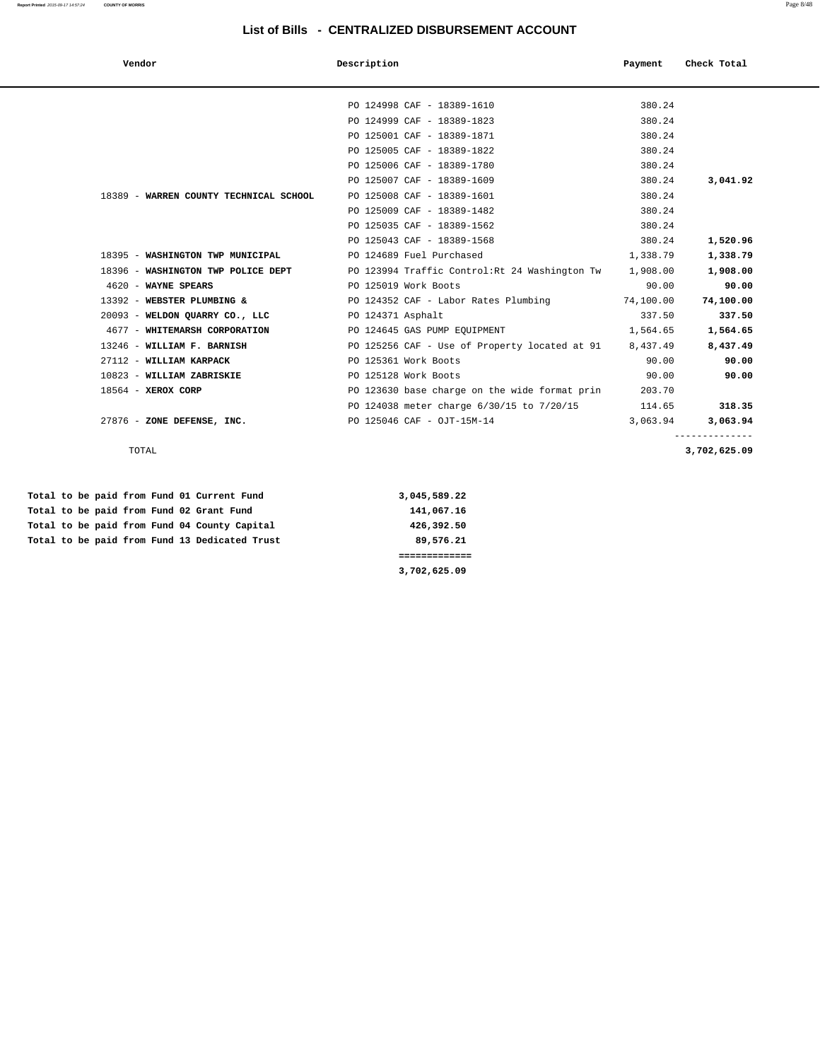| u |  |
|---|--|

| Vendor                         |                                        | Description                                    | Payment   | Check Total |
|--------------------------------|----------------------------------------|------------------------------------------------|-----------|-------------|
|                                |                                        |                                                |           |             |
|                                |                                        | PO 124998 CAF - 18389-1610                     | 380.24    |             |
|                                |                                        | PO 124999 CAF - 18389-1823                     | 380.24    |             |
|                                |                                        | PO 125001 CAF - 18389-1871                     | 380.24    |             |
|                                |                                        | PO 125005 CAF - 18389-1822                     | 380.24    |             |
|                                |                                        | PO 125006 CAF - 18389-1780                     | 380.24    |             |
|                                |                                        | PO 125007 CAF - 18389-1609                     | 380.24    | 3,041.92    |
|                                | 18389 - WARREN COUNTY TECHNICAL SCHOOL | PO 125008 CAF - 18389-1601                     | 380.24    |             |
|                                |                                        | PO 125009 CAF - 18389-1482                     | 380.24    |             |
|                                |                                        | PO 125035 CAF - 18389-1562                     | 380.24    |             |
|                                |                                        | PO 125043 CAF - 18389-1568                     | 380.24    | 1,520.96    |
|                                | 18395 - WASHINGTON TWP MUNICIPAL       | PO 124689 Fuel Purchased                       | 1,338.79  | 1,338.79    |
|                                | 18396 - WASHINGTON TWP POLICE DEPT     | PO 123994 Traffic Control: Rt 24 Washington Tw | 1,908.00  | 1,908.00    |
| 4620 - WAYNE SPEARS            |                                        | PO 125019 Work Boots                           | 90.00     | 90.00       |
| 13392 - WEBSTER PLUMBING &     |                                        | PO 124352 CAF - Labor Rates Plumbing           | 74,100.00 | 74,100.00   |
| 20093 - WELDON QUARRY CO., LLC |                                        | PO 124371 Asphalt                              | 337.50    | 337.50      |
|                                | 4677 - WHITEMARSH CORPORATION          | PO 124645 GAS PUMP EQUIPMENT                   | 1,564.65  | 1,564.65    |
| 13246 - WILLIAM F. BARNISH     |                                        | PO 125256 CAF - Use of Property located at 91  | 8,437.49  | 8,437.49    |
| 27112 - WILLIAM KARPACK        |                                        | PO 125361 Work Boots                           | 90.00     | 90.00       |
| 10823 - WILLIAM ZABRISKIE      |                                        | PO 125128 Work Boots                           | 90.00     | 90.00       |
| 18564 - XEROX CORP             |                                        | PO 123630 base charge on the wide format prin  | 203.70    |             |
|                                |                                        | PO 124038 meter charge 6/30/15 to 7/20/15      | 114.65    | 318.35      |
| 27876 - ZONE DEFENSE, INC.     |                                        | PO 125046 CAF - OJT-15M-14                     | 3,063.94  | 3,063.94    |
|                                |                                        |                                                |           |             |

Total to be paid from Fund 01 Current Fund 3,045,589.22 Total to be paid from Fund 02 Grant Fund 141,067.16  **Total to be paid from Fund 04 County Capital 426,392.50 Total to be paid from Fund 13 Dedicated Trust 89,576.21**

 **============= 3,702,625.09**

 -------------- TOTAL **3,702,625.09**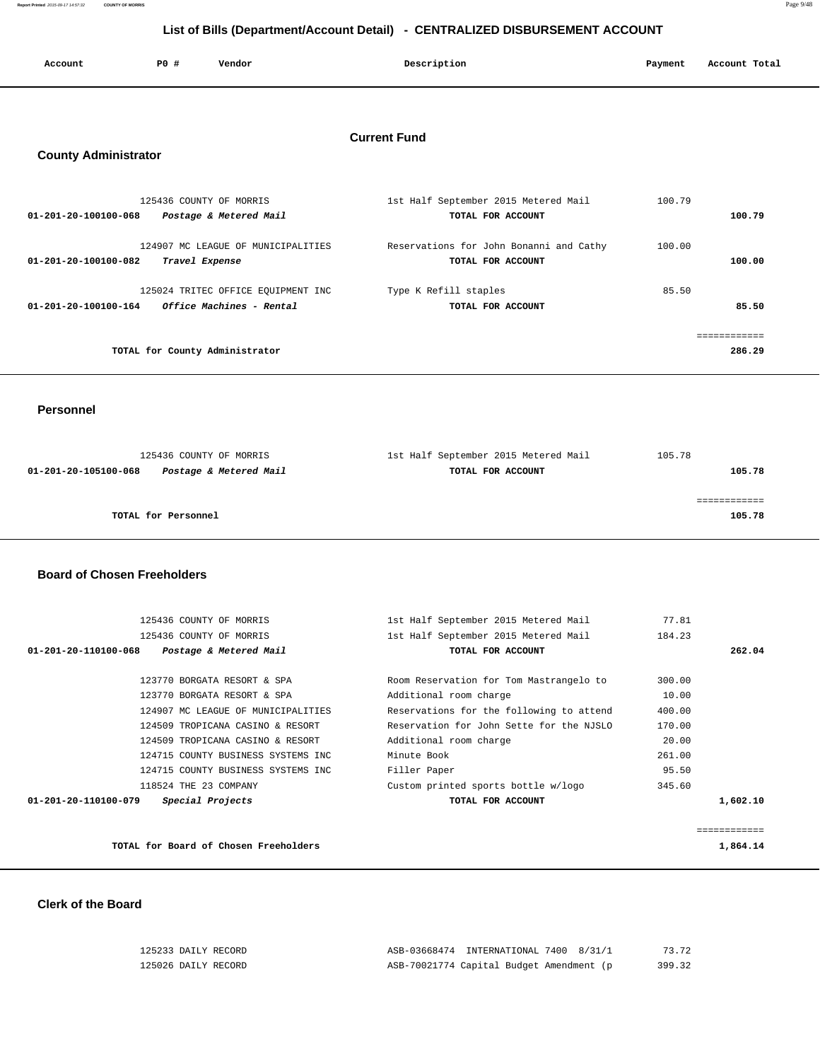| Account<br>. | P <sub>0</sub> | Vendor<br>. | Description | Payment | Account Total |
|--------------|----------------|-------------|-------------|---------|---------------|
|              |                |             |             |         |               |

# **Current Fund**

# **County Administrator**

| 125436 COUNTY OF MORRIS                          | 1st Half September 2015 Metered Mail    | 100.79 |
|--------------------------------------------------|-----------------------------------------|--------|
| Postage & Metered Mail<br>01-201-20-100100-068   | TOTAL FOR ACCOUNT                       | 100.79 |
| 124907 MC LEAGUE OF MUNICIPALITIES               | Reservations for John Bonanni and Cathy | 100.00 |
| 01-201-20-100100-082<br>Travel Expense           | TOTAL FOR ACCOUNT                       | 100.00 |
| 125024 TRITEC OFFICE EQUIPMENT INC               | Type K Refill staples                   | 85.50  |
| Office Machines - Rental<br>01-201-20-100100-164 | TOTAL FOR ACCOUNT                       | 85.50  |
|                                                  |                                         |        |
| TOTAL for County Administrator                   |                                         | 286.29 |

 **Personnel** 

| 125436 COUNTY OF MORRIS                        | 1st Half September 2015 Metered Mail | 105.78 |
|------------------------------------------------|--------------------------------------|--------|
| Postage & Metered Mail<br>01-201-20-105100-068 | TOTAL FOR ACCOUNT                    | 105.78 |
|                                                |                                      |        |
|                                                |                                      |        |
| TOTAL for Personnel                            |                                      | 105.78 |

### **Board of Chosen Freeholders**

| 125436 COUNTY OF MORRIS                        | 1st Half September 2015 Metered Mail     | 77.81       |
|------------------------------------------------|------------------------------------------|-------------|
| 125436 COUNTY OF MORRIS                        | 1st Half September 2015 Metered Mail     | 184.23      |
| 01-201-20-110100-068<br>Postage & Metered Mail | TOTAL FOR ACCOUNT                        | 262.04      |
|                                                |                                          |             |
| 123770 BORGATA RESORT & SPA                    | Room Reservation for Tom Mastrangelo to  | 300.00      |
| 123770 BORGATA RESORT & SPA                    | Additional room charge                   | 10.00       |
| 124907 MC LEAGUE OF MUNICIPALITIES             | Reservations for the following to attend | 400.00      |
| 124509 TROPICANA CASINO & RESORT               | Reservation for John Sette for the NJSLO | 170.00      |
| 124509 TROPICANA CASINO & RESORT               | Additional room charge                   | 20.00       |
| 124715 COUNTY BUSINESS SYSTEMS INC             | Minute Book                              | 261.00      |
| 124715 COUNTY BUSINESS SYSTEMS INC             | Filler Paper                             | 95.50       |
| 118524 THE 23 COMPANY                          | Custom printed sports bottle w/logo      | 345.60      |
| Special Projects<br>01-201-20-110100-079       | TOTAL FOR ACCOUNT                        | 1,602.10    |
|                                                |                                          |             |
|                                                |                                          | =========== |
| TOTAL for Board of Chosen Freeholders          |                                          | 1,864.14    |

 **Clerk of the Board** 

| 125233 DAILY RECORD | ASB-03668474 INTERNATIONAL 7400 8/31/1   | 73.72  |
|---------------------|------------------------------------------|--------|
| 125026 DAILY RECORD | ASB-70021774 Capital Budget Amendment (p | 399.32 |

**Report Printed** 2015-09-17 14:57:32 **COUNTY OF MORRIS** Page 9/48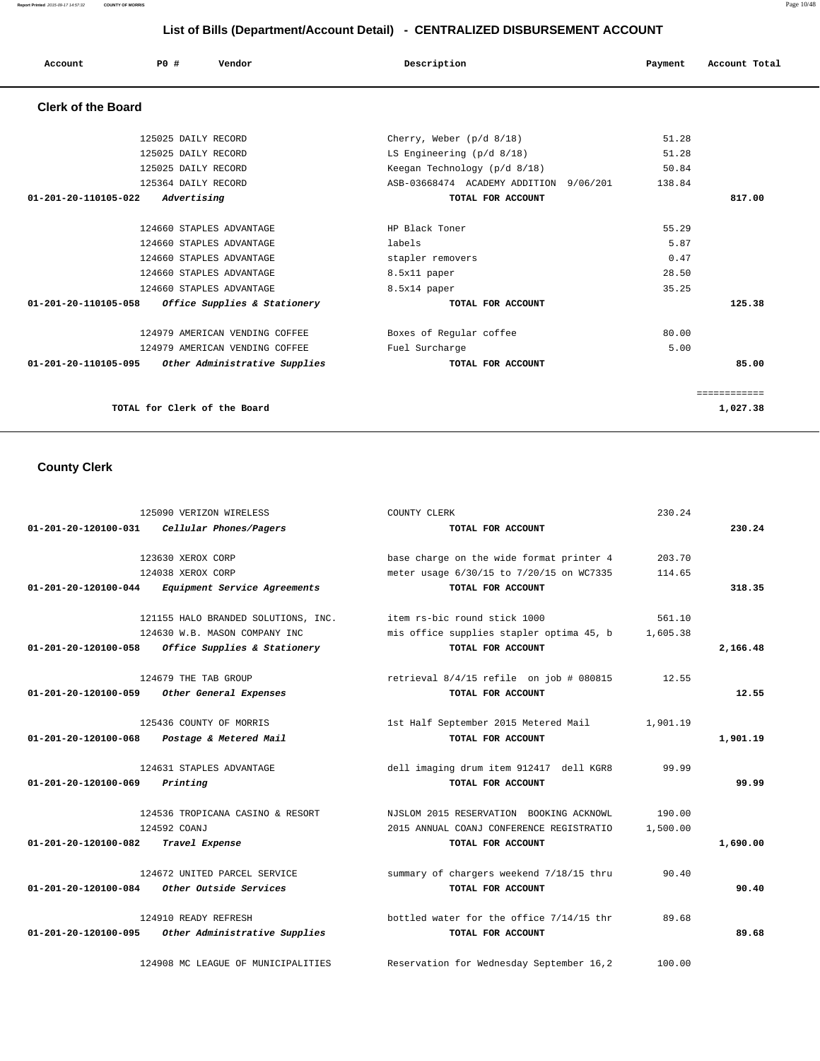**Report Printed** 2015-09-17 14:57:32 **COUNTY OF MORRIS** Page 10/48

# **List of Bills (Department/Account Detail) - CENTRALIZED DISBURSEMENT ACCOUNT**

| Account                   | PO#                          | Vendor                                             | Description                            | Payment | Account Total |
|---------------------------|------------------------------|----------------------------------------------------|----------------------------------------|---------|---------------|
| <b>Clerk of the Board</b> |                              |                                                    |                                        |         |               |
|                           | 125025 DAILY RECORD          |                                                    | Cherry, Weber $(p/d \ 8/18)$           | 51.28   |               |
|                           | 125025 DAILY RECORD          |                                                    | LS Engineering $(p/d \ 8/18)$          | 51.28   |               |
|                           | 125025 DAILY RECORD          |                                                    | Keegan Technology (p/d 8/18)           | 50.84   |               |
|                           | 125364 DAILY RECORD          |                                                    | ASB-03668474 ACADEMY ADDITION 9/06/201 | 138.84  |               |
| 01-201-20-110105-022      | Advertising                  |                                                    | TOTAL FOR ACCOUNT                      |         | 817.00        |
|                           |                              | 124660 STAPLES ADVANTAGE                           | HP Black Toner                         | 55.29   |               |
|                           |                              | 124660 STAPLES ADVANTAGE                           | labels                                 | 5.87    |               |
|                           |                              | 124660 STAPLES ADVANTAGE                           | stapler removers                       | 0.47    |               |
|                           |                              | 124660 STAPLES ADVANTAGE                           | 8.5x11 paper                           | 28.50   |               |
|                           |                              | 124660 STAPLES ADVANTAGE                           | 8.5x14 paper                           | 35.25   |               |
|                           |                              | 01-201-20-110105-058 Office Supplies & Stationery  | TOTAL FOR ACCOUNT                      |         | 125.38        |
|                           |                              | 124979 AMERICAN VENDING COFFEE                     | Boxes of Regular coffee                | 80.00   |               |
|                           |                              | 124979 AMERICAN VENDING COFFEE                     | Fuel Surcharge                         | 5.00    |               |
|                           |                              | 01-201-20-110105-095 Other Administrative Supplies | TOTAL FOR ACCOUNT                      |         | 85.00         |
|                           |                              |                                                    |                                        |         | ============= |
|                           | TOTAL for Clerk of the Board |                                                    |                                        |         | 1,027.38      |

# **County Clerk**

|                                         | 125090 VERIZON WIRELESS                       | COUNTY CLERK                              | 230.24   |          |
|-----------------------------------------|-----------------------------------------------|-------------------------------------------|----------|----------|
|                                         | $01-201-20-120100-031$ Cellular Phones/Pagers | TOTAL FOR ACCOUNT                         |          | 230.24   |
|                                         | 123630 XEROX CORP                             | base charge on the wide format printer 4  | 203.70   |          |
|                                         | 124038 XEROX CORP                             | meter usage 6/30/15 to 7/20/15 on WC7335  | 114.65   |          |
| 01-201-20-120100-044                    | Equipment Service Agreements                  | TOTAL FOR ACCOUNT                         |          | 318.35   |
|                                         | 121155 HALO BRANDED SOLUTIONS, INC.           | item rs-bic round stick 1000              | 561.10   |          |
|                                         | 124630 W.B. MASON COMPANY INC                 | mis office supplies stapler optima 45, b  | 1,605.38 |          |
| 01-201-20-120100-058                    | Office Supplies & Stationery                  | TOTAL FOR ACCOUNT                         |          | 2,166.48 |
|                                         | 124679 THE TAB GROUP                          | retrieval $8/4/15$ refile on job # 080815 | 12.55    |          |
| $01 - 201 - 20 - 120100 - 059$          | Other General Expenses                        | TOTAL FOR ACCOUNT                         |          | 12.55    |
|                                         | 125436 COUNTY OF MORRIS                       | 1st Half September 2015 Metered Mail      | 1,901.19 |          |
| 01-201-20-120100-068                    | Postage & Metered Mail                        | TOTAL FOR ACCOUNT                         |          | 1,901.19 |
|                                         | 124631 STAPLES ADVANTAGE                      | dell imaging drum item 912417 dell KGR8   | 99.99    |          |
| $01 - 201 - 20 - 120100 - 069$ Printing |                                               | TOTAL FOR ACCOUNT                         |          | 99.99    |
|                                         | 124536 TROPICANA CASINO & RESORT              | NJSLOM 2015 RESERVATION BOOKING ACKNOWL   | 190.00   |          |
|                                         | 124592 COANJ                                  | 2015 ANNUAL COANJ CONFERENCE REGISTRATIO  | 1,500.00 |          |
| 01-201-20-120100-082 Travel Expense     |                                               | TOTAL FOR ACCOUNT                         |          | 1,690.00 |
|                                         | 124672 UNITED PARCEL SERVICE                  | summary of chargers weekend 7/18/15 thru  | 90.40    |          |
|                                         | $01-201-20-120100-084$ Other Outside Services | TOTAL FOR ACCOUNT                         |          | 90.40    |
|                                         | 124910 READY REFRESH                          | bottled water for the office 7/14/15 thr  | 89.68    |          |
| 01-201-20-120100-095                    | Other Administrative Supplies                 | TOTAL FOR ACCOUNT                         |          | 89.68    |
|                                         | 124908 MC LEAGUE OF MUNICIPALITIES            | Reservation for Wednesday September 16.2  | 100.00   |          |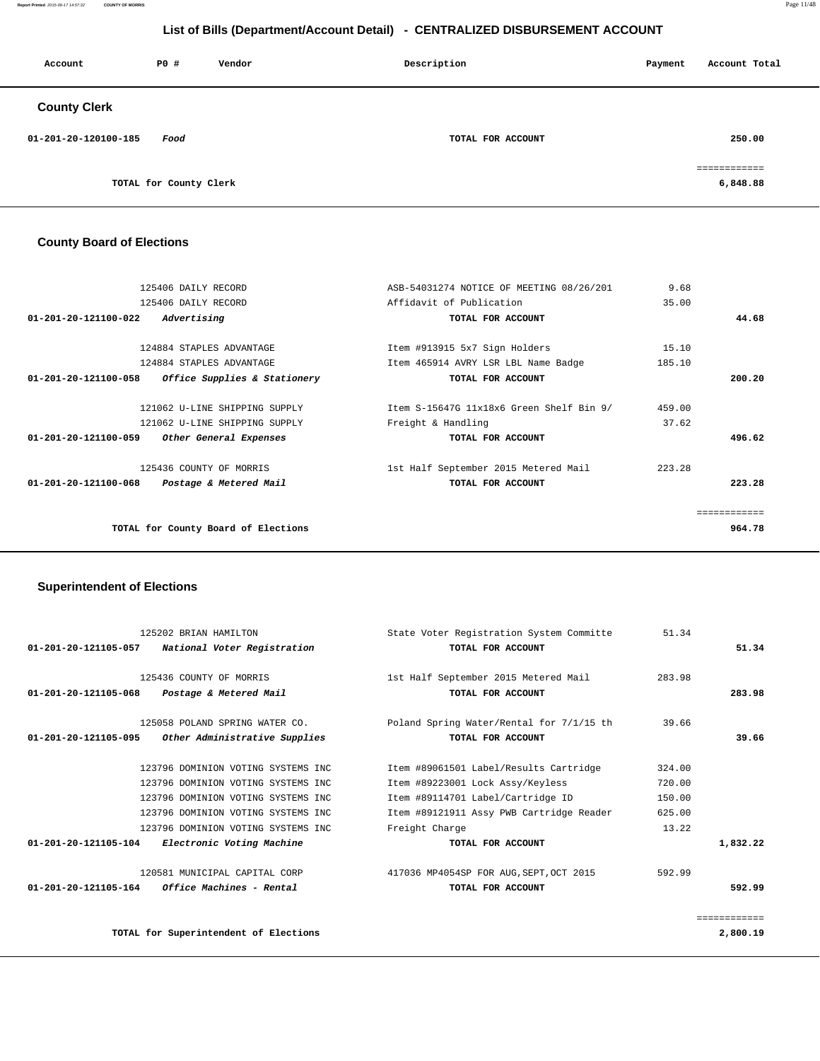#### **Report Printed** 2015-09-17 14:57:32 **COUNTY OF MORRIS** Page 11/48

# **List of Bills (Department/Account Detail) - CENTRALIZED DISBURSEMENT ACCOUNT**

| Account              | PO#                    | Vendor | Description       | Payment | Account Total            |
|----------------------|------------------------|--------|-------------------|---------|--------------------------|
| <b>County Clerk</b>  |                        |        |                   |         |                          |
| 01-201-20-120100-185 | Food                   |        | TOTAL FOR ACCOUNT |         | 250.00                   |
|                      | TOTAL for County Clerk |        |                   |         | ============<br>6,848.88 |

### **County Board of Elections**

| 125406 DAILY RECORD                                      | ASB-54031274 NOTICE OF MEETING 08/26/201 | 9.68   |              |
|----------------------------------------------------------|------------------------------------------|--------|--------------|
| 125406 DAILY RECORD                                      | Affidavit of Publication                 | 35.00  |              |
| $01 - 201 - 20 - 121100 - 022$<br>Advertising            | TOTAL FOR ACCOUNT                        |        | 44.68        |
|                                                          |                                          |        |              |
| 124884 STAPLES ADVANTAGE                                 | Item #913915 5x7 Sign Holders            | 15.10  |              |
| 124884 STAPLES ADVANTAGE                                 | Item 465914 AVRY LSR LBL Name Badge      | 185.10 |              |
| Office Supplies & Stationery<br>01-201-20-121100-058     | TOTAL FOR ACCOUNT                        |        | 200.20       |
| 121062 U-LINE SHIPPING SUPPLY                            | Item S-15647G 11x18x6 Green Shelf Bin 9/ | 459.00 |              |
| 121062 U-LINE SHIPPING SUPPLY                            | Freight & Handling                       | 37.62  |              |
| 01-201-20-121100-059<br>Other General Expenses           | TOTAL FOR ACCOUNT                        |        | 496.62       |
| 125436 COUNTY OF MORRIS                                  | 1st Half September 2015 Metered Mail     | 223.28 |              |
| $01 - 201 - 20 - 121100 - 068$<br>Postage & Metered Mail | TOTAL FOR ACCOUNT                        |        | 223.28       |
|                                                          |                                          |        | ============ |
| TOTAL for County Board of Elections                      |                                          |        | 964.78       |
|                                                          |                                          |        |              |

### **Superintendent of Elections**

| 125202 BRIAN HAMILTON          |                                       | State Voter Registration System Committe | 51.34  |              |
|--------------------------------|---------------------------------------|------------------------------------------|--------|--------------|
| 01-201-20-121105-057           | National Voter Registration           | TOTAL FOR ACCOUNT                        |        | 51.34        |
| 125436 COUNTY OF MORRIS        |                                       | 1st Half September 2015 Metered Mail     | 283.98 |              |
| $01 - 201 - 20 - 121105 - 068$ | Postage & Metered Mail                | TOTAL FOR ACCOUNT                        |        | 283.98       |
|                                | 125058 POLAND SPRING WATER CO.        | Poland Spring Water/Rental for 7/1/15 th | 39.66  |              |
| 01-201-20-121105-095           | Other Administrative Supplies         | TOTAL FOR ACCOUNT                        |        | 39.66        |
|                                | 123796 DOMINION VOTING SYSTEMS INC    | Item #89061501 Label/Results Cartridge   | 324.00 |              |
|                                | 123796 DOMINION VOTING SYSTEMS INC    | Item #89223001 Lock Assy/Keyless         | 720.00 |              |
|                                | 123796 DOMINION VOTING SYSTEMS INC    | Item #89114701 Label/Cartridge ID        | 150.00 |              |
|                                | 123796 DOMINION VOTING SYSTEMS INC    | Item #89121911 Assy PWB Cartridge Reader | 625.00 |              |
|                                | 123796 DOMINION VOTING SYSTEMS INC    | Freight Charge                           | 13.22  |              |
| 01-201-20-121105-104           | Electronic Voting Machine             | TOTAL FOR ACCOUNT                        |        | 1,832.22     |
|                                | 120581 MUNICIPAL CAPITAL CORP         | 417036 MP4054SP FOR AUG, SEPT, OCT 2015  | 592.99 |              |
| 01-201-20-121105-164           | <i>Office Machines - Rental</i>       | TOTAL FOR ACCOUNT                        |        | 592.99       |
|                                |                                       |                                          |        | ============ |
|                                | TOTAL for Superintendent of Elections |                                          |        | 2,800.19     |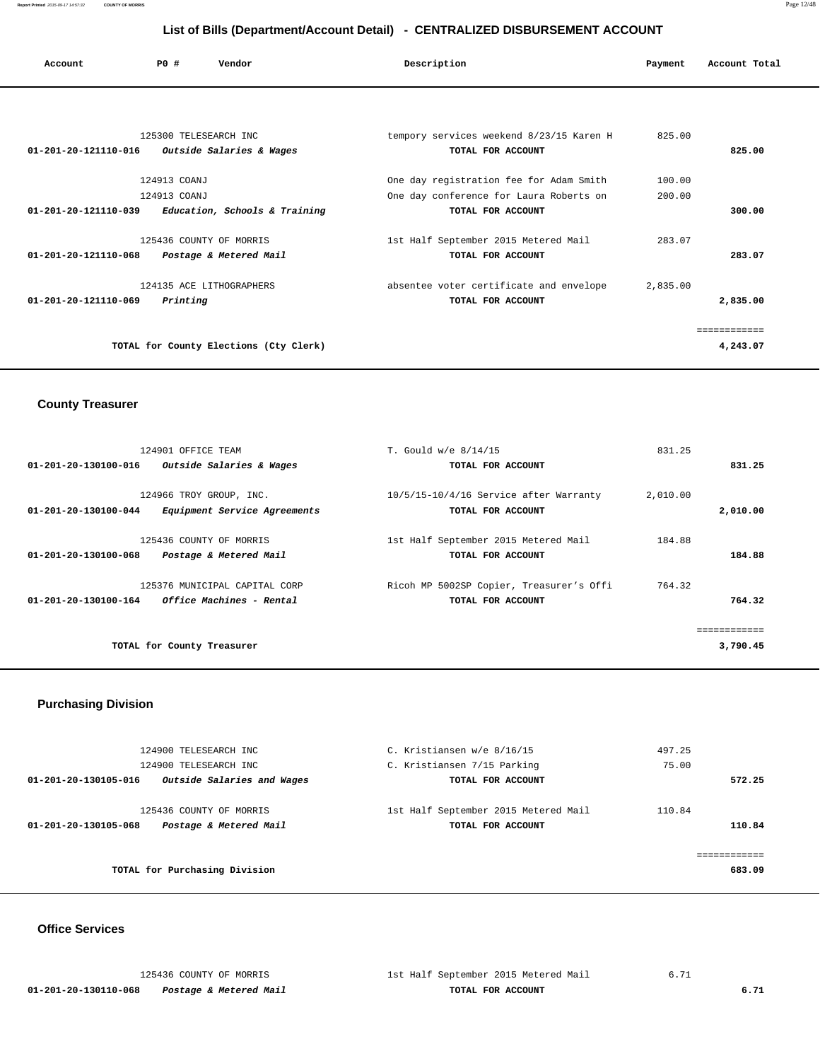| Account                        | PO#                   | Vendor                        | Description                              | Payment | Account Total |
|--------------------------------|-----------------------|-------------------------------|------------------------------------------|---------|---------------|
|                                |                       |                               |                                          |         |               |
|                                |                       |                               |                                          |         |               |
|                                | 125300 TELESEARCH INC |                               | tempory services weekend 8/23/15 Karen H | 825.00  |               |
| 01-201-20-121110-016           |                       | Outside Salaries & Wages      | TOTAL FOR ACCOUNT                        |         | 825.00        |
|                                |                       |                               |                                          |         |               |
|                                | 124913 COANJ          |                               | One day registration fee for Adam Smith  | 100.00  |               |
|                                | 124913 COANJ          |                               | One day conference for Laura Roberts on  | 200.00  |               |
| $01 - 201 - 20 - 121110 - 039$ |                       | Education, Schools & Training | TOTAL FOR ACCOUNT                        |         | 300.00        |
|                                |                       | 125436 COUNTY OF MORRIS       | 1st Half September 2015 Metered Mail     | 283.07  |               |
| 01-201-20-121110-068           |                       | Postage & Metered Mail        | TOTAL FOR ACCOUNT                        |         | 283.07        |

 124135 ACE LITHOGRAPHERS absentee voter certificate and envelope 2,835.00  **01-201-20-121110-069 Printing TOTAL FOR ACCOUNT 2,835.00**

**TOTAL for County Elections (Cty Clerk) 4,243.07**

#### **County Treasurer**

| 124901 OFFICE TEAM   |                               | T. Gould w/e 8/14/15                       | 831.25   |              |
|----------------------|-------------------------------|--------------------------------------------|----------|--------------|
| 01-201-20-130100-016 | Outside Salaries & Wages      | TOTAL FOR ACCOUNT                          |          | 831.25       |
|                      |                               |                                            |          |              |
|                      | 124966 TROY GROUP, INC.       | $10/5/15 - 10/4/16$ Service after Warranty | 2,010.00 |              |
| 01-201-20-130100-044 | Equipment Service Agreements  | TOTAL FOR ACCOUNT                          |          | 2,010.00     |
|                      | 125436 COUNTY OF MORRIS       | 1st Half September 2015 Metered Mail       | 184.88   |              |
| 01-201-20-130100-068 | Postage & Metered Mail        | TOTAL FOR ACCOUNT                          |          | 184.88       |
|                      | 125376 MUNICIPAL CAPITAL CORP | Ricoh MP 5002SP Copier, Treasurer's Offi   | 764.32   |              |
| 01-201-20-130100-164 | Office Machines - Rental      | TOTAL FOR ACCOUNT                          |          | 764.32       |
|                      |                               |                                            |          | ============ |
|                      | TOTAL for County Treasurer    |                                            |          | 3,790.45     |
|                      |                               |                                            |          |              |

============

#### **Purchasing Division**

| 124900 TELESEARCH INC                                                     | C. Kristiansen w/e 8/16/15                                | 497.25           |
|---------------------------------------------------------------------------|-----------------------------------------------------------|------------------|
| 124900 TELESEARCH INC                                                     | C. Kristiansen 7/15 Parking                               | 75.00            |
| Outside Salaries and Wages<br>01-201-20-130105-016                        | TOTAL FOR ACCOUNT                                         | 572.25           |
| 125436 COUNTY OF MORRIS<br>Postage & Metered Mail<br>01-201-20-130105-068 | 1st Half September 2015 Metered Mail<br>TOTAL FOR ACCOUNT | 110.84<br>110.84 |
| TOTAL for Purchasing Division                                             |                                                           | 683.09           |

#### **Office Services**

 **01-201-20-130110-068 Postage & Metered Mail TOTAL FOR ACCOUNT 6.71**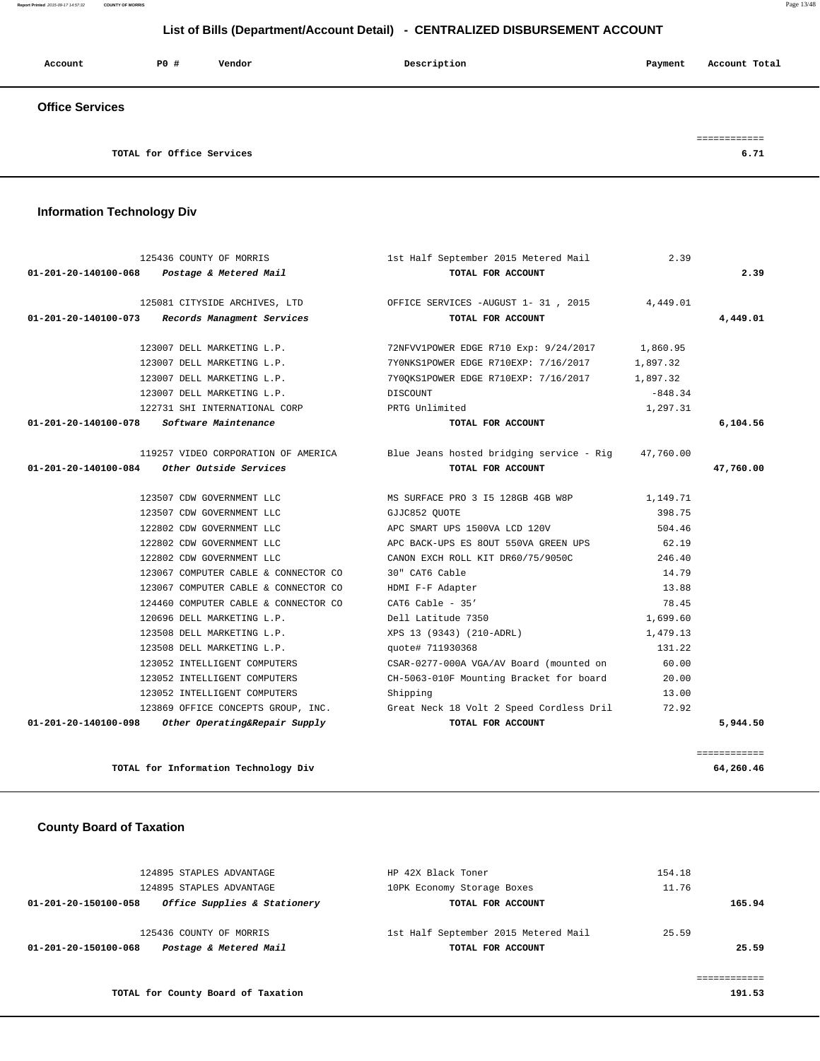**Report Printed** 2015-09-17 14:57:32 **COUNTY OF MORRIS** Page 13/48

# **List of Bills (Department/Account Detail) - CENTRALIZED DISBURSEMENT ACCOUNT**

| Account                | PO#                       | Vendor | Description | Payment | Account Total |
|------------------------|---------------------------|--------|-------------|---------|---------------|
| <b>Office Services</b> |                           |        |             |         |               |
|                        |                           |        |             |         |               |
|                        | TOTAL for Office Services |        |             |         | 6.71          |

 **Information Technology Div**

|           | 2.39      | 1st Half September 2015 Metered Mail                              | 125436 COUNTY OF MORRIS                              |                                           |
|-----------|-----------|-------------------------------------------------------------------|------------------------------------------------------|-------------------------------------------|
| 2.39      |           | TOTAL FOR ACCOUNT                                                 | 01-201-20-140100-068 Postage & Metered Mail          |                                           |
|           | 4,449.01  | 125081 CITYSIDE ARCHIVES, LTD OFFICE SERVICES -AUGUST 1- 31, 2015 |                                                      |                                           |
| 4,449.01  |           | TOTAL FOR ACCOUNT                                                 | 01-201-20-140100-073 Records Managment Services      |                                           |
|           | 1,860.95  | 72NFVV1 POWER EDGE R710 Exp: 9/24/2017                            | 123007 DELL MARKETING L.P.                           |                                           |
|           | 1,897.32  | 7YONKS1 POWER EDGE R710 EXP: 7/16/2017                            | 123007 DELL MARKETING L.P.                           |                                           |
|           | 1,897.32  | 7Y00KS1 POWER EDGE R710 EXP: 7/16/2017                            | 123007 DELL MARKETING L.P.                           |                                           |
|           | $-848.34$ | DISCOUNT                                                          | 123007 DELL MARKETING L.P.                           |                                           |
|           | 1,297.31  | PRTG Unlimited                                                    | 122731 SHI INTERNATIONAL CORP                        |                                           |
| 6,104.56  |           | TOTAL FOR ACCOUNT                                                 |                                                      | 01-201-20-140100-078 Software Maintenance |
|           |           | Blue Jeans hosted bridging service - Rig 47,760.00                | 119257 VIDEO CORPORATION OF AMERICA                  |                                           |
| 47,760.00 |           | TOTAL FOR ACCOUNT                                                 | $01-201-20-140100-084$ Other Outside Services        |                                           |
|           | 1,149.71  | MS SURFACE PRO 3 I5 128GB 4GB W8P                                 | 123507 CDW GOVERNMENT LLC                            |                                           |
|           | 398.75    | GJJC852 OUOTE                                                     | 123507 CDW GOVERNMENT LLC                            |                                           |
|           | 504.46    | APC SMART UPS 1500VA LCD 120V                                     | 122802 CDW GOVERNMENT LLC                            |                                           |
|           | 62.19     | APC BACK-UPS ES 80UT 550VA GREEN UPS                              | 122802 CDW GOVERNMENT LLC                            |                                           |
|           | 246.40    | CANON EXCH ROLL KIT DR60/75/9050C                                 | 122802 CDW GOVERNMENT LLC                            |                                           |
|           | 14.79     | 30" CAT6 Cable                                                    | 123067 COMPUTER CABLE & CONNECTOR CO                 |                                           |
|           | 13.88     | HDMI F-F Adapter                                                  | 123067 COMPUTER CABLE & CONNECTOR CO                 |                                           |
|           | 78.45     | CAT6 Cable - $35'$                                                | 124460 COMPUTER CABLE & CONNECTOR CO                 |                                           |
|           | 1,699.60  | Dell Latitude 7350                                                | 120696 DELL MARKETING L.P.                           |                                           |
|           | 1,479.13  | XPS 13 (9343) (210-ADRL)                                          | 123508 DELL MARKETING L.P.                           |                                           |
|           | 131.22    | quote# 711930368                                                  | 123508 DELL MARKETING L.P.                           |                                           |
|           | 60.00     | CSAR-0277-000A VGA/AV Board (mounted on                           | 123052 INTELLIGENT COMPUTERS                         |                                           |
|           | 20.00     | CH-5063-010F Mounting Bracket for board                           | 123052 INTELLIGENT COMPUTERS                         |                                           |
|           | 13.00     | Shipping                                                          | 123052 INTELLIGENT COMPUTERS                         |                                           |
|           | 72.92     | Great Neck 18 Volt 2 Speed Cordless Dril                          | 123869 OFFICE CONCEPTS GROUP, INC.                   |                                           |
|           |           | TOTAL FOR ACCOUNT                                                 | $01-201-20-140100-098$ Other Operating&Repair Supply |                                           |

# **County Board of Taxation**

|        | 154.18 | HP 42X Black Toner                   | 124895 STAPLES ADVANTAGE                             |
|--------|--------|--------------------------------------|------------------------------------------------------|
|        | 11.76  | 10PK Economy Storage Boxes           | 124895 STAPLES ADVANTAGE                             |
| 165.94 |        | TOTAL FOR ACCOUNT                    | Office Supplies & Stationery<br>01-201-20-150100-058 |
|        | 25.59  | 1st Half September 2015 Metered Mail | 125436 COUNTY OF MORRIS                              |
| 25.59  |        | TOTAL FOR ACCOUNT                    | Postage & Metered Mail<br>01-201-20-150100-068       |
|        |        |                                      |                                                      |
|        |        |                                      |                                                      |

**TOTAL for County Board of Taxation 191.53**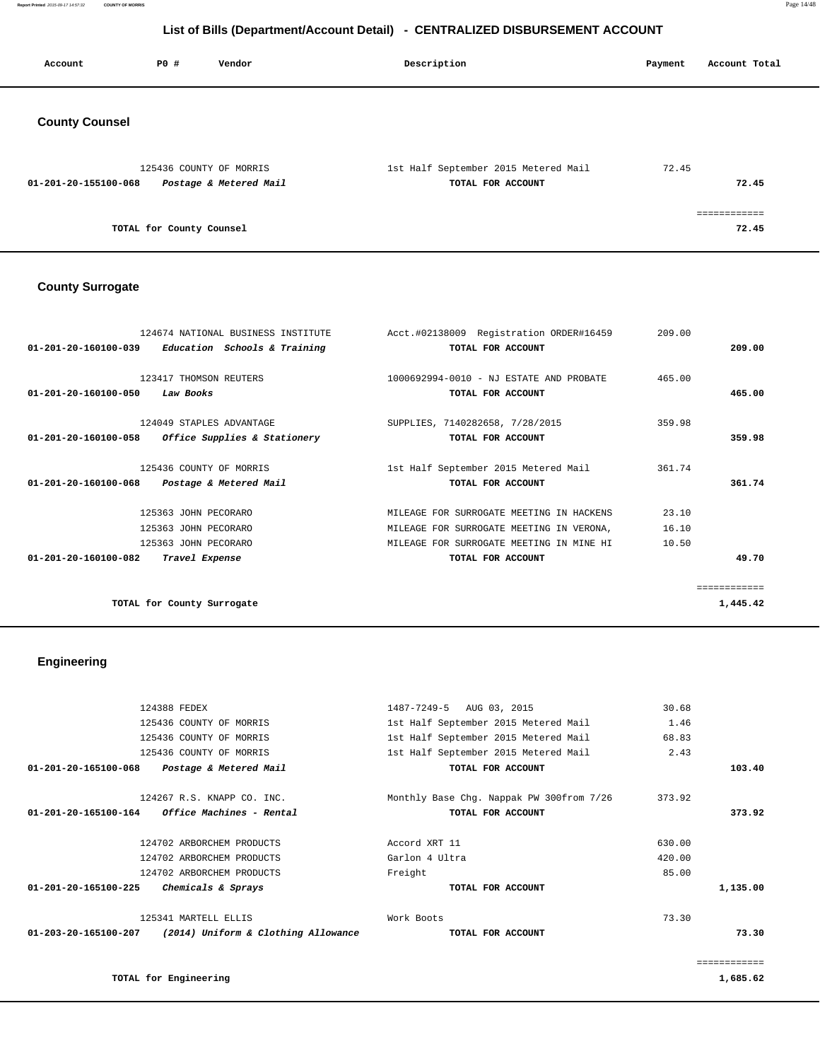**Report Printed** 2015-09-17 14:57:32 **COUNTY OF MORRIS** Page 14/48

# **List of Bills (Department/Account Detail) - CENTRALIZED DISBURSEMENT ACCOUNT**

| Account               | P0 #                     | Vendor                                            | Description                                               | Payment | Account Total        |
|-----------------------|--------------------------|---------------------------------------------------|-----------------------------------------------------------|---------|----------------------|
| <b>County Counsel</b> |                          |                                                   |                                                           |         |                      |
| 01-201-20-155100-068  |                          | 125436 COUNTY OF MORRIS<br>Postage & Metered Mail | 1st Half September 2015 Metered Mail<br>TOTAL FOR ACCOUNT | 72.45   | 72.45                |
|                       | TOTAL for County Counsel |                                                   |                                                           |         | ===========<br>72.45 |

### **County Surrogate**

| 124674 NATIONAL BUSINESS INSTITUTE                              | Acct.#02138009 Registration ORDER#16459  | 209.00 |              |
|-----------------------------------------------------------------|------------------------------------------|--------|--------------|
| 01-201-20-160100-039<br>Education Schools & Training            | TOTAL FOR ACCOUNT                        |        | 209.00       |
|                                                                 |                                          |        |              |
| 123417 THOMSON REUTERS                                          | 1000692994-0010 - NJ ESTATE AND PROBATE  | 465.00 |              |
| $01 - 201 - 20 - 160100 - 050$<br>Law Books                     | TOTAL FOR ACCOUNT                        |        | 465.00       |
|                                                                 |                                          |        |              |
| 124049 STAPLES ADVANTAGE                                        | SUPPLIES, 7140282658, 7/28/2015          | 359.98 |              |
| <i>Office Supplies &amp; Stationery</i><br>01-201-20-160100-058 | TOTAL FOR ACCOUNT                        |        | 359.98       |
|                                                                 |                                          |        |              |
| 125436 COUNTY OF MORRIS                                         | 1st Half September 2015 Metered Mail     | 361.74 |              |
| 01-201-20-160100-068<br>Postage & Metered Mail                  | TOTAL FOR ACCOUNT                        |        | 361.74       |
| 125363 JOHN PECORARO                                            | MILEAGE FOR SURROGATE MEETING IN HACKENS | 23.10  |              |
| 125363 JOHN PECORARO                                            | MILEAGE FOR SURROGATE MEETING IN VERONA, | 16.10  |              |
| 125363 JOHN PECORARO                                            | MILEAGE FOR SURROGATE MEETING IN MINE HI | 10.50  |              |
| $01 - 201 - 20 - 160100 - 082$<br>Travel Expense                | TOTAL FOR ACCOUNT                        |        | 49.70        |
|                                                                 |                                          |        |              |
|                                                                 |                                          |        | ============ |
| TOTAL for County Surrogate                                      |                                          |        | 1,445.42     |
|                                                                 |                                          |        |              |

# **Engineering**

|          | 30.68  | 1487-7249-5 AUG 03, 2015                 | 124388 FEDEX                                             |                                |
|----------|--------|------------------------------------------|----------------------------------------------------------|--------------------------------|
|          | 1.46   | 1st Half September 2015 Metered Mail     | 125436 COUNTY OF MORRIS                                  |                                |
|          | 68.83  | 1st Half September 2015 Metered Mail     | 125436 COUNTY OF MORRIS                                  |                                |
|          | 2.43   | 1st Half September 2015 Metered Mail     | 125436 COUNTY OF MORRIS                                  |                                |
| 103.40   |        | TOTAL FOR ACCOUNT                        | 01-201-20-165100-068 Postage & Metered Mail              |                                |
|          | 373.92 | Monthly Base Chg. Nappak PW 300from 7/26 | 124267 R.S. KNAPP CO. INC.                               |                                |
| 373.92   |        | TOTAL FOR ACCOUNT                        | $01 - 201 - 20 - 165100 - 164$ Office Machines - Rental  |                                |
|          | 630.00 | Accord XRT 11                            | 124702 ARBORCHEM PRODUCTS                                |                                |
|          | 420.00 | Garlon 4 Ultra                           | 124702 ARBORCHEM PRODUCTS                                |                                |
|          | 85.00  | Freight                                  | 124702 ARBORCHEM PRODUCTS                                |                                |
| 1,135.00 |        | TOTAL FOR ACCOUNT                        | Chemicals & Sprays                                       | $01 - 201 - 20 - 165100 - 225$ |
|          | 73.30  | Work Boots                               | 125341 MARTELL ELLIS                                     |                                |
| 73.30    |        | TOTAL FOR ACCOUNT                        | 01-203-20-165100-207 (2014) Uniform & Clothing Allowance |                                |
|          |        |                                          |                                                          |                                |
| 1,685.62 |        |                                          | TOTAL for Engineering                                    |                                |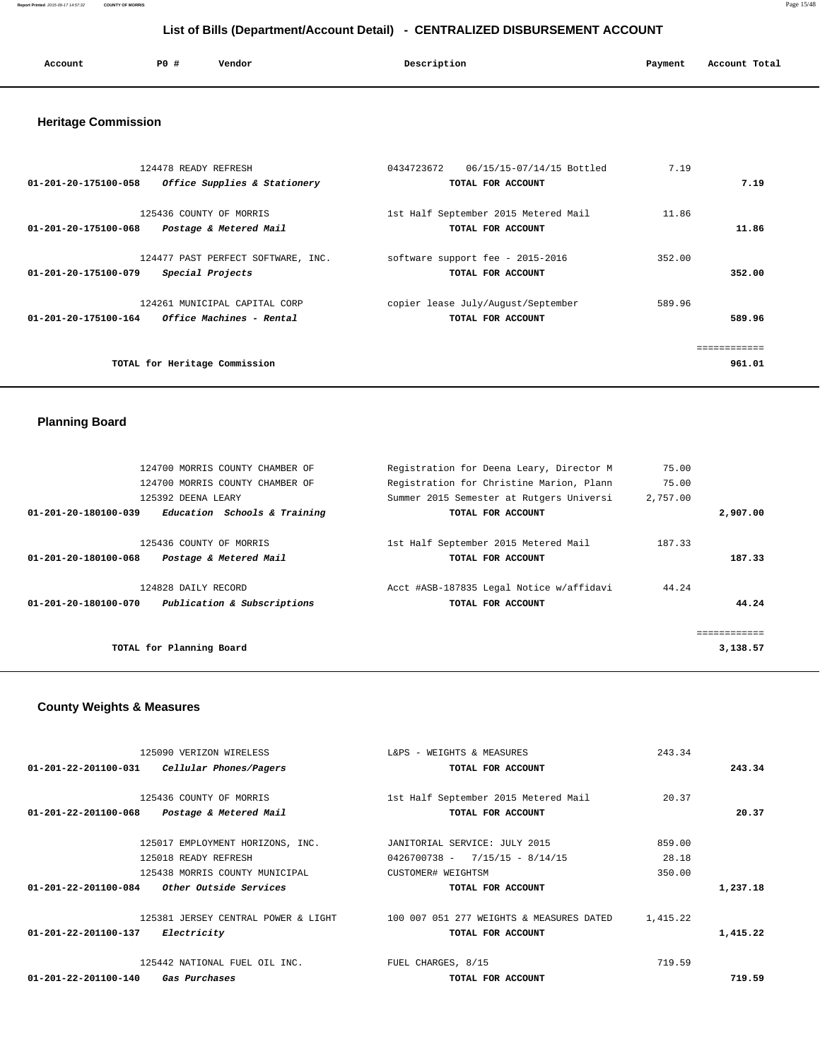**Report Printed** 2015-09-17 14:57:32 **COUNTY OF MORRIS** Page 15/48

# **List of Bills (Department/Account Detail) - CENTRALIZED DISBURSEMENT ACCOUNT**

| Account | P0 # | Vendor | Description | Payment | Account Total |
|---------|------|--------|-------------|---------|---------------|
| .       |      | .      | .           |         |               |
|         |      |        |             |         |               |

### **Heritage Commission**

| 124478 READY REFRESH<br>01-201-20-175100-058<br>Office Supplies & Stationery             | 0434723672<br>06/15/15-07/14/15 Bottled<br>TOTAL FOR ACCOUNT | 7.19   | 7.19   |
|------------------------------------------------------------------------------------------|--------------------------------------------------------------|--------|--------|
| 125436 COUNTY OF MORRIS<br>01-201-20-175100-068<br>Postage & Metered Mail                | 1st Half September 2015 Metered Mail<br>TOTAL FOR ACCOUNT    | 11.86  | 11.86  |
| 124477 PAST PERFECT SOFTWARE, INC.<br>01-201-20-175100-079<br>Special Projects           | software support fee - 2015-2016<br>TOTAL FOR ACCOUNT        | 352.00 | 352.00 |
| 124261 MUNICIPAL CAPITAL CORP<br><i>Office Machines - Rental</i><br>01-201-20-175100-164 | copier lease July/August/September<br>TOTAL FOR ACCOUNT      | 589.96 | 589.96 |
| TOTAL for Heritage Commission                                                            |                                                              |        | 961.01 |

### **Planning Board**

| 124700 MORRIS COUNTY CHAMBER OF                      | Registration for Deena Leary, Director M | 75.00    |              |
|------------------------------------------------------|------------------------------------------|----------|--------------|
| 124700 MORRIS COUNTY CHAMBER OF                      | Registration for Christine Marion, Plann | 75.00    |              |
| 125392 DEENA LEARY                                   | Summer 2015 Semester at Rutgers Universi | 2,757.00 |              |
| Education Schools & Training<br>01-201-20-180100-039 | TOTAL FOR ACCOUNT                        |          | 2,907.00     |
|                                                      |                                          |          |              |
| 125436 COUNTY OF MORRIS                              | 1st Half September 2015 Metered Mail     | 187.33   |              |
| 01-201-20-180100-068<br>Postage & Metered Mail       | TOTAL FOR ACCOUNT                        |          | 187.33       |
| 124828 DAILY RECORD                                  | Acct #ASB-187835 Legal Notice w/affidavi | 44.24    |              |
| Publication & Subscriptions<br>01-201-20-180100-070  | TOTAL FOR ACCOUNT                        |          | 44.24        |
|                                                      |                                          |          |              |
|                                                      |                                          |          | ============ |
| TOTAL for Planning Board                             |                                          |          | 3,138.57     |

# **County Weights & Measures**

| 125090 VERIZON WIRELESS                                  | L&PS - WEIGHTS & MEASURES                | 243.34   |          |
|----------------------------------------------------------|------------------------------------------|----------|----------|
| 01-201-22-201100-031<br>Cellular Phones/Pagers           | TOTAL FOR ACCOUNT                        |          | 243.34   |
|                                                          |                                          |          |          |
| 125436 COUNTY OF MORRIS                                  | 1st Half September 2015 Metered Mail     | 20.37    |          |
| 01-201-22-201100-068<br>Postage & Metered Mail           | TOTAL FOR ACCOUNT                        |          | 20.37    |
|                                                          |                                          |          |          |
| 125017 EMPLOYMENT HORIZONS, INC.                         | JANITORIAL SERVICE: JULY 2015            | 859.00   |          |
| 125018 READY REFRESH                                     | $0426700738 - 7/15/15 - 8/14/15$         | 28.18    |          |
| 125438 MORRIS COUNTY MUNICIPAL                           | CUSTOMER# WEIGHTSM                       | 350.00   |          |
| Other Outside Services<br>$01 - 201 - 22 - 201100 - 084$ | TOTAL FOR ACCOUNT                        |          | 1,237.18 |
|                                                          |                                          |          |          |
| 125381 JERSEY CENTRAL POWER & LIGHT                      | 100 007 051 277 WEIGHTS & MEASURES DATED | 1,415.22 |          |
| 01-201-22-201100-137<br><i>Electricity</i>               | TOTAL FOR ACCOUNT                        |          | 1,415.22 |
| 125442 NATIONAL FUEL OIL INC.                            | FUEL CHARGES, 8/15                       | 719.59   |          |
| 01-201-22-201100-140<br>Gas Purchases                    | TOTAL FOR ACCOUNT                        |          | 719.59   |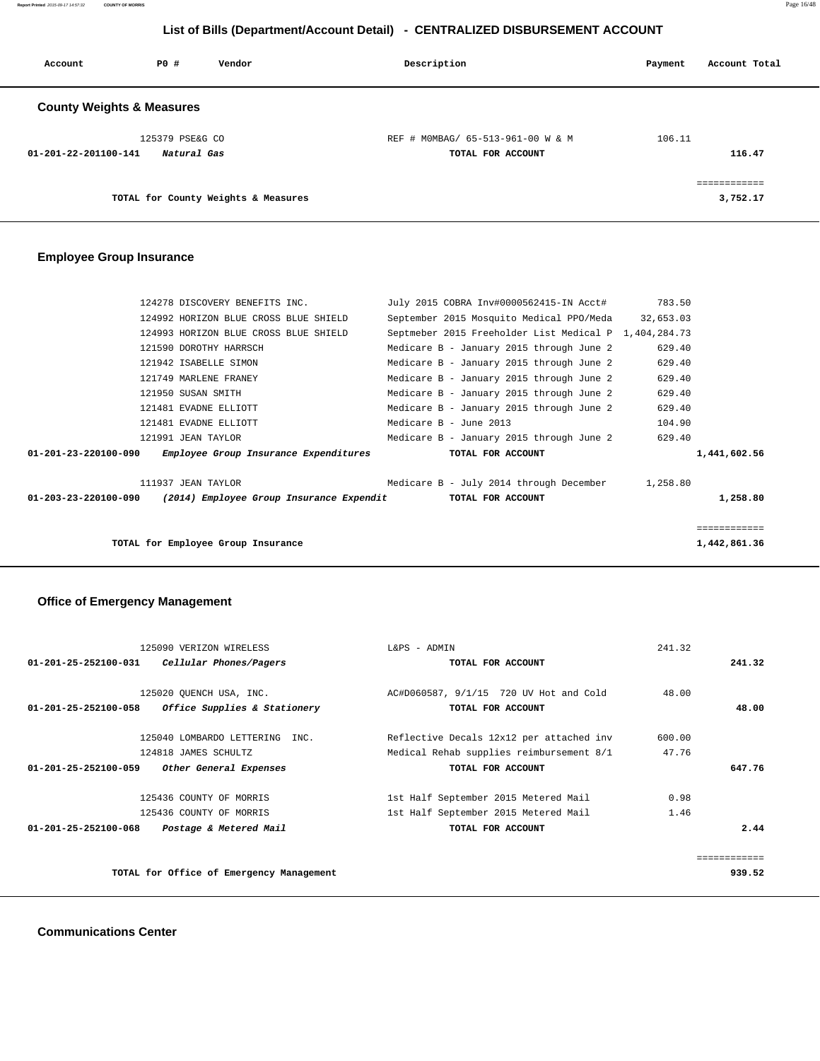**Report Printed** 2015-09-17 14:57:32 **COUNTY OF MORRIS** Page 16/48

# **List of Bills (Department/Account Detail) - CENTRALIZED DISBURSEMENT ACCOUNT**

| Account                              | PO#             | Vendor                              | Description                       | Payment | Account Total |
|--------------------------------------|-----------------|-------------------------------------|-----------------------------------|---------|---------------|
| <b>County Weights &amp; Measures</b> |                 |                                     |                                   |         |               |
|                                      | 125379 PSE&G CO |                                     | REF # MOMBAG/ 65-513-961-00 W & M | 106.11  |               |
| 01-201-22-201100-141                 | Natural Gas     |                                     | TOTAL FOR ACCOUNT                 |         | 116.47        |
|                                      |                 |                                     |                                   |         | ============  |
|                                      |                 | TOTAL for County Weights & Measures |                                   |         | 3,752.17      |

# **Employee Group Insurance**

|                      | 124278 DISCOVERY BENEFITS INC.           | July 2015 COBRA Inv#0000562415-IN Acct#               | 783.50       |
|----------------------|------------------------------------------|-------------------------------------------------------|--------------|
|                      | 124992 HORIZON BLUE CROSS BLUE SHIELD    | September 2015 Mosquito Medical PPO/Meda 32,653.03    |              |
|                      | 124993 HORIZON BLUE CROSS BLUE SHIELD    | Septmeber 2015 Freeholder List Medical P 1,404,284.73 |              |
|                      | 121590 DOROTHY HARRSCH                   | Medicare B - January 2015 through June 2              | 629.40       |
|                      | 121942 ISABELLE SIMON                    | Medicare B - January 2015 through June 2              | 629.40       |
|                      | 121749 MARLENE FRANEY                    | Medicare B - January 2015 through June 2              | 629.40       |
|                      | 121950 SUSAN SMITH                       | Medicare B - January 2015 through June 2              | 629.40       |
|                      | 121481 EVADNE ELLIOTT                    | Medicare B - January 2015 through June 2              | 629.40       |
|                      | 121481 EVADNE ELLIOTT                    | Medicare B - June 2013                                | 104.90       |
|                      | 121991 JEAN TAYLOR                       | Medicare B - January 2015 through June 2              | 629.40       |
| 01-201-23-220100-090 | Employee Group Insurance Expenditures    | TOTAL FOR ACCOUNT                                     | 1,441,602.56 |
|                      | 111937 JEAN TAYLOR                       | Medicare B - July 2014 through December 1,258.80      |              |
| 01-203-23-220100-090 | (2014) Employee Group Insurance Expendit | TOTAL FOR ACCOUNT                                     | 1,258.80     |
|                      |                                          |                                                       | ============ |
|                      | TOTAL for Employee Group Insurance       |                                                       | 1,442,861.36 |
|                      |                                          |                                                       |              |

# **Office of Emergency Management**

|                                | 125090 VERIZON WIRELESS                  | L&PS - ADMIN                             | 241.32 |              |
|--------------------------------|------------------------------------------|------------------------------------------|--------|--------------|
| 01-201-25-252100-031           | Cellular Phones/Pagers                   | TOTAL FOR ACCOUNT                        |        | 241.32       |
|                                | 125020 OUENCH USA, INC.                  | AC#D060587, 9/1/15 720 UV Hot and Cold   | 48.00  |              |
| 01-201-25-252100-058           | Office Supplies & Stationery             | TOTAL FOR ACCOUNT                        |        | 48.00        |
|                                | 125040 LOMBARDO LETTERING INC.           | Reflective Decals 12x12 per attached inv | 600.00 |              |
|                                | 124818 JAMES SCHULTZ                     | Medical Rehab supplies reimbursement 8/1 | 47.76  |              |
| $01 - 201 - 25 - 252100 - 059$ | Other General Expenses                   | TOTAL FOR ACCOUNT                        |        | 647.76       |
|                                | 125436 COUNTY OF MORRIS                  | 1st Half September 2015 Metered Mail     | 0.98   |              |
|                                | 125436 COUNTY OF MORRIS                  | 1st Half September 2015 Metered Mail     | 1.46   |              |
| 01-201-25-252100-068           | Postage & Metered Mail                   | TOTAL FOR ACCOUNT                        |        | 2.44         |
|                                |                                          |                                          |        | ------------ |
|                                | TOTAL for Office of Emergency Management |                                          |        | 939.52       |
|                                |                                          |                                          |        |              |

 **Communications Center**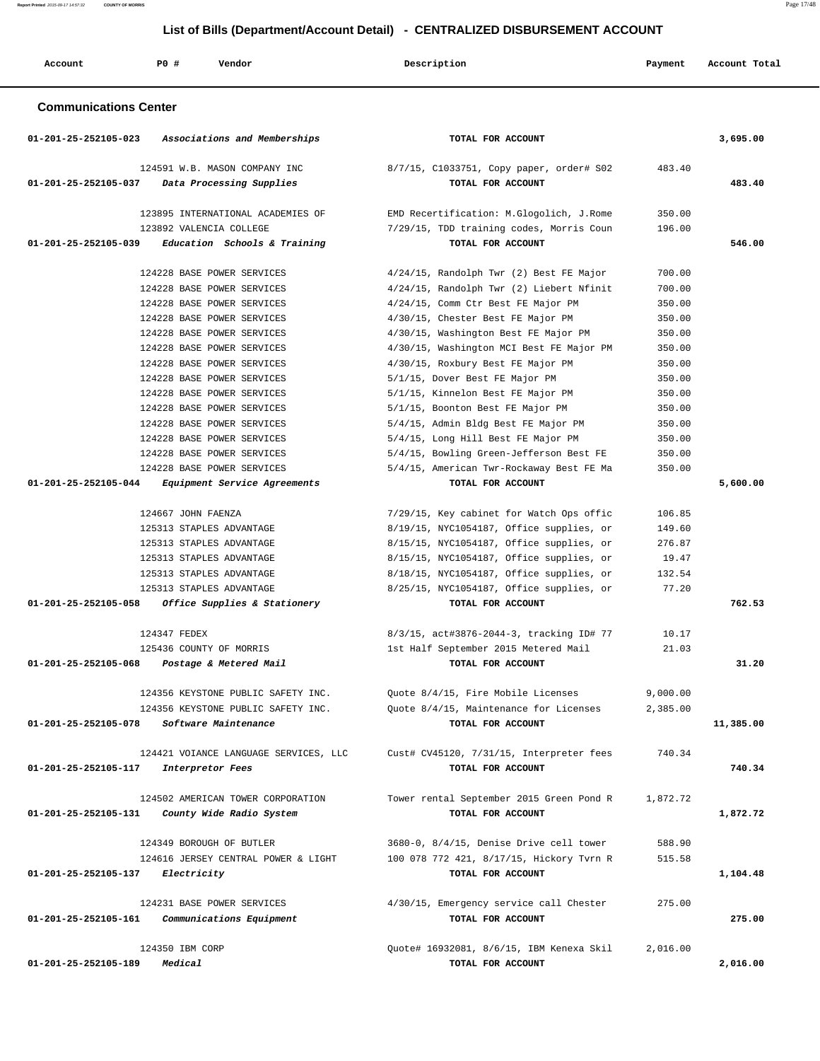**Report Printed** 2015-09-17 14:57:32 **COUNTY OF MORRIS** Page 17/48

# **List of Bills (Department/Account Detail) - CENTRALIZED DISBURSEMENT ACCOUNT**

| Account                        | P0 #<br>Vendor                                            | Description                                                   | Payment  | Account Total |
|--------------------------------|-----------------------------------------------------------|---------------------------------------------------------------|----------|---------------|
| <b>Communications Center</b>   |                                                           |                                                               |          |               |
| 01-201-25-252105-023           | Associations and Memberships                              | TOTAL FOR ACCOUNT                                             |          | 3,695.00      |
| 01-201-25-252105-037           | 124591 W.B. MASON COMPANY INC<br>Data Processing Supplies | 8/7/15, C1033751, Copy paper, order# S02<br>TOTAL FOR ACCOUNT | 483.40   | 483.40        |
|                                | 123895 INTERNATIONAL ACADEMIES OF                         | EMD Recertification: M.Glogolich, J.Rome                      | 350.00   |               |
|                                | 123892 VALENCIA COLLEGE                                   | 7/29/15, TDD training codes, Morris Coun                      | 196.00   |               |
| 01-201-25-252105-039           | Education Schools & Training                              | TOTAL FOR ACCOUNT                                             |          | 546.00        |
|                                | 124228 BASE POWER SERVICES                                | 4/24/15, Randolph Twr (2) Best FE Major                       | 700.00   |               |
|                                | 124228 BASE POWER SERVICES                                | 4/24/15, Randolph Twr (2) Liebert Nfinit                      | 700.00   |               |
|                                | 124228 BASE POWER SERVICES                                | 4/24/15, Comm Ctr Best FE Major PM                            | 350.00   |               |
|                                | 124228 BASE POWER SERVICES                                | 4/30/15, Chester Best FE Major PM                             | 350.00   |               |
|                                | 124228 BASE POWER SERVICES                                | 4/30/15, Washington Best FE Major PM                          | 350.00   |               |
|                                | 124228 BASE POWER SERVICES                                | 4/30/15, Washington MCI Best FE Major PM                      | 350.00   |               |
|                                | 124228 BASE POWER SERVICES                                | 4/30/15, Roxbury Best FE Major PM                             | 350.00   |               |
|                                | 124228 BASE POWER SERVICES                                | 5/1/15, Dover Best FE Major PM                                | 350.00   |               |
|                                | 124228 BASE POWER SERVICES                                | 5/1/15, Kinnelon Best FE Major PM                             | 350.00   |               |
|                                | 124228 BASE POWER SERVICES                                | 5/1/15, Boonton Best FE Major PM                              | 350.00   |               |
|                                | 124228 BASE POWER SERVICES                                | 5/4/15, Admin Bldg Best FE Major PM                           | 350.00   |               |
|                                | 124228 BASE POWER SERVICES                                | 5/4/15, Long Hill Best FE Major PM                            | 350.00   |               |
|                                | 124228 BASE POWER SERVICES                                | 5/4/15, Bowling Green-Jefferson Best FE                       | 350.00   |               |
|                                | 124228 BASE POWER SERVICES                                | 5/4/15, American Twr-Rockaway Best FE Ma                      | 350.00   |               |
| 01-201-25-252105-044           | Equipment Service Agreements                              | TOTAL FOR ACCOUNT                                             |          | 5,600.00      |
|                                |                                                           |                                                               |          |               |
|                                | 124667 JOHN FAENZA                                        | 7/29/15, Key cabinet for Watch Ops offic                      | 106.85   |               |
|                                | 125313 STAPLES ADVANTAGE                                  | 8/19/15, NYC1054187, Office supplies, or                      | 149.60   |               |
|                                | 125313 STAPLES ADVANTAGE                                  | 8/15/15, NYC1054187, Office supplies, or                      | 276.87   |               |
|                                | 125313 STAPLES ADVANTAGE                                  | 8/15/15, NYC1054187, Office supplies, or                      | 19.47    |               |
|                                | 125313 STAPLES ADVANTAGE                                  | 8/18/15, NYC1054187, Office supplies, or                      | 132.54   |               |
|                                | 125313 STAPLES ADVANTAGE                                  | 8/25/15, NYC1054187, Office supplies, or                      | 77.20    |               |
| $01 - 201 - 25 - 252105 - 058$ | Office Supplies & Stationery                              | TOTAL FOR ACCOUNT                                             |          | 762.53        |
|                                | 124347 FEDEX                                              | 8/3/15, act#3876-2044-3, tracking ID# 77                      | 10.17    |               |
|                                | 125436 COUNTY OF MORRIS                                   | 1st Half September 2015 Metered Mail                          | 21.03    |               |
| 01-201-25-252105-068           | Postage & Metered Mail                                    | TOTAL FOR ACCOUNT                                             |          | 31.20         |
|                                |                                                           |                                                               |          |               |
|                                | 124356 KEYSTONE PUBLIC SAFETY INC.                        | Quote 8/4/15, Fire Mobile Licenses                            | 9,000.00 |               |
|                                | 124356 KEYSTONE PUBLIC SAFETY INC.                        | Ouote 8/4/15, Maintenance for Licenses                        | 2,385.00 |               |
| 01-201-25-252105-078           | Software Maintenance                                      | TOTAL FOR ACCOUNT                                             |          | 11,385.00     |
|                                |                                                           |                                                               |          |               |
|                                | 124421 VOIANCE LANGUAGE SERVICES, LLC                     | Cust# CV45120, 7/31/15, Interpreter fees                      | 740.34   |               |
| 01-201-25-252105-117           | Interpretor Fees                                          | TOTAL FOR ACCOUNT                                             |          | 740.34        |
|                                |                                                           |                                                               |          |               |
|                                | 124502 AMERICAN TOWER CORPORATION                         | Tower rental September 2015 Green Pond R                      | 1,872.72 |               |
| 01-201-25-252105-131           | County Wide Radio System                                  | TOTAL FOR ACCOUNT                                             |          | 1,872.72      |
|                                |                                                           |                                                               |          |               |
|                                | 124349 BOROUGH OF BUTLER                                  | 3680-0, 8/4/15, Denise Drive cell tower                       | 588.90   |               |
|                                | 124616 JERSEY CENTRAL POWER & LIGHT                       | 100 078 772 421, 8/17/15, Hickory Tvrn R                      | 515.58   |               |
| 01-201-25-252105-137           | Electricity                                               | TOTAL FOR ACCOUNT                                             |          | 1,104.48      |
|                                |                                                           |                                                               |          |               |
|                                | 124231 BASE POWER SERVICES                                | 4/30/15, Emergency service call Chester                       | 275.00   |               |
| 01-201-25-252105-161           | Communications Equipment                                  | TOTAL FOR ACCOUNT                                             |          | 275.00        |
|                                | 124350 IBM CORP                                           | Quote# 16932081, 8/6/15, IBM Kenexa Skil                      | 2,016.00 |               |
| 01-201-25-252105-189           | Medical                                                   | TOTAL FOR ACCOUNT                                             |          | 2,016.00      |
|                                |                                                           |                                                               |          |               |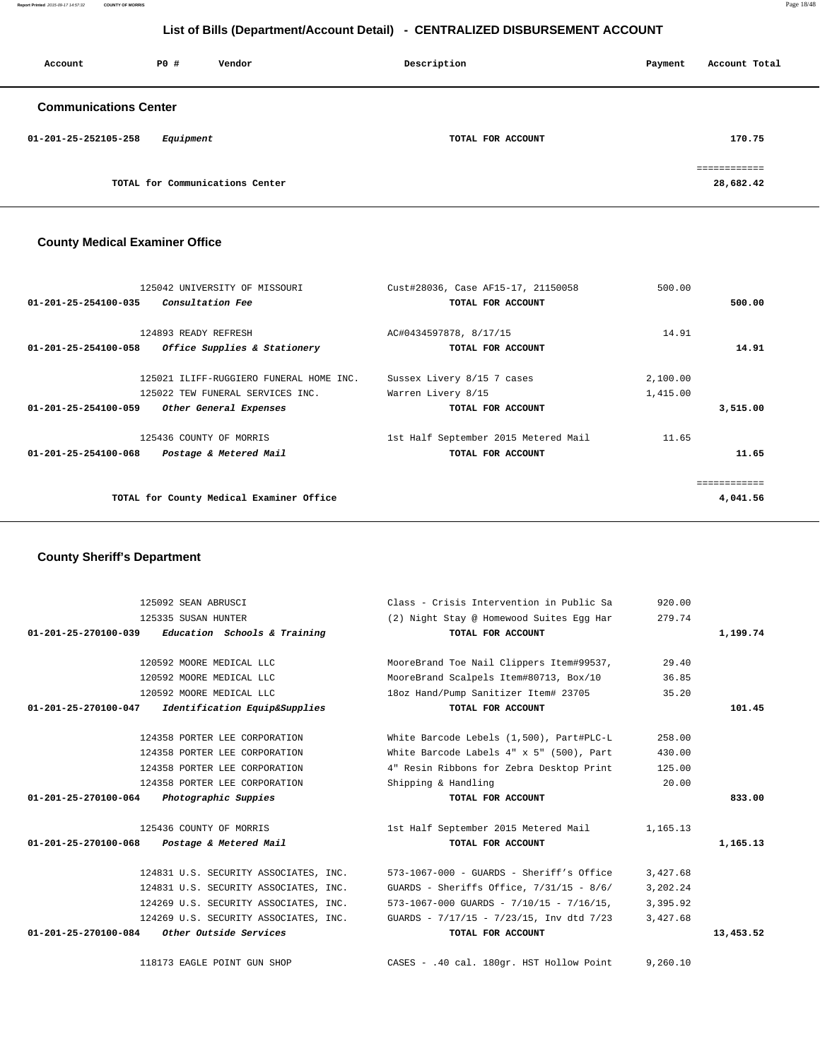**Report Printed** 2015-09-17 14:57:32 **COUNTY OF MORRIS** Page 18/48

# **List of Bills (Department/Account Detail) - CENTRALIZED DISBURSEMENT ACCOUNT**

| Account                      | PO#       | Vendor                          | Description       | Payment | Account Total                          |
|------------------------------|-----------|---------------------------------|-------------------|---------|----------------------------------------|
| <b>Communications Center</b> |           |                                 |                   |         |                                        |
| 01-201-25-252105-258         | Equipment |                                 | TOTAL FOR ACCOUNT |         | 170.75                                 |
|                              |           | TOTAL for Communications Center |                   |         | ------------<br>---------<br>28,682.42 |

# **County Medical Examiner Office**

|                                | 125042 UNIVERSITY OF MISSOURI            | Cust#28036, Case AF15-17, 21150058   | 500.00   |              |
|--------------------------------|------------------------------------------|--------------------------------------|----------|--------------|
| $01 - 201 - 25 - 254100 - 035$ | <i>Consultation Fee</i>                  | TOTAL FOR ACCOUNT                    |          | 500.00       |
|                                |                                          |                                      |          |              |
|                                | 124893 READY REFRESH                     | AC#0434597878, 8/17/15               | 14.91    |              |
| 01-201-25-254100-058           | Office Supplies & Stationery             | TOTAL FOR ACCOUNT                    |          | 14.91        |
|                                |                                          |                                      |          |              |
|                                | 125021 ILIFF-RUGGIERO FUNERAL HOME INC.  | Sussex Livery 8/15 7 cases           | 2,100.00 |              |
|                                | 125022 TEW FUNERAL SERVICES INC.         | Warren Livery 8/15                   | 1,415.00 |              |
| $01 - 201 - 25 - 254100 - 059$ | Other General Expenses                   | TOTAL FOR ACCOUNT                    |          | 3,515.00     |
|                                | 125436 COUNTY OF MORRIS                  | 1st Half September 2015 Metered Mail | 11.65    |              |
| $01 - 201 - 25 - 254100 - 068$ | Postage & Metered Mail                   | TOTAL FOR ACCOUNT                    |          | 11.65        |
|                                |                                          |                                      |          | ============ |
|                                | TOTAL for County Medical Examiner Office |                                      |          | 4,041.56     |
|                                |                                          |                                      |          |              |
|                                |                                          |                                      |          |              |

### **County Sheriff's Department**

| 125092 SEAN ABRUSCI                                   | Class - Crisis Intervention in Public Sa               | 920.00   |           |
|-------------------------------------------------------|--------------------------------------------------------|----------|-----------|
| 125335 SUSAN HUNTER                                   | (2) Night Stay @ Homewood Suites Egg Har               | 279.74   |           |
| $01-201-25-270100-039$ Education Schools & Training   | TOTAL FOR ACCOUNT                                      |          | 1,199.74  |
| 120592 MOORE MEDICAL LLC                              | MooreBrand Toe Nail Clippers Item#99537,               | 29.40    |           |
| 120592 MOORE MEDICAL LLC                              | MooreBrand Scalpels Item#80713, Box/10                 | 36.85    |           |
| 120592 MOORE MEDICAL LLC                              | 18oz Hand/Pump Sanitizer Item# 23705                   | 35.20    |           |
| 01-201-25-270100-047<br>Identification Equip&Supplies | TOTAL FOR ACCOUNT                                      |          | 101.45    |
| 124358 PORTER LEE CORPORATION                         | White Barcode Lebels (1,500), Part#PLC-L               | 258.00   |           |
| 124358 PORTER LEE CORPORATION                         | White Barcode Labels 4" x 5" (500), Part               | 430.00   |           |
| 124358 PORTER LEE CORPORATION                         | 4" Resin Ribbons for Zebra Desktop Print               | 125.00   |           |
| 124358 PORTER LEE CORPORATION                         | Shipping & Handling                                    | 20.00    |           |
| 01-201-25-270100-064 Photographic Suppies             | TOTAL FOR ACCOUNT                                      |          | 833.00    |
| 125436 COUNTY OF MORRIS                               | 1,165.13 lst Half September 2015 Metered Mail 1,165.13 |          |           |
| 01-201-25-270100-068<br>Postage & Metered Mail        | TOTAL FOR ACCOUNT                                      |          | 1,165.13  |
| 124831 U.S. SECURITY ASSOCIATES, INC.                 | $573-1067-000$ - GUARDS - Sheriff's Office             | 3,427.68 |           |
| 124831 U.S. SECURITY ASSOCIATES, INC.                 | GUARDS - Sheriffs Office, $7/31/15 - 8/6/$             | 3,202.24 |           |
| 124269 U.S. SECURITY ASSOCIATES, INC.                 | $573-1067-000$ GUARDS - $7/10/15$ - $7/16/15$ ,        | 3,395.92 |           |
| 124269 U.S. SECURITY ASSOCIATES, INC.                 | GUARDS - 7/17/15 - 7/23/15, Inv dtd 7/23               | 3,427.68 |           |
| 01-201-25-270100-084<br><i>Other Outside Services</i> | TOTAL FOR ACCOUNT                                      |          | 13,453.52 |
|                                                       |                                                        |          |           |
| 118173 EAGLE POINT GUN SHOP                           | CASES - .40 cal. 180gr. HST Hollow Point               | 9.260.10 |           |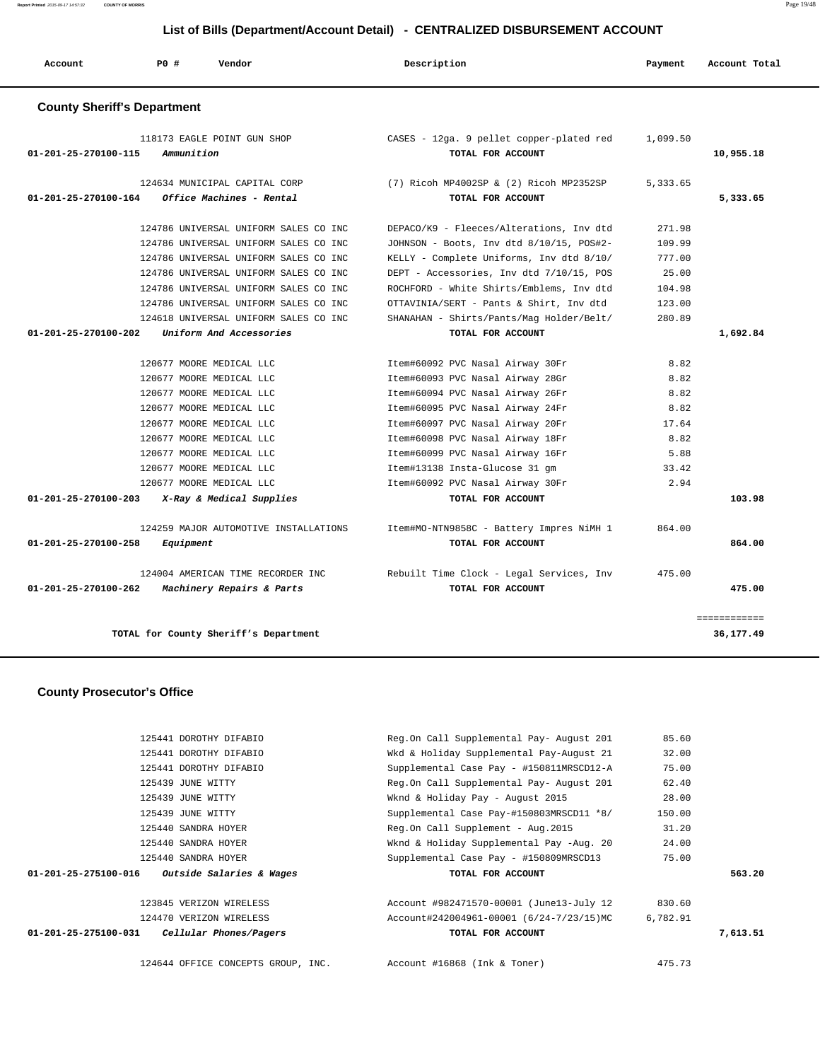**Report Printed** 2015-09-17 14:57:32 **COUNTY OF MORRIS** Page 19/48

# **List of Bills (Department/Account Detail) - CENTRALIZED DISBURSEMENT ACCOUNT**

| Account                            | P0#        | Vendor                                | Description                                 | Payment  | Account Total |
|------------------------------------|------------|---------------------------------------|---------------------------------------------|----------|---------------|
| <b>County Sheriff's Department</b> |            |                                       |                                             |          |               |
|                                    |            | 118173 EAGLE POINT GUN SHOP           | CASES - 12ga. 9 pellet copper-plated red    | 1,099.50 |               |
| 01-201-25-270100-115               | Ammunition |                                       | TOTAL FOR ACCOUNT                           |          | 10,955.18     |
|                                    |            | 124634 MUNICIPAL CAPITAL CORP         | $(7)$ Ricoh MP4002SP & $(2)$ Ricoh MP2352SP | 5,333.65 |               |
| $01 - 201 - 25 - 270100 - 164$     |            | Office Machines - Rental              | TOTAL FOR ACCOUNT                           |          | 5,333.65      |
|                                    |            | 124786 UNIVERSAL UNIFORM SALES CO INC | DEPACO/K9 - Fleeces/Alterations, Inv dtd    | 271.98   |               |
|                                    |            | 124786 UNIVERSAL UNIFORM SALES CO INC | JOHNSON - Boots, Inv dtd 8/10/15, POS#2-    | 109.99   |               |
|                                    |            | 124786 UNIVERSAL UNIFORM SALES CO INC | KELLY - Complete Uniforms, Inv dtd 8/10/    | 777.00   |               |
|                                    |            | 124786 UNIVERSAL UNIFORM SALES CO INC | DEPT - Accessories, Inv dtd 7/10/15, POS    | 25.00    |               |
|                                    |            | 124786 UNIVERSAL UNIFORM SALES CO INC | ROCHFORD - White Shirts/Emblems, Inv dtd    | 104.98   |               |
|                                    |            | 124786 UNIVERSAL UNIFORM SALES CO INC | OTTAVINIA/SERT - Pants & Shirt, Inv dtd     | 123.00   |               |
|                                    |            | 124618 UNIVERSAL UNIFORM SALES CO INC | SHANAHAN - Shirts/Pants/Mag Holder/Belt/    | 280.89   |               |
| 01-201-25-270100-202               |            | Uniform And Accessories               | TOTAL FOR ACCOUNT                           |          | 1,692.84      |
|                                    |            | 120677 MOORE MEDICAL LLC              | Item#60092 PVC Nasal Airway 30Fr            | 8.82     |               |
|                                    |            | 120677 MOORE MEDICAL LLC              | Item#60093 PVC Nasal Airway 28Gr            | 8.82     |               |
|                                    |            | 120677 MOORE MEDICAL LLC              | Item#60094 PVC Nasal Airway 26Fr            | 8.82     |               |
|                                    |            | 120677 MOORE MEDICAL LLC              | Item#60095 PVC Nasal Airway 24Fr            | 8.82     |               |
|                                    |            | 120677 MOORE MEDICAL LLC              | Item#60097 PVC Nasal Airway 20Fr            | 17.64    |               |
|                                    |            | 120677 MOORE MEDICAL LLC              | Item#60098 PVC Nasal Airway 18Fr            | 8.82     |               |
|                                    |            | 120677 MOORE MEDICAL LLC              | Item#60099 PVC Nasal Airway 16Fr            | 5.88     |               |
|                                    |            | 120677 MOORE MEDICAL LLC              | Item#13138 Insta-Glucose 31 gm              | 33.42    |               |
|                                    |            | 120677 MOORE MEDICAL LLC              | Item#60092 PVC Nasal Airway 30Fr            | 2.94     |               |
| 01-201-25-270100-203               |            | X-Ray & Medical Supplies              | TOTAL FOR ACCOUNT                           |          | 103.98        |
|                                    |            | 124259 MAJOR AUTOMOTIVE INSTALLATIONS | Item#MO-NTN9858C - Battery Impres NiMH 1    | 864.00   |               |
| 01-201-25-270100-258               | Equipment  |                                       | TOTAL FOR ACCOUNT                           |          | 864.00        |
|                                    |            | 124004 AMERICAN TIME RECORDER INC     | Rebuilt Time Clock - Legal Services, Inv    | 475.00   |               |
| 01-201-25-270100-262               |            | Machinery Repairs & Parts             | TOTAL FOR ACCOUNT                           |          | 475.00        |
|                                    |            |                                       |                                             |          | ============  |
|                                    |            | TOTAL for County Sheriff's Department |                                             |          | 36,177.49     |

### **County Prosecutor's Office**

|                                | 125441 DOROTHY DIFABIO             | Reg.On Call Supplemental Pay- August 201 | 85.60    |          |
|--------------------------------|------------------------------------|------------------------------------------|----------|----------|
|                                | 125441 DOROTHY DIFABIO             | Wkd & Holiday Supplemental Pay-August 21 | 32.00    |          |
|                                | 125441 DOROTHY DIFABIO             | Supplemental Case Pay - #150811MRSCD12-A | 75.00    |          |
|                                | 125439 JUNE WITTY                  | Reg.On Call Supplemental Pay- August 201 | 62.40    |          |
|                                | 125439 JUNE WITTY                  | Wknd & Holiday Pay - August 2015         | 28.00    |          |
|                                | 125439 JUNE WITTY                  | Supplemental Case Pay-#150803MRSCD11 *8/ | 150.00   |          |
|                                | 125440 SANDRA HOYER                | Reg.On Call Supplement - Aug.2015        | 31.20    |          |
|                                | 125440 SANDRA HOYER                | Wknd & Holiday Supplemental Pay -Aug. 20 | 24.00    |          |
|                                | 125440 SANDRA HOYER                | Supplemental Case Pay - #150809MRSCD13   | 75.00    |          |
| 01-201-25-275100-016           | Outside Salaries & Wages           | TOTAL FOR ACCOUNT                        |          | 563.20   |
|                                | 123845 VERIZON WIRELESS            | Account #982471570-00001 (June13-July 12 | 830.60   |          |
|                                | 124470 VERIZON WIRELESS            | Account#242004961-00001 (6/24-7/23/15)MC | 6,782.91 |          |
| $01 - 201 - 25 - 275100 - 031$ | Cellular Phones/Pagers             | TOTAL FOR ACCOUNT                        |          | 7,613.51 |
|                                | 124644 OFFICE CONCEPTS GROUP, INC. | Account #16868 (Ink & Toner)             | 475.73   |          |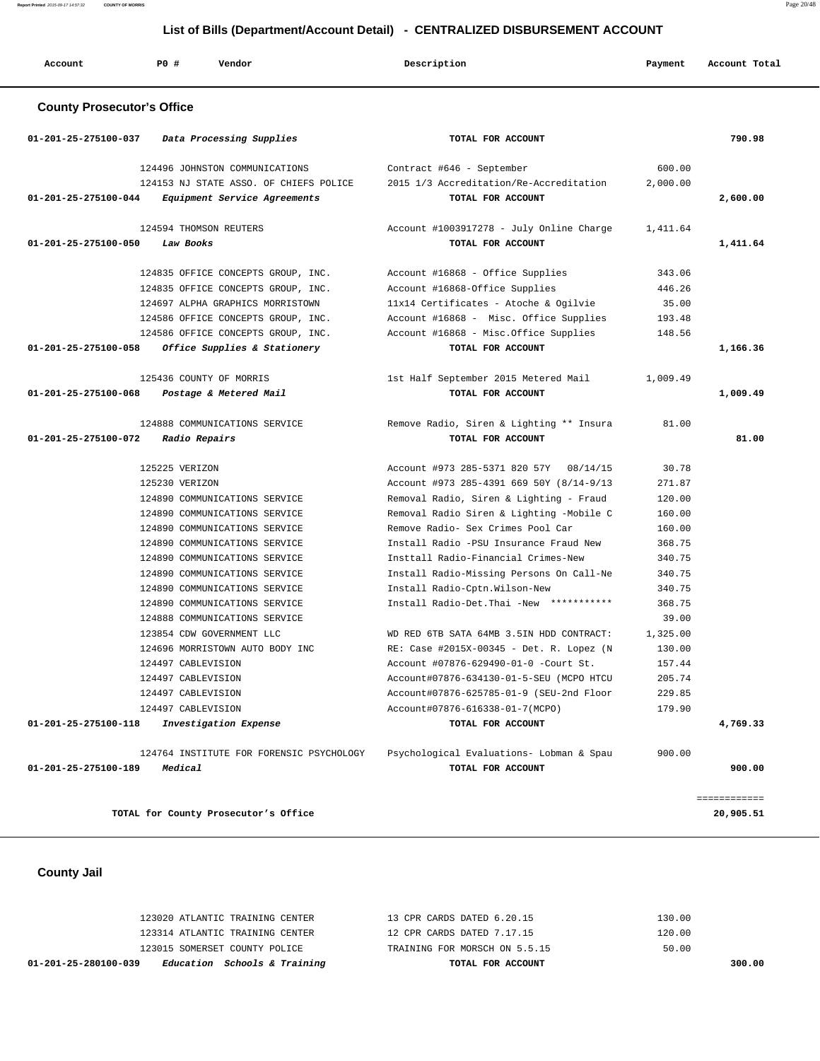| Account                           | P0 #<br>Vendor                                      | Description                                                   | Payment  | Account Total |
|-----------------------------------|-----------------------------------------------------|---------------------------------------------------------------|----------|---------------|
| <b>County Prosecutor's Office</b> |                                                     |                                                               |          |               |
| 01-201-25-275100-037              | Data Processing Supplies                            | TOTAL FOR ACCOUNT                                             |          | 790.98        |
|                                   | 124496 JOHNSTON COMMUNICATIONS                      | Contract #646 - September                                     | 600.00   |               |
|                                   | 124153 NJ STATE ASSO. OF CHIEFS POLICE              | 2015 1/3 Accreditation/Re-Accreditation                       | 2,000.00 |               |
| 01-201-25-275100-044              | Equipment Service Agreements                        | TOTAL FOR ACCOUNT                                             |          | 2,600.00      |
|                                   | 124594 THOMSON REUTERS                              | Account #1003917278 - July Online Charge                      | 1,411.64 |               |
| 01-201-25-275100-050              | Law Books                                           | TOTAL FOR ACCOUNT                                             |          | 1,411.64      |
|                                   | 124835 OFFICE CONCEPTS GROUP, INC.                  | Account #16868 - Office Supplies                              | 343.06   |               |
|                                   | 124835 OFFICE CONCEPTS GROUP, INC.                  | Account #16868-Office Supplies                                | 446.26   |               |
|                                   | 124697 ALPHA GRAPHICS MORRISTOWN                    | 11x14 Certificates - Atoche & Ogilvie                         | 35.00    |               |
|                                   | 124586 OFFICE CONCEPTS GROUP, INC.                  | Account #16868 - Misc. Office Supplies                        | 193.48   |               |
|                                   | 124586 OFFICE CONCEPTS GROUP, INC.                  | Account #16868 - Misc.Office Supplies                         | 148.56   |               |
| 01-201-25-275100-058              | Office Supplies & Stationery                        | TOTAL FOR ACCOUNT                                             |          | 1,166.36      |
|                                   | 125436 COUNTY OF MORRIS                             | 1st Half September 2015 Metered Mail                          | 1,009.49 |               |
| 01-201-25-275100-068              | Postage & Metered Mail                              | TOTAL FOR ACCOUNT                                             |          | 1,009.49      |
|                                   | 124888 COMMUNICATIONS SERVICE                       | Remove Radio, Siren & Lighting ** Insura                      | 81.00    |               |
| 01-201-25-275100-072              | Radio Repairs                                       | TOTAL FOR ACCOUNT                                             |          | 81.00         |
|                                   | 125225 VERIZON                                      | Account #973 285-5371 820 57Y 08/14/15                        | 30.78    |               |
|                                   | 125230 VERIZON                                      | Account #973 285-4391 669 50Y (8/14-9/13                      | 271.87   |               |
|                                   | 124890 COMMUNICATIONS SERVICE                       | Removal Radio, Siren & Lighting - Fraud                       | 120.00   |               |
|                                   | 124890 COMMUNICATIONS SERVICE                       | Removal Radio Siren & Lighting -Mobile C                      | 160.00   |               |
|                                   | 124890 COMMUNICATIONS SERVICE                       | Remove Radio- Sex Crimes Pool Car                             | 160.00   |               |
|                                   | 124890 COMMUNICATIONS SERVICE                       | Install Radio -PSU Insurance Fraud New                        | 368.75   |               |
|                                   | 124890 COMMUNICATIONS SERVICE                       | Insttall Radio-Financial Crimes-New                           | 340.75   |               |
|                                   | 124890 COMMUNICATIONS SERVICE                       | Install Radio-Missing Persons On Call-Ne                      | 340.75   |               |
|                                   | 124890 COMMUNICATIONS SERVICE                       | Install Radio-Cptn.Wilson-New                                 | 340.75   |               |
|                                   | 124890 COMMUNICATIONS SERVICE                       | Install Radio-Det.Thai -New ***********                       | 368.75   |               |
|                                   | 124888 COMMUNICATIONS SERVICE                       |                                                               | 39.00    |               |
|                                   | 123854 CDW GOVERNMENT LLC                           | WD RED 6TB SATA 64MB 3.5IN HDD CONTRACT:                      | 1,325.00 |               |
|                                   | 124696 MORRISTOWN AUTO BODY INC                     | RE: Case #2015X-00345 - Det. R. Lopez (N                      | 130.00   |               |
|                                   | 124497 CABLEVISION                                  | Account #07876-629490-01-0 -Court St.                         | 157.44   |               |
|                                   | 124497 CABLEVISION                                  | Account#07876-634130-01-5-SEU (MCPO HTCU                      | 205.74   |               |
|                                   | 124497 CABLEVISION                                  | Account#07876-625785-01-9 (SEU-2nd Floor                      | 229.85   |               |
| 01-201-25-275100-118              | 124497 CABLEVISION<br>Investigation Expense         | Account#07876-616338-01-7(MCPO)<br>TOTAL FOR ACCOUNT          | 179.90   | 4,769.33      |
|                                   |                                                     |                                                               |          |               |
| 01-201-25-275100-189              | 124764 INSTITUTE FOR FORENSIC PSYCHOLOGY<br>Medical | Psychological Evaluations- Lobman & Spau<br>TOTAL FOR ACCOUNT | 900.00   | 900.00        |
|                                   |                                                     |                                                               |          |               |

 **County Jail** 

| Education Schools & Training<br>01-201-25-280100-039 | TOTAL FOR ACCOUNT             | 300.00 |
|------------------------------------------------------|-------------------------------|--------|
| 123015 SOMERSET COUNTY POLICE                        | TRAINING FOR MORSCH ON 5.5.15 | 50.00  |
| 123314 ATLANTIC TRAINING CENTER                      | 12 CPR CARDS DATED 7.17.15    | 120.00 |
| 123020 ATLANTIC TRAINING CENTER                      | 13 CPR CARDS DATED 6.20.15    | 130.00 |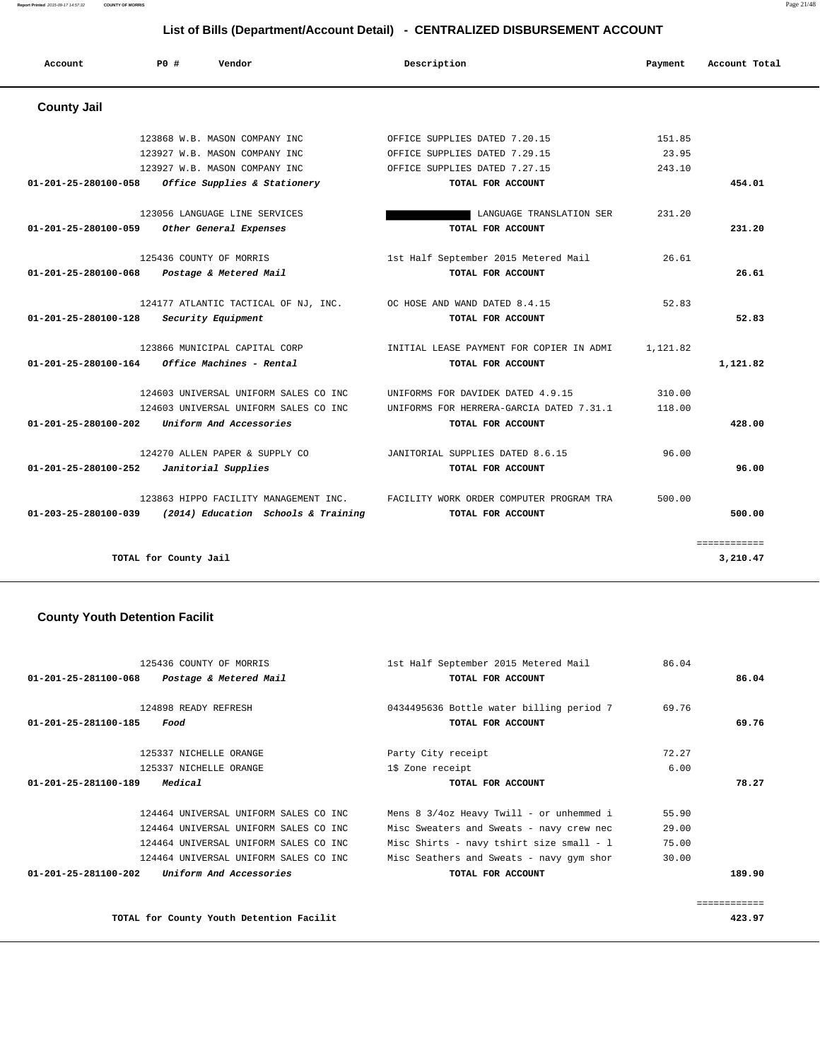**Report Printed** 2015-09-17 14:57:32 **COUNTY OF MORRIS** Page 21/48

# **List of Bills (Department/Account Detail) - CENTRALIZED DISBURSEMENT ACCOUNT**

| Account                        | PO#                   | Vendor                                | Description                              | Payment  | Account Total |
|--------------------------------|-----------------------|---------------------------------------|------------------------------------------|----------|---------------|
| <b>County Jail</b>             |                       |                                       |                                          |          |               |
|                                |                       | 123868 W.B. MASON COMPANY INC         | OFFICE SUPPLIES DATED 7.20.15            | 151.85   |               |
|                                |                       | 123927 W.B. MASON COMPANY INC.        | OFFICE SUPPLIES DATED 7.29.15            | 23.95    |               |
|                                |                       | 123927 W.B. MASON COMPANY INC         | OFFICE SUPPLIES DATED 7.27.15            | 243.10   |               |
| $01 - 201 - 25 - 280100 - 058$ |                       | Office Supplies & Stationery          | TOTAL FOR ACCOUNT                        |          | 454.01        |
|                                |                       | 123056 LANGUAGE LINE SERVICES         | LANGUAGE TRANSLATION SER                 | 231.20   |               |
| 01-201-25-280100-059           |                       | Other General Expenses                | TOTAL FOR ACCOUNT                        |          | 231.20        |
|                                |                       | 125436 COUNTY OF MORRIS               | 1st Half September 2015 Metered Mail     | 26.61    |               |
| $01 - 201 - 25 - 280100 - 068$ |                       | Postage & Metered Mail                | TOTAL FOR ACCOUNT                        |          | 26.61         |
|                                |                       | 124177 ATLANTIC TACTICAL OF NJ, INC.  | OC HOSE AND WAND DATED 8.4.15            | 52.83    |               |
| 01-201-25-280100-128           |                       | Security Equipment                    | TOTAL FOR ACCOUNT                        |          | 52.83         |
|                                |                       | 123866 MUNICIPAL CAPITAL CORP         | INITIAL LEASE PAYMENT FOR COPIER IN ADMI | 1,121.82 |               |
| 01-201-25-280100-164           |                       | Office Machines - Rental              | TOTAL FOR ACCOUNT                        |          | 1,121.82      |
|                                |                       | 124603 UNIVERSAL UNIFORM SALES CO INC | UNIFORMS FOR DAVIDEK DATED 4.9.15        | 310.00   |               |
|                                |                       | 124603 UNIVERSAL UNIFORM SALES CO INC | UNIFORMS FOR HERRERA-GARCIA DATED 7.31.1 | 118.00   |               |
| $01 - 201 - 25 - 280100 - 202$ |                       | Uniform And Accessories               | TOTAL FOR ACCOUNT                        |          | 428.00        |
|                                |                       | 124270 ALLEN PAPER & SUPPLY CO        | JANITORIAL SUPPLIES DATED 8.6.15         | 96.00    |               |
| 01-201-25-280100-252           |                       | Janitorial Supplies                   | TOTAL FOR ACCOUNT                        |          | 96.00         |
|                                |                       | 123863 HIPPO FACILITY MANAGEMENT INC. | FACILITY WORK ORDER COMPUTER PROGRAM TRA | 500.00   |               |
| 01-203-25-280100-039           |                       | (2014) Education Schools & Training   | TOTAL FOR ACCOUNT                        |          | 500.00        |
|                                |                       |                                       |                                          |          | ============  |
|                                | TOTAL for County Jail |                                       |                                          |          | 3,210.47      |

#### **County Youth Detention Facilit**

| 125436 COUNTY OF MORRIS                                   | 1st Half September 2015 Metered Mail     | 86.04 |        |
|-----------------------------------------------------------|------------------------------------------|-------|--------|
| 01-201-25-281100-068<br>Postage & Metered Mail            | TOTAL FOR ACCOUNT                        |       | 86.04  |
| 124898 READY REFRESH                                      | 0434495636 Bottle water billing period 7 | 69.76 |        |
| 01-201-25-281100-185<br>Food                              | TOTAL FOR ACCOUNT                        |       | 69.76  |
| 125337 NICHELLE ORANGE                                    | Party City receipt                       | 72.27 |        |
| 125337 NICHELLE ORANGE                                    | 1\$ Zone receipt                         | 6.00  |        |
| Medical<br>01-201-25-281100-189                           | TOTAL FOR ACCOUNT                        |       | 78.27  |
| 124464 UNIVERSAL UNIFORM SALES CO INC                     |                                          |       |        |
|                                                           | Mens 8 3/4oz Heavy Twill - or unhemmed i | 55.90 |        |
| 124464 UNIVERSAL UNIFORM SALES CO INC                     | Misc Sweaters and Sweats - navy crew nec | 29.00 |        |
| 124464 UNIVERSAL UNIFORM SALES CO INC                     | Misc Shirts - navy tshirt size small - l | 75.00 |        |
| 124464 UNIVERSAL UNIFORM SALES CO INC                     | Misc Seathers and Sweats - navy gym shor | 30.00 |        |
| $01 - 201 - 25 - 281100 - 202$<br>Uniform And Accessories | TOTAL FOR ACCOUNT                        |       | 189.90 |

**TOTAL for County Youth Detention Facilit 423.97**

============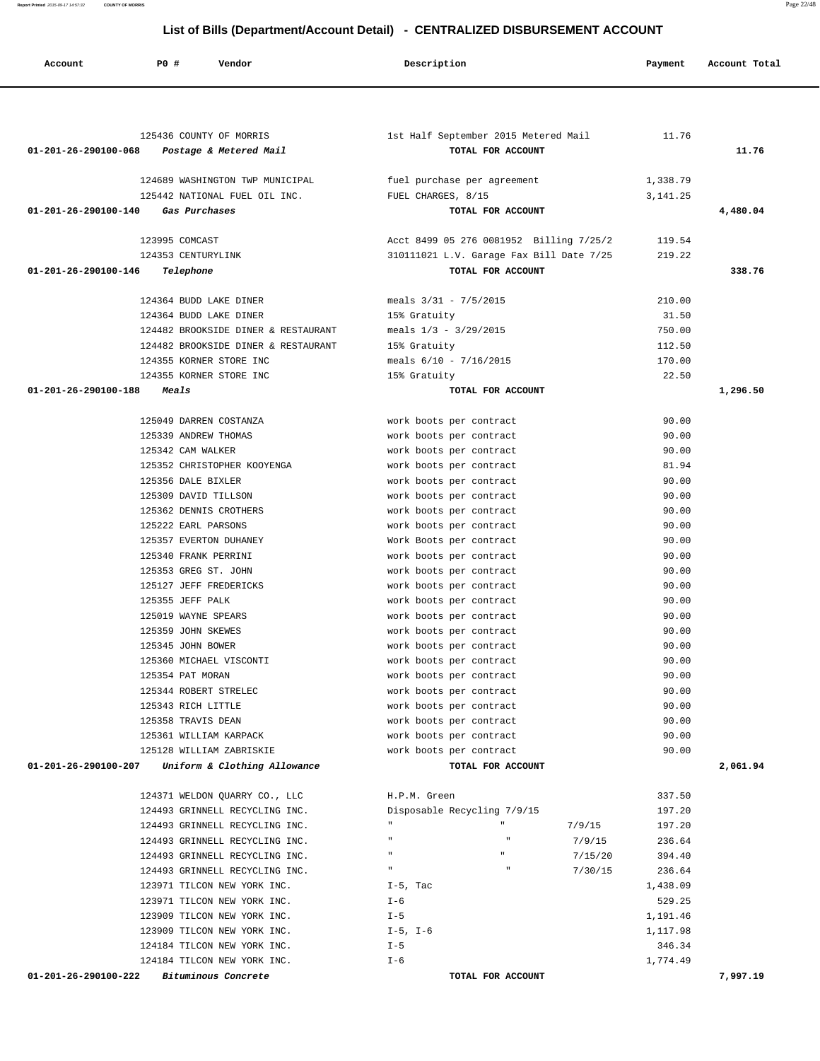**Account P0 # Vendor Description Payment Account Total** 125436 COUNTY OF MORRIS 1st Half September 2015 Metered Mail 11.76  **01-201-26-290100-068 Postage & Metered Mail TOTAL FOR ACCOUNT 11.76** 124689 WASHINGTON TWP MUNICIPAL fuel purchase per agreement 1,338.79 125442 NATIONAL FUEL OIL INC. FUEL CHARGES, 8/15 3,141.25  **01-201-26-290100-140 Gas Purchases TOTAL FOR ACCOUNT 4,480.04** 123995 COMCAST Acct 8499 05 276 0081952 Billing 7/25/2 119.54 124353 CENTURYLINK 310111021 L.V. Garage Fax Bill Date 7/25 219.22  **01-201-26-290100-146 Telephone TOTAL FOR ACCOUNT 338.76** 124364 BUDD LAKE DINER meals 3/31 - 7/5/2015 210.00 124364 BUDD LAKE DINER 15% Gratuity 31.50 124482 BROOKSIDE DINER & RESTAURANT meals 1/3 - 3/29/2015 750.00 124482 BROOKSIDE DINER & RESTAURANT 15% Gratuity 112.50 124355 KORNER STORE INC meals 6/10 - 7/16/2015 170.00 124355 KORNER STORE INC 15% Gratuity 22.50  **01-201-26-290100-188 Meals TOTAL FOR ACCOUNT 1,296.50** 125049 DARREN COSTANZA work boots per contract 90.00 125339 ANDREW THOMAS work boots per contract 90.00 125342 CAM WALKER work boots per contract 90.00 125352 CHRISTOPHER KOOYENGA work boots per contract 81.94 125356 DALE BIXLER work boots per contract 90.00 125309 DAVID TILLSON work boots per contract 90.00 125362 DENNIS CROTHERS work boots per contract 90.00 125222 EARL PARSONS work boots per contract 90.00 125357 EVERTON DUHANEY Work Boots per contract 90.00 125340 FRANK PERRINI work boots per contract 90.00 125353 GREG ST. JOHN work boots per contract 90.00 125127 JEFF FREDERICKS work boots per contract 90.00 125355 JEFF PALK work boots per contract 90.00 125019 WAYNE SPEARS work boots per contract 90.00 125359 JOHN SKEWES work boots per contract 90.00 125345 JOHN BOWER work boots per contract 90.00 125360 MICHAEL VISCONTI work boots per contract 90.00 125354 PAT MORAN work boots per contract 90.00 125344 ROBERT STRELEC work boots per contract 90.00 125343 RICH LITTLE work boots per contract 90.00 125358 TRAVIS DEAN work boots per contract 90.00 125361 WILLIAM KARPACK work boots per contract 90.00 125128 WILLIAM ZABRISKIE work boots per contract 90.00  **01-201-26-290100-207 Uniform & Clothing Allowance TOTAL FOR ACCOUNT 2,061.94** 124371 WELDON QUARRY CO., LLC H.P.M. Green 337.50 124493 GRINNELL RECYCLING INC. Disposable Recycling 7/9/15 197.20 124493 GRINNELL RECYCLING INC. " " 7/9/15 197.20 124493 GRINNELL RECYCLING INC. " " 7/9/15 236.64 124493 GRINNELL RECYCLING INC. " " 7/15/20 394.40 124493 GRINNELL RECYCLING INC. " " 7/30/15 236.64 123971 TILCON NEW YORK INC.  $I-5$ , Tac  $I$ , 438.09 123971 TILCON NEW YORK INC. I-6 529.25 123909 TILCON NEW YORK INC. T-5 1,191.46 123909 TILCON NEW YORK INC. I-5, I-6 1,117.98

124184 TILCON NEW YORK INC. <br>  $I-5$  346.34 124184 TILCON NEW YORK INC. <br>
1,774.49  **01-201-26-290100-222 Bituminous Concrete TOTAL FOR ACCOUNT 7,997.19**

## **List of Bills (Department/Account Detail) - CENTRALIZED DISBURSEMENT ACCOUNT**

**Report Printed** 2015-09-17 14:57:32 **COUNTY OF MORRIS** Page 22/48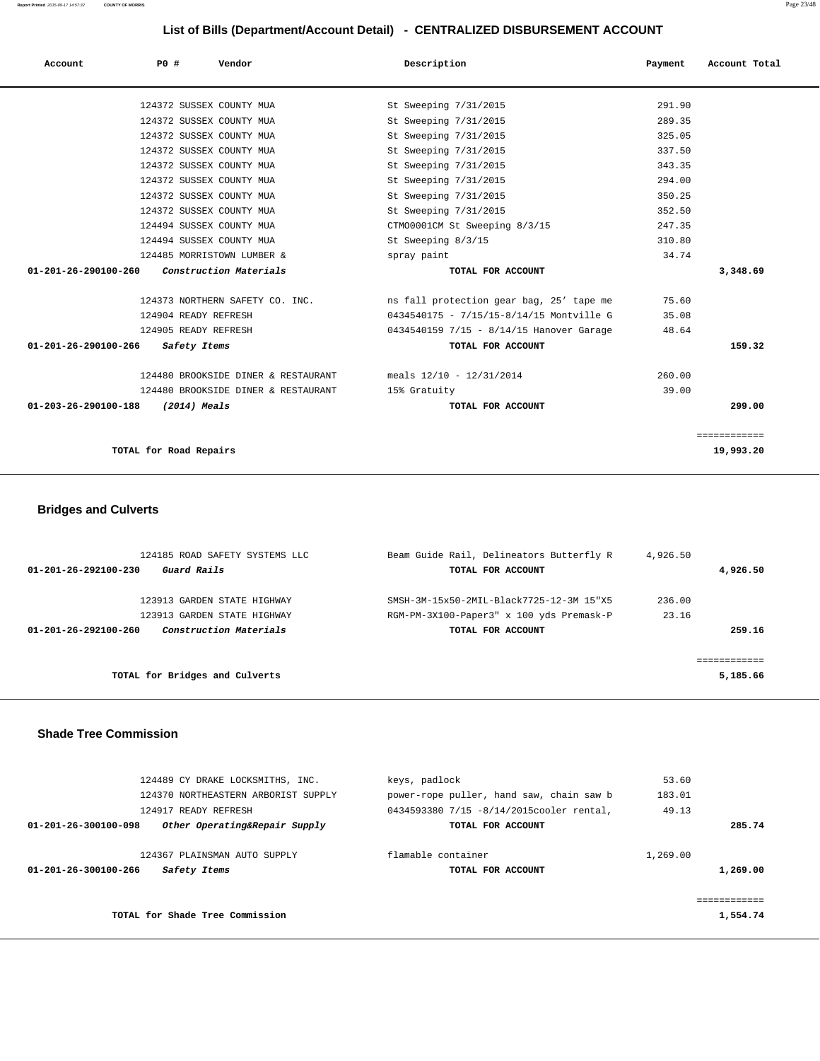| Account                                       | PO#                    |              | Vendor                              | Description                              | Payment | Account Total |
|-----------------------------------------------|------------------------|--------------|-------------------------------------|------------------------------------------|---------|---------------|
|                                               |                        |              | 124372 SUSSEX COUNTY MUA            | St Sweeping 7/31/2015                    | 291.90  |               |
|                                               |                        |              | 124372 SUSSEX COUNTY MUA            | St Sweeping 7/31/2015                    | 289.35  |               |
|                                               |                        |              | 124372 SUSSEX COUNTY MUA            | St Sweeping 7/31/2015                    | 325.05  |               |
|                                               |                        |              | 124372 SUSSEX COUNTY MUA            | St Sweeping 7/31/2015                    | 337.50  |               |
|                                               |                        |              | 124372 SUSSEX COUNTY MUA            | St Sweeping 7/31/2015                    | 343.35  |               |
|                                               |                        |              | 124372 SUSSEX COUNTY MUA            | St Sweeping 7/31/2015                    | 294.00  |               |
|                                               |                        |              | 124372 SUSSEX COUNTY MUA            | St Sweeping 7/31/2015                    | 350.25  |               |
|                                               |                        |              | 124372 SUSSEX COUNTY MUA            | St Sweeping 7/31/2015                    | 352.50  |               |
|                                               |                        |              | 124494 SUSSEX COUNTY MUA            | CTM00001CM St Sweeping 8/3/15            | 247.35  |               |
|                                               |                        |              | 124494 SUSSEX COUNTY MUA            | St Sweeping 8/3/15                       | 310.80  |               |
|                                               |                        |              | 124485 MORRISTOWN LUMBER &          | spray paint                              | 34.74   |               |
| $01-201-26-290100-260$ Construction Materials |                        |              |                                     | TOTAL FOR ACCOUNT                        |         | 3,348.69      |
|                                               |                        |              | 124373 NORTHERN SAFETY CO. INC.     | ns fall protection gear bag, 25' tape me | 75.60   |               |
|                                               | 124904 READY REFRESH   |              |                                     | 0434540175 - 7/15/15-8/14/15 Montville G | 35.08   |               |
|                                               | 124905 READY REFRESH   |              |                                     | 0434540159 7/15 - 8/14/15 Hanover Garage | 48.64   |               |
| $01 - 201 - 26 - 290100 - 266$                |                        | Safety Items |                                     | TOTAL FOR ACCOUNT                        |         | 159.32        |
|                                               |                        |              | 124480 BROOKSIDE DINER & RESTAURANT | meals 12/10 - 12/31/2014                 | 260.00  |               |
|                                               |                        |              | 124480 BROOKSIDE DINER & RESTAURANT | 15% Gratuity                             | 39.00   |               |
| 01-203-26-290100-188                          |                        | (2014) Meals |                                     | TOTAL FOR ACCOUNT                        |         | 299.00        |
|                                               |                        |              |                                     |                                          |         | ============  |
|                                               | TOTAL for Road Repairs |              |                                     |                                          |         | 19,993.20     |

# **Bridges and Culverts**

| 124185 ROAD SAFETY SYSTEMS LLC                           | Beam Guide Rail, Delineators Butterfly R | 4,926.50 |          |  |
|----------------------------------------------------------|------------------------------------------|----------|----------|--|
| Guard Rails<br>$01 - 201 - 26 - 292100 - 230$            | TOTAL FOR ACCOUNT                        |          | 4,926.50 |  |
| 123913 GARDEN STATE HIGHWAY                              | SMSH-3M-15x50-2MTL-Black7725-12-3M 15"X5 | 236.00   |          |  |
| 123913 GARDEN STATE HIGHWAY                              | RGM-PM-3X100-Paper3" x 100 yds Premask-P | 23.16    |          |  |
| Construction Materials<br>$01 - 201 - 26 - 292100 - 260$ | TOTAL FOR ACCOUNT                        |          | 259.16   |  |
|                                                          |                                          |          |          |  |
| TOTAL for Bridges and Culverts                           |                                          |          | 5,185.66 |  |
|                                                          |                                          |          |          |  |

#### **Shade Tree Commission**

| 124489 CY DRAKE LOCKSMITHS, INC.                      | keys, padlock                            | 53.60    |              |
|-------------------------------------------------------|------------------------------------------|----------|--------------|
| 124370 NORTHEASTERN ARBORIST SUPPLY                   | power-rope puller, hand saw, chain saw b | 183.01   |              |
| 124917 READY REFRESH                                  | 0434593380 7/15 -8/14/2015cooler rental, | 49.13    |              |
| Other Operating&Repair Supply<br>01-201-26-300100-098 | TOTAL FOR ACCOUNT                        |          | 285.74       |
|                                                       |                                          |          |              |
| 124367 PLAINSMAN AUTO SUPPLY                          | flamable container                       | 1,269.00 |              |
| 01-201-26-300100-266<br>Safety Items                  | TOTAL FOR ACCOUNT                        |          | 1,269.00     |
|                                                       |                                          |          |              |
|                                                       |                                          |          | ------------ |
| TOTAL for Shade Tree Commission                       |                                          |          | 1,554.74     |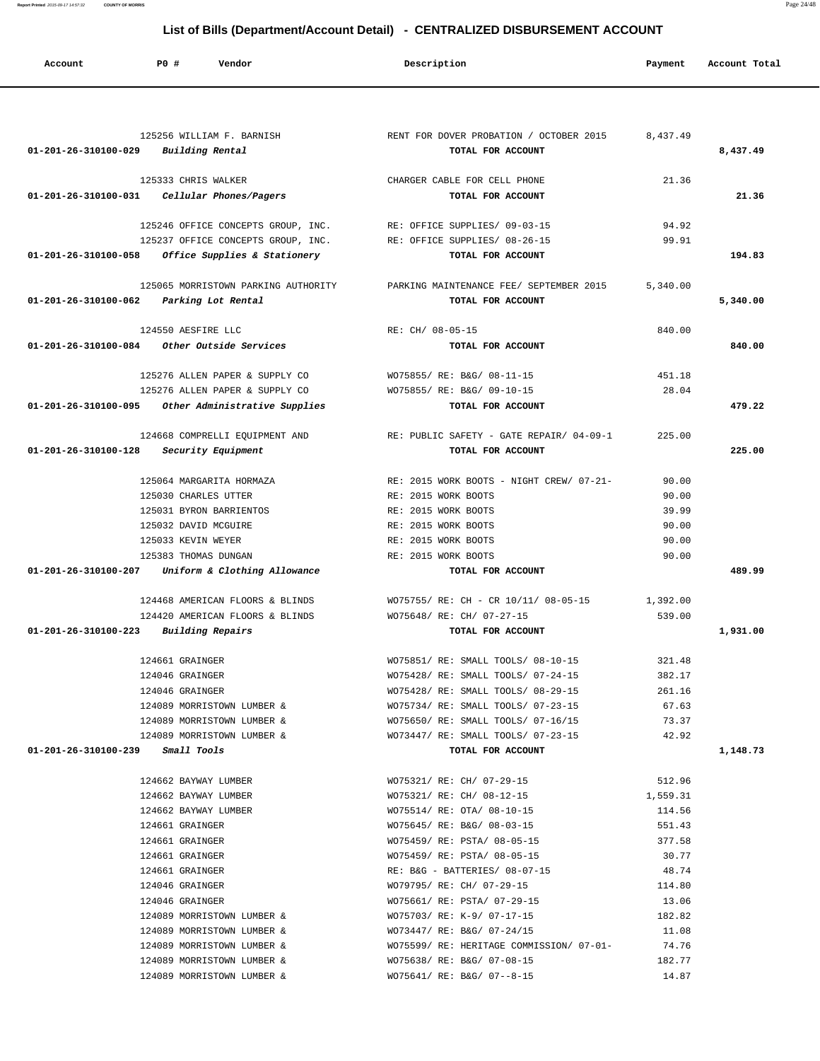**List of Bills (Department/Account Detail) - CENTRALIZED DISBURSEMENT ACCOUNT Account P0 # Vendor Description Payment Account Total**

|                                                | 125256 WILLIAM F. BARNISH                           | RENT FOR DOVER PROBATION / OCTOBER 2015 8,437.49                            |                  |          |
|------------------------------------------------|-----------------------------------------------------|-----------------------------------------------------------------------------|------------------|----------|
| $01 - 201 - 26 - 310100 - 029$ Building Rental |                                                     | TOTAL FOR ACCOUNT                                                           |                  | 8,437.49 |
|                                                | 125333 CHRIS WALKER                                 | CHARGER CABLE FOR CELL PHONE                                                | 21.36            |          |
| 01-201-26-310100-031    Cellular Phones/Pagers |                                                     | TOTAL FOR ACCOUNT                                                           |                  | 21.36    |
|                                                |                                                     |                                                                             |                  |          |
|                                                | 125246 OFFICE CONCEPTS GROUP, INC.                  | RE: OFFICE SUPPLIES/ 09-03-15                                               | 94.92            |          |
|                                                | 125237 OFFICE CONCEPTS GROUP, INC.                  | RE: OFFICE SUPPLIES/ 08-26-15                                               | 99.91            |          |
|                                                | $01-201-26-310100-058$ Office Supplies & Stationery | TOTAL FOR ACCOUNT                                                           |                  | 194.83   |
|                                                |                                                     |                                                                             |                  |          |
|                                                |                                                     | 125065 MORRISTOWN PARKING AUTHORITY PARKING MAINTENANCE FEE/ SEPTEMBER 2015 | 5,340.00         |          |
| 01-201-26-310100-062 Parking Lot Rental        |                                                     | TOTAL FOR ACCOUNT                                                           |                  | 5,340.00 |
|                                                |                                                     |                                                                             |                  |          |
|                                                | 124550 AESFIRE LLC                                  | RE: CH/ 08-05-15                                                            | 840.00           |          |
|                                                | $01-201-26-310100-084$ Other Outside Services       | TOTAL FOR ACCOUNT                                                           |                  | 840.00   |
|                                                |                                                     |                                                                             |                  |          |
|                                                | 125276 ALLEN PAPER & SUPPLY CO                      | WO75855/ RE: B&G/ 08-11-15                                                  | 451.18           |          |
|                                                | 125276 ALLEN PAPER & SUPPLY CO                      | WO75855/ RE: B&G/ 09-10-15                                                  | 28.04            |          |
|                                                | 01-201-26-310100-095 Other Administrative Supplies  | TOTAL FOR ACCOUNT                                                           |                  | 479.22   |
|                                                |                                                     |                                                                             |                  |          |
|                                                |                                                     | 124668 COMPRELLI EQUIPMENT AND RE: PUBLIC SAFETY - GATE REPAIR/ 04-09-1     | 225.00           |          |
| 01-201-26-310100-128 Security Equipment        |                                                     | TOTAL FOR ACCOUNT                                                           |                  | 225.00   |
|                                                | 125064 MARGARITA HORMAZA                            | RE: 2015 WORK BOOTS - NIGHT CREW/ 07-21-                                    | 90.00            |          |
|                                                | 125030 CHARLES UTTER                                | RE: 2015 WORK BOOTS                                                         | 90.00            |          |
|                                                | 125031 BYRON BARRIENTOS                             | RE: 2015 WORK BOOTS                                                         | 39.99            |          |
|                                                | 125032 DAVID MCGUIRE                                | RE: 2015 WORK BOOTS                                                         | 90.00            |          |
|                                                | 125033 KEVIN WEYER                                  | RE: 2015 WORK BOOTS                                                         | 90.00            |          |
|                                                | 125383 THOMAS DUNGAN                                | RE: 2015 WORK BOOTS                                                         | 90.00            |          |
|                                                | 01-201-26-310100-207 Uniform & Clothing Allowance   | TOTAL FOR ACCOUNT                                                           |                  | 489.99   |
|                                                |                                                     |                                                                             |                  |          |
|                                                | 124468 AMERICAN FLOORS & BLINDS                     | WO75755/ RE: CH - CR 10/11/ 08-05-15                                        | 1,392.00         |          |
|                                                | 124420 AMERICAN FLOORS & BLINDS                     | WO75648/ RE: CH/ 07-27-15                                                   | 539.00           |          |
| 01-201-26-310100-223 Building Repairs          |                                                     | TOTAL FOR ACCOUNT                                                           |                  | 1,931.00 |
|                                                |                                                     |                                                                             |                  |          |
|                                                | 124661 GRAINGER                                     | WO75851/ RE: SMALL TOOLS/ 08-10-15                                          | 321.48           |          |
|                                                | 124046 GRAINGER                                     | WO75428/ RE: SMALL TOOLS/ 07-24-15                                          | 382.17           |          |
|                                                | 124046 GRAINGER                                     | WO75428/ RE: SMALL TOOLS/ 08-29-15                                          | 261.16           |          |
|                                                | 124089 MORRISTOWN LUMBER &                          | WO75734/ RE: SMALL TOOLS/ 07-23-15                                          | 67.63            |          |
|                                                | 124089 MORRISTOWN LUMBER &                          | WO75650/ RE: SMALL TOOLS/ 07-16/15                                          | 73.37            |          |
|                                                | 124089 MORRISTOWN LUMBER &                          | WO73447/ RE: SMALL TOOLS/ 07-23-15                                          | 42.92            |          |
| $01-201-26-310100-239$ Small Tools             |                                                     | TOTAL FOR ACCOUNT                                                           |                  | 1,148.73 |
|                                                |                                                     |                                                                             |                  |          |
|                                                | 124662 BAYWAY LUMBER                                | WO75321/ RE: CH/ 07-29-15                                                   | 512.96           |          |
|                                                | 124662 BAYWAY LUMBER<br>124662 BAYWAY LUMBER        | WO75321/ RE: CH/ 08-12-15                                                   | 1,559.31         |          |
|                                                | 124661 GRAINGER                                     | WO75514/ RE: OTA/ 08-10-15<br>WO75645/ RE: B&G/ 08-03-15                    | 114.56<br>551.43 |          |
|                                                | 124661 GRAINGER                                     | WO75459/ RE: PSTA/ 08-05-15                                                 | 377.58           |          |
|                                                | 124661 GRAINGER                                     | WO75459/ RE: PSTA/ 08-05-15                                                 | 30.77            |          |
|                                                | 124661 GRAINGER                                     | RE: B&G - BATTERIES/ 08-07-15                                               | 48.74            |          |
|                                                | 124046 GRAINGER                                     | WO79795/ RE: CH/ 07-29-15                                                   | 114.80           |          |
|                                                | 124046 GRAINGER                                     | WO75661/ RE: PSTA/ 07-29-15                                                 | 13.06            |          |
|                                                | 124089 MORRISTOWN LUMBER &                          | WO75703/ RE: K-9/ 07-17-15                                                  | 182.82           |          |
|                                                | 124089 MORRISTOWN LUMBER &                          | WO73447/ RE: B&G/ 07-24/15                                                  | 11.08            |          |
|                                                | 124089 MORRISTOWN LUMBER &                          | WO75599/ RE: HERITAGE COMMISSION/ 07-01-                                    | 74.76            |          |
|                                                | 124089 MORRISTOWN LUMBER &                          | WO75638/ RE: B&G/ 07-08-15                                                  | 182.77           |          |
|                                                | 124089 MORRISTOWN LUMBER &                          | WO75641/ RE: B&G/ 07--8-15                                                  | 14.87            |          |

**Report Printed** 2015-09-17 14:57:32 **COUNTY OF MORRIS** Page 24/48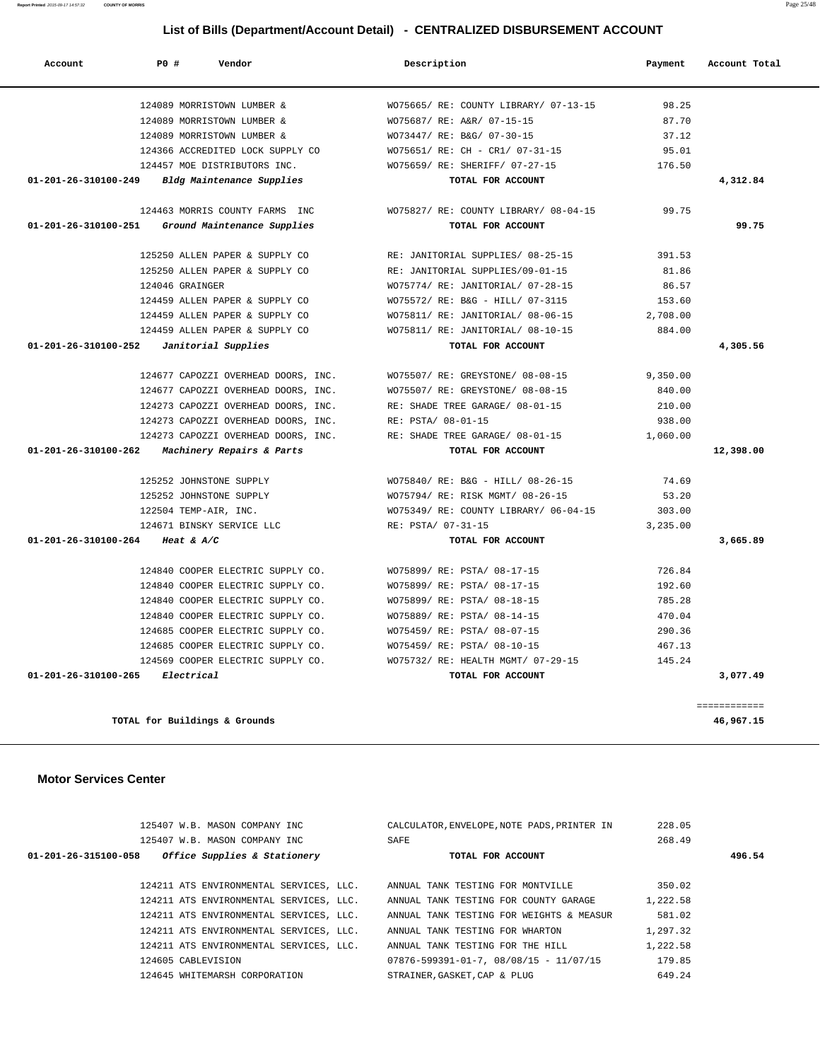125407 W.B. MASON COMPANY INC CALCULATOR,ENVELOPE,NOTE PADS,PRINTER IN 228.05

### 125407 W.B. MASON COMPANY INC SAFE 268.49  **01-201-26-315100-058 Office Supplies & Stationery TOTAL FOR ACCOUNT 496.54** 124211 ATS ENVIRONMENTAL SERVICES, LLC. ANNUAL TANK TESTING FOR MONTVILLE 350.02 124211 ATS ENVIRONMENTAL SERVICES, LLC. ANNUAL TANK TESTING FOR COUNTY GARAGE 1,222.58 124211 ATS ENVIRONMENTAL SERVICES, LLC. ANNUAL TANK TESTING FOR WEIGHTS & MEASUR 581.02 124211 ATS ENVIRONMENTAL SERVICES, LLC. ANNUAL TANK TESTING FOR WHARTON 1,297.32 124211 ATS ENVIRONMENTAL SERVICES, LLC. ANNUAL TANK TESTING FOR THE HILL 1,222.58 124605 CABLEVISION 07876-599391-01-7, 08/08/15 - 11/07/15 179.85 124645 WHITEMARSH CORPORATION STRAINER,GASKET,CAP & PLUG 649.24

#### **Motor Services Center**

|           | 99.75    | WO75827/ RE: COUNTY LIBRARY/ 08-04-15 | 124463 MORRIS COUNTY FARMS INC                                       |
|-----------|----------|---------------------------------------|----------------------------------------------------------------------|
| 99.75     |          | TOTAL FOR ACCOUNT                     | 01-201-26-310100-251<br>Ground Maintenance Supplies                  |
|           | 391.53   | RE: JANITORIAL SUPPLIES/ 08-25-15     | 125250 ALLEN PAPER & SUPPLY CO                                       |
|           | 81.86    | RE: JANITORIAL SUPPLIES/09-01-15      | 125250 ALLEN PAPER & SUPPLY CO                                       |
|           | 86.57    | WO75774/ RE: JANITORIAL/ 07-28-15     | 124046 GRAINGER                                                      |
|           | 153.60   | WO75572/ RE: B&G - HILL/ 07-3115      | 124459 ALLEN PAPER & SUPPLY CO                                       |
|           | 2,708.00 | WO75811/ RE: JANITORIAL/ 08-06-15     | 124459 ALLEN PAPER & SUPPLY CO                                       |
|           | 884.00   | WO75811/ RE: JANITORIAL/ 08-10-15     | 124459 ALLEN PAPER & SUPPLY CO                                       |
| 4,305.56  |          | TOTAL FOR ACCOUNT                     | Janitorial Supplies<br>$01 - 201 - 26 - 310100 - 252$                |
|           | 9,350.00 |                                       | 124677 CAPOZZI OVERHEAD DOORS, INC. WO75507/ RE: GREYSTONE/ 08-08-15 |
|           | 840.00   |                                       | 124677 CAPOZZI OVERHEAD DOORS, INC. WO75507/ RE: GREYSTONE/ 08-08-15 |
|           | 210.00   |                                       | 124273 CAPOZZI OVERHEAD DOORS, INC. RE: SHADE TREE GARAGE/ 08-01-15  |
|           | 938.00   |                                       | 124273 CAPOZZI OVERHEAD DOORS, INC. RE: PSTA/ 08-01-15               |
|           | 1,060.00 | RE: SHADE TREE GARAGE/ 08-01-15       | 124273 CAPOZZI OVERHEAD DOORS, INC.                                  |
| 12,398.00 |          | TOTAL FOR ACCOUNT                     | $01-201-26-310100-262$ Machinery Repairs & Parts                     |
|           | 74.69    | WO75840/ RE: B&G - HILL/ 08-26-15     | 125252 JOHNSTONE SUPPLY                                              |
|           | 53.20    | WO75794/ RE: RISK MGMT/ 08-26-15      | 125252 JOHNSTONE SUPPLY                                              |
|           | 303.00   | WO75349/RE: COUNTY LIBRARY/06-04-15   | 122504 TEMP-AIR, INC.                                                |
|           | 3,235.00 | RE: PSTA/ 07-31-15                    | 124671 BINSKY SERVICE LLC                                            |
| 3,665.89  |          | TOTAL FOR ACCOUNT                     | 01-201-26-310100-264 Heat & A/C                                      |
|           | 726.84   | WO75899/ RE: PSTA/ 08-17-15           | 124840 COOPER ELECTRIC SUPPLY CO.                                    |
|           | 192.60   | WO75899/ RE: PSTA/ 08-17-15           | 124840 COOPER ELECTRIC SUPPLY CO.                                    |
|           | 785.28   | WO75899/ RE: PSTA/ 08-18-15           | 124840 COOPER ELECTRIC SUPPLY CO.                                    |
|           | 470.04   | WO75889/ RE: PSTA/ 08-14-15           | 124840 COOPER ELECTRIC SUPPLY CO.                                    |
|           | 290.36   | WO75459/ RE: PSTA/ 08-07-15           | 124685 COOPER ELECTRIC SUPPLY CO.                                    |
|           | 467.13   | WO75459/ RE: PSTA/ 08-10-15           | 124685 COOPER ELECTRIC SUPPLY CO.                                    |
|           | 145.24   | WO75732/ RE: HEALTH MGMT/ 07-29-15    | 124569 COOPER ELECTRIC SUPPLY CO.                                    |
|           |          |                                       | 01-201-26-310100-265 Electrical                                      |

# **List of Bills (Department/Account Detail) - CENTRALIZED DISBURSEMENT ACCOUNT**

 **Account P0 # Vendor Description Payment Account Total**

 124089 MORRISTOWN LUMBER & WO75665/ RE: COUNTY LIBRARY/ 07-13-15 98.25 124089 MORRISTOWN LUMBER & WO75687/ RE: A&R/ 07-15-15 87.70 124089 MORRISTOWN LUMBER & WO73447/ RE: B&G/ 07-30-15 37.12 124366 ACCREDITED LOCK SUPPLY CO WO75651/ RE: CH - CR1/ 07-31-15 95.01 124457 MOE DISTRIBUTORS INC. WO75659/ RE: SHERIFF/ 07-27-15 176.50  **01-201-26-310100-249 Bldg Maintenance Supplies TOTAL FOR ACCOUNT 4,312.84**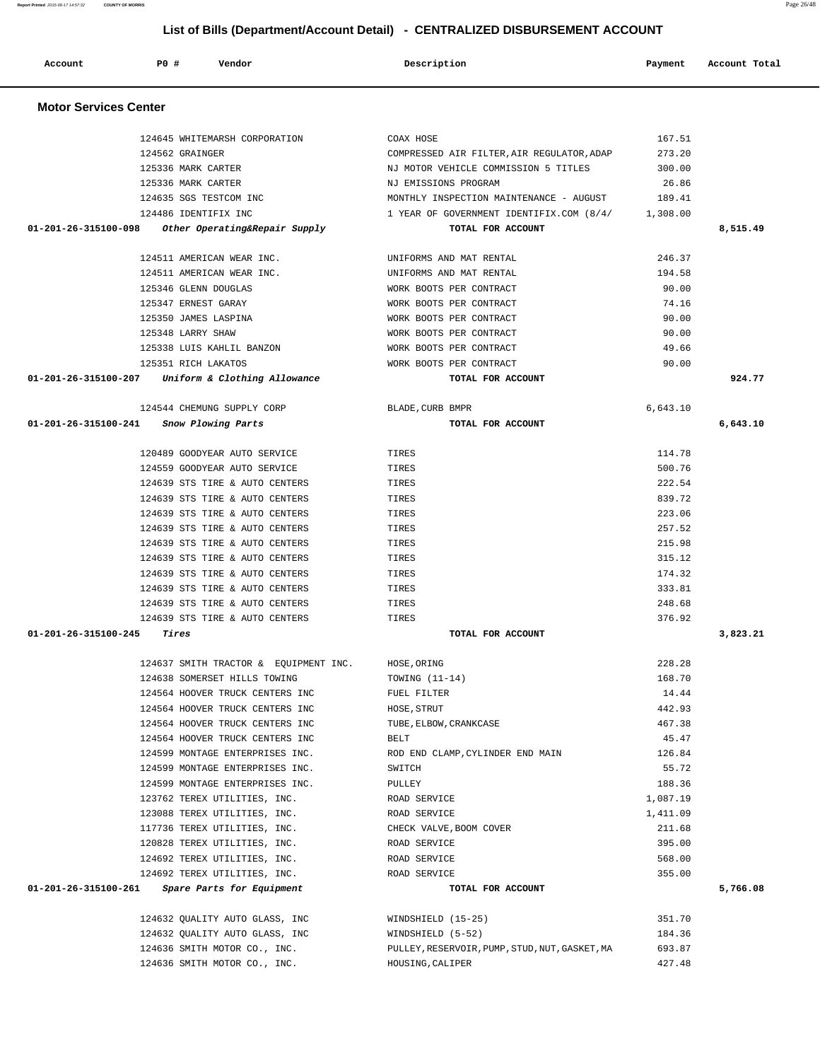| 125336 MARK CARTER                                  | NJ EMISSIONS PROGRAM                              | 26.86    |          |
|-----------------------------------------------------|---------------------------------------------------|----------|----------|
| 124635 SGS TESTCOM INC                              | MONTHLY INSPECTION MAINTENANCE - AUGUST           | 189.41   |          |
| 124486 IDENTIFIX INC                                | 1 YEAR OF GOVERNMENT IDENTIFIX.COM (8/4/ 1,308.00 |          |          |
| 01-201-26-315100-098 Other Operating&Repair Supply  | TOTAL FOR ACCOUNT                                 |          | 8,515.49 |
|                                                     |                                                   |          |          |
| 124511 AMERICAN WEAR INC.                           | UNIFORMS AND MAT RENTAL                           | 246.37   |          |
| 124511 AMERICAN WEAR INC.                           | UNIFORMS AND MAT RENTAL                           | 194.58   |          |
| 125346 GLENN DOUGLAS                                | WORK BOOTS PER CONTRACT                           | 90.00    |          |
| 125347 ERNEST GARAY                                 | WORK BOOTS PER CONTRACT                           | 74.16    |          |
| 125350 JAMES LASPINA                                | WORK BOOTS PER CONTRACT                           | 90.00    |          |
| 125348 LARRY SHAW                                   | WORK BOOTS PER CONTRACT                           | 90.00    |          |
| 125338 LUIS KAHLIL BANZON                           | WORK BOOTS PER CONTRACT                           | 49.66    |          |
| 125351 RICH LAKATOS                                 | WORK BOOTS PER CONTRACT                           | 90.00    |          |
| $01-201-26-315100-207$ Uniform & Clothing Allowance | TOTAL FOR ACCOUNT                                 |          | 924.77   |
|                                                     |                                                   |          |          |
| 124544 CHEMUNG SUPPLY CORP                          | BLADE, CURB BMPR                                  | 6,643.10 |          |
| 01-201-26-315100-241 Snow Plowing Parts             | TOTAL FOR ACCOUNT                                 |          | 6,643.10 |
| 120489 GOODYEAR AUTO SERVICE<br><b>TIRES</b>        |                                                   | 114.78   |          |
| 124559 GOODYEAR AUTO SERVICE                        | TIRES                                             | 500.76   |          |
| 124639 STS TIRE & AUTO CENTERS                      | TIRES                                             | 222.54   |          |
| 124639 STS TIRE & AUTO CENTERS                      | TIRES                                             | 839.72   |          |
| 124639 STS TIRE & AUTO CENTERS                      | TIRES                                             | 223.06   |          |
| 124639 STS TIRE & AUTO CENTERS                      | TIRES                                             | 257.52   |          |
| 124639 STS TIRE & AUTO CENTERS                      | TIRES                                             | 215.98   |          |
| 124639 STS TIRE & AUTO CENTERS                      | TIRES                                             | 315.12   |          |
| 124639 STS TIRE & AUTO CENTERS                      | TIRES                                             | 174.32   |          |
| 124639 STS TIRE & AUTO CENTERS                      | TIRES                                             | 333.81   |          |
| 124639 STS TIRE & AUTO CENTERS                      | TIRES                                             | 248.68   |          |
| 124639 STS TIRE & AUTO CENTERS                      | TIRES                                             | 376.92   |          |
| $01 - 201 - 26 - 315100 - 245$ Tires                | TOTAL FOR ACCOUNT                                 |          | 3,823.21 |
|                                                     |                                                   |          |          |
| 124637 SMITH TRACTOR & EQUIPMENT INC.               | HOSE, ORING                                       | 228.28   |          |
| 124638 SOMERSET HILLS TOWING                        | TOWING (11-14)                                    | 168.70   |          |
| 124564 HOOVER TRUCK CENTERS INC                     | FUEL FILTER                                       | 14.44    |          |
| 124564 HOOVER TRUCK CENTERS INC                     | HOSE, STRUT                                       | 442.93   |          |
| 124564 HOOVER TRUCK CENTERS INC                     | TUBE, ELBOW, CRANKCASE                            | 467.38   |          |
| 124564 HOOVER TRUCK CENTERS INC                     | BELT                                              | 45.47    |          |
| 124599 MONTAGE ENTERPRISES INC.                     | ROD END CLAMP, CYLINDER END MAIN                  | 126.84   |          |
| 124599 MONTAGE ENTERPRISES INC.                     | SWITCH                                            | 55.72    |          |
| 124599 MONTAGE ENTERPRISES INC.                     | PULLEY                                            | 188.36   |          |
| 123762 TEREX UTILITIES, INC.                        | ROAD SERVICE                                      | 1,087.19 |          |
| 123088 TEREX UTILITIES, INC.                        | ROAD SERVICE                                      | 1,411.09 |          |
| 117736 TEREX UTILITIES, INC.                        | CHECK VALVE, BOOM COVER                           | 211.68   |          |
| 120828 TEREX UTILITIES, INC.                        | ROAD SERVICE                                      | 395.00   |          |
| 124692 TEREX UTILITIES, INC.                        | ROAD SERVICE                                      | 568.00   |          |
| 124692 TEREX UTILITIES, INC.                        | ROAD SERVICE                                      | 355.00   |          |
| 01-201-26-315100-261<br>Spare Parts for Equipment   | TOTAL FOR ACCOUNT                                 |          | 5,766.08 |
|                                                     |                                                   |          |          |
| 124632 QUALITY AUTO GLASS, INC                      | WINDSHIELD (15-25)                                | 351.70   |          |
| 124632 OUALITY AUTO GLASS, INC                      | WINDSHIELD (5-52)                                 | 184.36   |          |
| 124636 SMITH MOTOR CO., INC.                        | PULLEY, RESERVOIR, PUMP, STUD, NUT, GASKET, MA    | 693.87   |          |
| 124636 SMITH MOTOR CO., INC.                        | HOUSING, CALIPER                                  | 427.48   |          |

#### **Motor Services Center**

 **Account P0 # Vendor Description Payment Account Total**

 124645 WHITEMARSH CORPORATION COAX HOSE 167.51 124562 GRAINGER COMPRESSED AIR FILTER,AIR REGULATOR,ADAP 273.20 125336 MARK CARTER NJ MOTOR VEHICLE COMMISSION 5 TITLES 300.00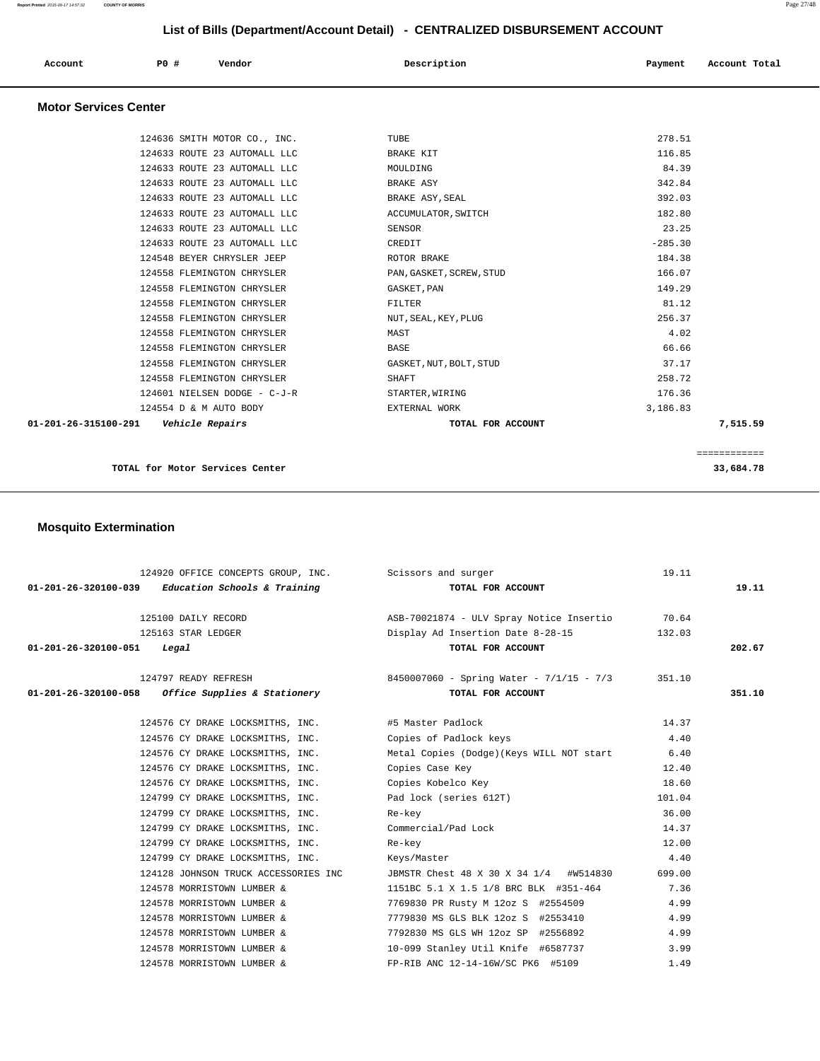| Account<br>. | PO# | Vendor<br>. | Description | Payment | Account Total |
|--------------|-----|-------------|-------------|---------|---------------|
|              |     |             |             |         |               |

### **Motor Services Center**

|                                | TOTAL for Motor Services Center |                          |           | 33,684.78    |
|--------------------------------|---------------------------------|--------------------------|-----------|--------------|
|                                |                                 |                          |           | ============ |
| $01 - 201 - 26 - 315100 - 291$ | Vehicle Repairs                 | TOTAL FOR ACCOUNT        |           | 7,515.59     |
|                                | 124554 D & M AUTO BODY          | EXTERNAL WORK            | 3,186.83  |              |
|                                | 124601 NIELSEN DODGE - C-J-R    | STARTER, WIRING          | 176.36    |              |
|                                | 124558 FLEMINGTON CHRYSLER      | SHAFT                    | 258.72    |              |
|                                | 124558 FLEMINGTON CHRYSLER      | GASKET, NUT, BOLT, STUD  | 37.17     |              |
|                                | 124558 FLEMINGTON CHRYSLER      | <b>BASE</b>              | 66.66     |              |
|                                | 124558 FLEMINGTON CHRYSLER      | MAST                     | 4.02      |              |
|                                | 124558 FLEMINGTON CHRYSLER      | NUT, SEAL, KEY, PLUG     | 256.37    |              |
|                                | 124558 FLEMINGTON CHRYSLER      | FILTER                   | 81.12     |              |
|                                | 124558 FLEMINGTON CHRYSLER      | GASKET, PAN              | 149.29    |              |
|                                | 124558 FLEMINGTON CHRYSLER      | PAN, GASKET, SCREW, STUD | 166.07    |              |
|                                | 124548 BEYER CHRYSLER JEEP      | ROTOR BRAKE              | 184.38    |              |
|                                | 124633 ROUTE 23 AUTOMALL LLC    | CREDIT                   | $-285.30$ |              |
|                                | 124633 ROUTE 23 AUTOMALL LLC    | SENSOR                   | 23.25     |              |
|                                | 124633 ROUTE 23 AUTOMALL LLC    | ACCUMULATOR, SWITCH      | 182.80    |              |
|                                | 124633 ROUTE 23 AUTOMALL LLC    | BRAKE ASY, SEAL          | 392.03    |              |
|                                | 124633 ROUTE 23 AUTOMALL LLC    | BRAKE ASY                | 342.84    |              |
|                                | 124633 ROUTE 23 AUTOMALL LLC    | MOULDING                 | 84.39     |              |
|                                | 124633 ROUTE 23 AUTOMALL LLC    | BRAKE KIT                | 116.85    |              |
|                                | 124636 SMITH MOTOR CO., INC.    | TUBE                     | 278.51    |              |

# **Mosquito Extermination**

|                                      | 124920 OFFICE CONCEPTS GROUP, INC. Scissors and surger |                                                               | 19.11  |        |
|--------------------------------------|--------------------------------------------------------|---------------------------------------------------------------|--------|--------|
|                                      | $01-201-26-320100-039$ Education Schools & Training    | TOTAL FOR ACCOUNT                                             |        | 19.11  |
|                                      | 125100 DAILY RECORD                                    | ASB-70021874 - ULV Spray Notice Insertio 30.64                |        |        |
|                                      | 125163 STAR LEDGER                                     | Display Ad Insertion Date 8-28-15                             | 132.03 |        |
| $01 - 201 - 26 - 320100 - 051$ Legal |                                                        | TOTAL FOR ACCOUNT                                             |        | 202.67 |
|                                      |                                                        | 124797 READY REFRESH 8450007060 - Spring Water - 7/1/15 - 7/3 | 351.10 |        |
|                                      | $01-201-26-320100-058$ Office Supplies & Stationery    | TOTAL FOR ACCOUNT                                             |        | 351.10 |
|                                      | 124576 CY DRAKE LOCKSMITHS, INC. #5 Master Padlock     |                                                               | 14.37  |        |
|                                      | 124576 CY DRAKE LOCKSMITHS, INC.                       | Copies of Padlock keys                                        | 4.40   |        |
|                                      | 124576 CY DRAKE LOCKSMITHS, INC.                       | Metal Copies (Dodge)(Keys WILL NOT start                      | 6.40   |        |
|                                      | 124576 CY DRAKE LOCKSMITHS, INC.                       | Copies Case Key                                               | 12.40  |        |
|                                      | 124576 CY DRAKE LOCKSMITHS, INC.                       | Copies Kobelco Key                                            | 18.60  |        |
|                                      | 124799 CY DRAKE LOCKSMITHS, INC.                       | Pad lock (series 612T)                                        | 101.04 |        |
|                                      | 124799 CY DRAKE LOCKSMITHS, INC.                       | Re-key                                                        | 36.00  |        |
|                                      | 124799 CY DRAKE LOCKSMITHS, INC.                       | Commercial/Pad Lock                                           | 14.37  |        |
|                                      | 124799 CY DRAKE LOCKSMITHS, INC.                       | Re-key                                                        | 12.00  |        |
|                                      | 124799 CY DRAKE LOCKSMITHS, INC.                       | Keys/Master                                                   | 4.40   |        |
|                                      | 124128 JOHNSON TRUCK ACCESSORIES INC                   | JBMSTR Chest 48 X 30 X 34 1/4 #W514830                        | 699.00 |        |
|                                      | 124578 MORRISTOWN LUMBER &                             | 1151BC 5.1 X 1.5 1/8 BRC BLK #351-464                         | 7.36   |        |
|                                      | 124578 MORRISTOWN LUMBER &                             | 7769830 PR Rusty M 12oz S #2554509                            | 4.99   |        |
|                                      | 124578 MORRISTOWN LUMBER &                             | 7779830 MS GLS BLK 12oz S #2553410                            | 4.99   |        |
|                                      | 124578 MORRISTOWN LUMBER &                             | 7792830 MS GLS WH 12oz SP #2556892                            | 4.99   |        |
|                                      | 124578 MORRISTOWN LUMBER &                             | 10-099 Stanley Util Knife #6587737                            | 3.99   |        |
|                                      | 124578 MORRISTOWN LUMBER &                             | FP-RIB ANC 12-14-16W/SC PK6 #5109                             | 1.49   |        |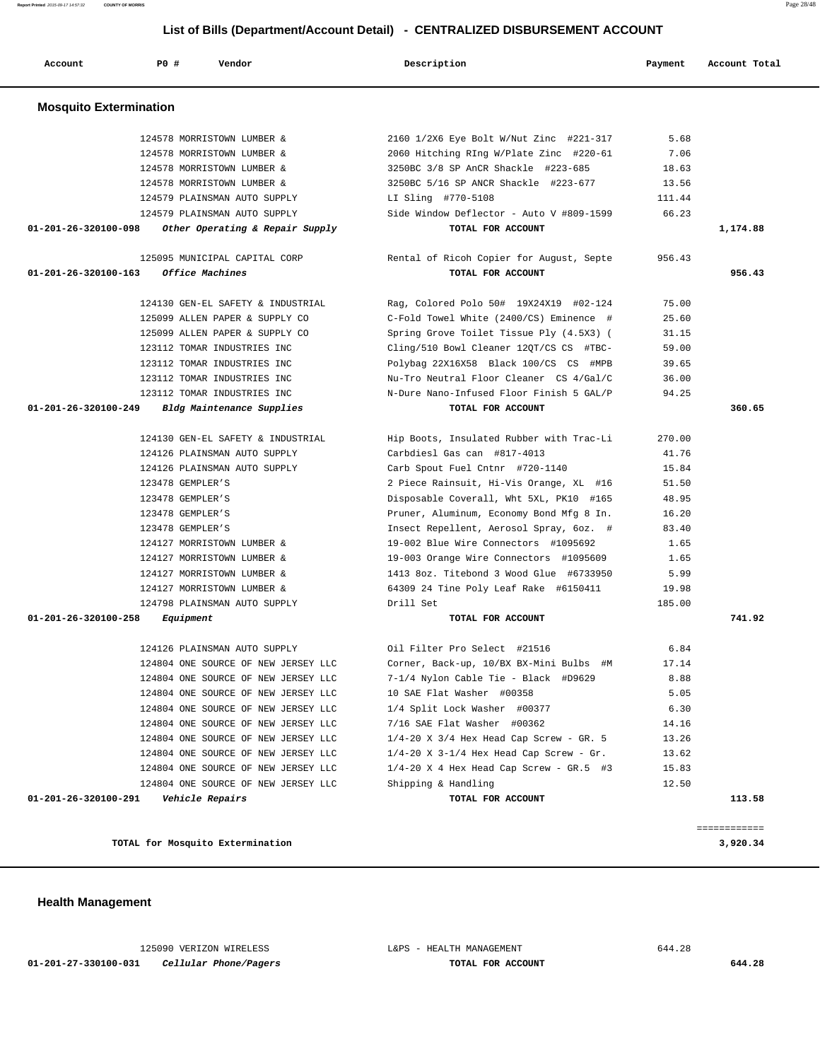**01-201-27-330100-031 Cellular Phone/Pagers TOTAL FOR ACCOUNT 644.28**

125090 VERIZON WIRELESS L&PS - HEALTH MANAGEMENT 644.28

**TOTAL for Mosquito Extermination 3,920.34**

 **Health Management** 

 **Account P0 # Vendor Description Payment Account Total Mosquito Extermination**  124578 MORRISTOWN LUMBER & 2160 1/2X6 Eye Bolt W/Nut Zinc #221-317 5.68 124578 MORRISTOWN LUMBER & 2060 Hitching RIng W/Plate Zinc #220-61 7.06 124578 MORRISTOWN LUMBER & 3250BC 3/8 SP AnCR Shackle #223-685 18.63 124578 MORRISTOWN LUMBER & 3250BC 5/16 SP ANCR Shackle #223-677 13.56 124579 PLAINSMAN AUTO SUPPLY LI Sling #770-5108 111.44 124579 PLAINSMAN AUTO SUPPLY Side Window Deflector - Auto V #809-1599 66.23  **01-201-26-320100-098 Other Operating & Repair Supply TOTAL FOR ACCOUNT 1,174.88** 125095 MUNICIPAL CAPITAL CORP Rental of Ricoh Copier for August, Septe 956.43  **01-201-26-320100-163 Office Machines TOTAL FOR ACCOUNT 956.43** 124130 GEN-EL SAFETY & INDUSTRIAL Rag, Colored Polo 50# 19X24X19 #02-124 75.00 125099 ALLEN PAPER & SUPPLY CO C-Fold Towel White (2400/CS) Eminence # 25.60 125099 ALLEN PAPER & SUPPLY CO Spring Grove Toilet Tissue Ply (4.5X3) ( 31.15 123112 TOMAR INDUSTRIES INC Cling/510 Bowl Cleaner 12QT/CS CS #TBC- 59.00 123112 TOMAR INDUSTRIES INC Polybag 22X16X58 Black 100/CS CS #MPB 39.65 123112 TOMAR INDUSTRIES INC Nu-Tro Neutral Floor Cleaner CS 4/Gal/C 36.00 123112 TOMAR INDUSTRIES INC N-Dure Nano-Infused Floor Finish 5 GAL/P 94.25  **01-201-26-320100-249 Bldg Maintenance Supplies TOTAL FOR ACCOUNT 360.65** 124130 GEN-EL SAFETY & INDUSTRIAL Hip Boots, Insulated Rubber with Trac-Li 270.00 124126 PLAINSMAN AUTO SUPPLY Carbdiesl Gas can #817-4013 41.76 124126 PLAINSMAN AUTO SUPPLY Carb Spout Fuel Cntnr #720-1140 15.84 123478 GEMPLER'S 2 Piece Rainsuit, Hi-Vis Orange, XL #16 51.50 123478 GEMPLER'S Disposable Coverall, Wht 5XL, PK10 #165 48.95 123478 GEMPLER'S Pruner, Aluminum, Economy Bond Mfg 8 In. 16.20 123478 GEMPLER'S Insect Repellent, Aerosol Spray, 6oz. # 83.40 124127 MORRISTOWN LUMBER & 19-002 Blue Wire Connectors #1095692 1.65 124127 MORRISTOWN LUMBER & 19-003 Orange Wire Connectors #1095609 1.65 124127 MORRISTOWN LUMBER & 1413 8oz. Titebond 3 Wood Glue #6733950 5.99 124127 MORRISTOWN LUMBER & 64309 24 Tine Poly Leaf Rake #6150411 19.98 124798 PLAINSMAN AUTO SUPPLY Drill Set 185.00  **01-201-26-320100-258 Equipment TOTAL FOR ACCOUNT 741.92** 124126 PLAINSMAN AUTO SUPPLY Oil Filter Pro Select #21516 6.84 124804 ONE SOURCE OF NEW JERSEY LLC Corner, Back-up, 10/BX BX-Mini Bulbs #M 17.14 124804 ONE SOURCE OF NEW JERSEY LLC 7-1/4 Nylon Cable Tie - Black #D9629 8.88 124804 ONE SOURCE OF NEW JERSEY LLC 10 SAE Flat Washer #00358 5.05 124804 ONE SOURCE OF NEW JERSEY LLC 1/4 Split Lock Washer #00377 6.30 124804 ONE SOURCE OF NEW JERSEY LLC 7/16 SAE Flat Washer #00362 14.16 124804 ONE SOURCE OF NEW JERSEY LLC 1/4-20 X 3/4 Hex Head Cap Screw - GR. 5 13.26 124804 ONE SOURCE OF NEW JERSEY LLC 1/4-20 X 3-1/4 Hex Head Cap Screw - Gr. 13.62 124804 ONE SOURCE OF NEW JERSEY LLC 1/4-20 X 4 Hex Head Cap Screw - GR.5 #3 15.83 124804 ONE SOURCE OF NEW JERSEY LLC Shipping & Handling 12.50  **01-201-26-320100-291 Vehicle Repairs TOTAL FOR ACCOUNT 113.58** ============

### **List of Bills (Department/Account Detail) - CENTRALIZED DISBURSEMENT ACCOUNT**

**Report Printed** 2015-09-17 14:57:32 **COUNTY OF MORRIS** Page 28/48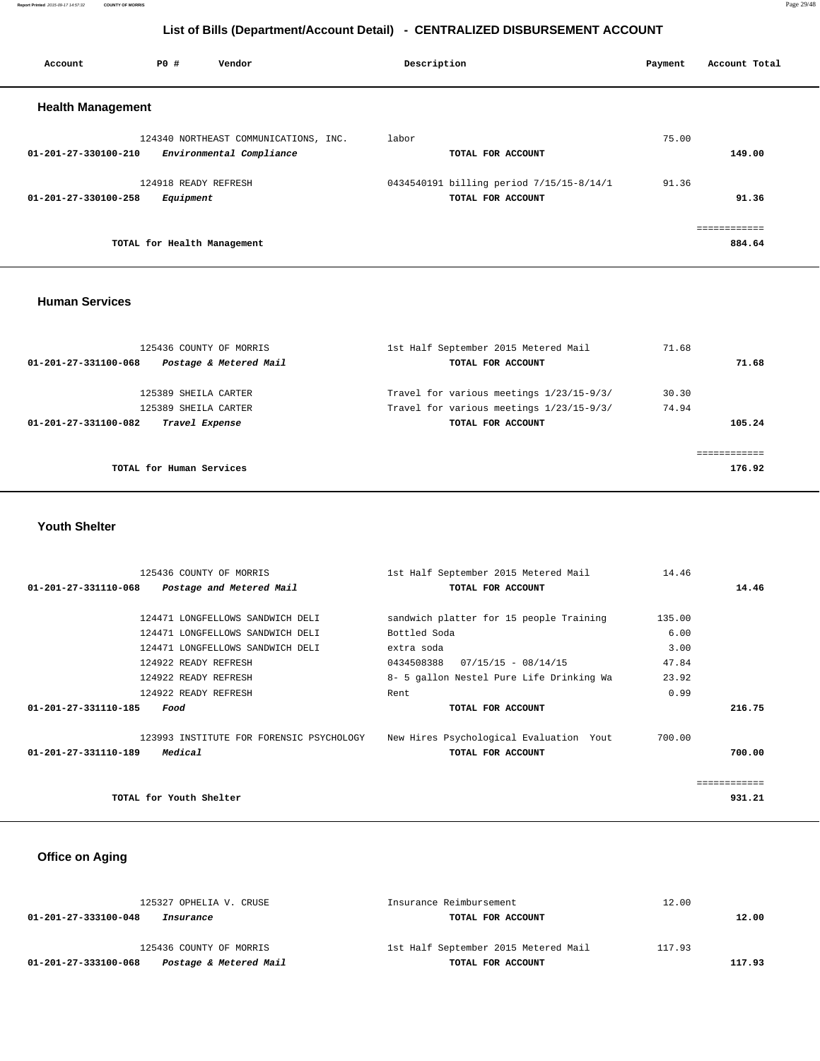**Report Printed** 2015-09-17 14:57:32 **COUNTY OF MORRIS** Page 29/48

# **List of Bills (Department/Account Detail) - CENTRALIZED DISBURSEMENT ACCOUNT**

| Account                        | PO#                               | Vendor                                                            | Description |                                                               | Payment | Account Total          |
|--------------------------------|-----------------------------------|-------------------------------------------------------------------|-------------|---------------------------------------------------------------|---------|------------------------|
| <b>Health Management</b>       |                                   |                                                                   |             |                                                               |         |                        |
| $01 - 201 - 27 - 330100 - 210$ |                                   | 124340 NORTHEAST COMMUNICATIONS, INC.<br>Environmental Compliance | labor       | TOTAL FOR ACCOUNT                                             | 75.00   | 149.00                 |
| $01 - 201 - 27 - 330100 - 258$ | 124918 READY REFRESH<br>Equipment |                                                                   |             | 0434540191 billing period 7/15/15-8/14/1<br>TOTAL FOR ACCOUNT | 91.36   | 91.36                  |
|                                | TOTAL for Health Management       |                                                                   |             |                                                               |         | ------------<br>884.64 |
|                                |                                   |                                                                   |             |                                                               |         |                        |

#### **Human Services**

| 125436 COUNTY OF MORRIS<br>Postage & Metered Mail<br>01-201-27-331100-068 | 1st Half September 2015 Metered Mail<br>TOTAL FOR ACCOUNT | 71.68 | 71.68  |
|---------------------------------------------------------------------------|-----------------------------------------------------------|-------|--------|
| 125389 SHEILA CARTER                                                      | Travel for various meetings 1/23/15-9/3/                  | 30.30 |        |
| 125389 SHEILA CARTER                                                      | Travel for various meetings 1/23/15-9/3/                  | 74.94 |        |
| Travel Expense<br>01-201-27-331100-082                                    | TOTAL FOR ACCOUNT                                         |       | 105.24 |
| TOTAL for Human Services                                                  |                                                           |       | 176.92 |

 **Youth Shelter** 

| 125436 COUNTY OF MORRIS                                                          | 1st Half September 2015 Metered Mail     | 14.46  |              |
|----------------------------------------------------------------------------------|------------------------------------------|--------|--------------|
| 01-201-27-331110-068<br>Postage and Metered Mail                                 | TOTAL FOR ACCOUNT                        |        | 14.46        |
|                                                                                  |                                          |        |              |
| 124471 LONGFELLOWS SANDWICH DELI                                                 | sandwich platter for 15 people Training  | 135.00 |              |
| 124471 LONGFELLOWS SANDWICH DELI                                                 | Bottled Soda                             | 6.00   |              |
| 124471 LONGFELLOWS SANDWICH DELI                                                 | extra soda                               | 3.00   |              |
| 124922 READY REFRESH                                                             | $07/15/15 - 08/14/15$<br>0434508388      | 47.84  |              |
| 124922 READY REFRESH                                                             | 8- 5 gallon Nestel Pure Life Drinking Wa | 23.92  |              |
| 124922 READY REFRESH                                                             | Rent                                     | 0.99   |              |
| 01-201-27-331110-185<br>Food                                                     | TOTAL FOR ACCOUNT                        |        | 216.75       |
|                                                                                  |                                          |        |              |
| 123993 INSTITUTE FOR FORENSIC PSYCHOLOGY New Hires Psychological Evaluation Yout |                                          | 700.00 |              |
| Medical<br>$01 - 201 - 27 - 331110 - 189$                                        | TOTAL FOR ACCOUNT                        |        | 700.00       |
|                                                                                  |                                          |        |              |
|                                                                                  |                                          |        | ============ |
| TOTAL for Youth Shelter                                                          |                                          |        | 931.21       |

# **Office on Aging**

| 125327 OPHELIA V. CRUSE                        | Insurance Reimbursement              | 12.00  |
|------------------------------------------------|--------------------------------------|--------|
| 01-201-27-333100-048<br>Insurance              | TOTAL FOR ACCOUNT                    | 12.00  |
| 125436 COUNTY OF MORRIS                        | 1st Half September 2015 Metered Mail | 117.93 |
| Postage & Metered Mail<br>01-201-27-333100-068 | TOTAL FOR ACCOUNT                    | 117.93 |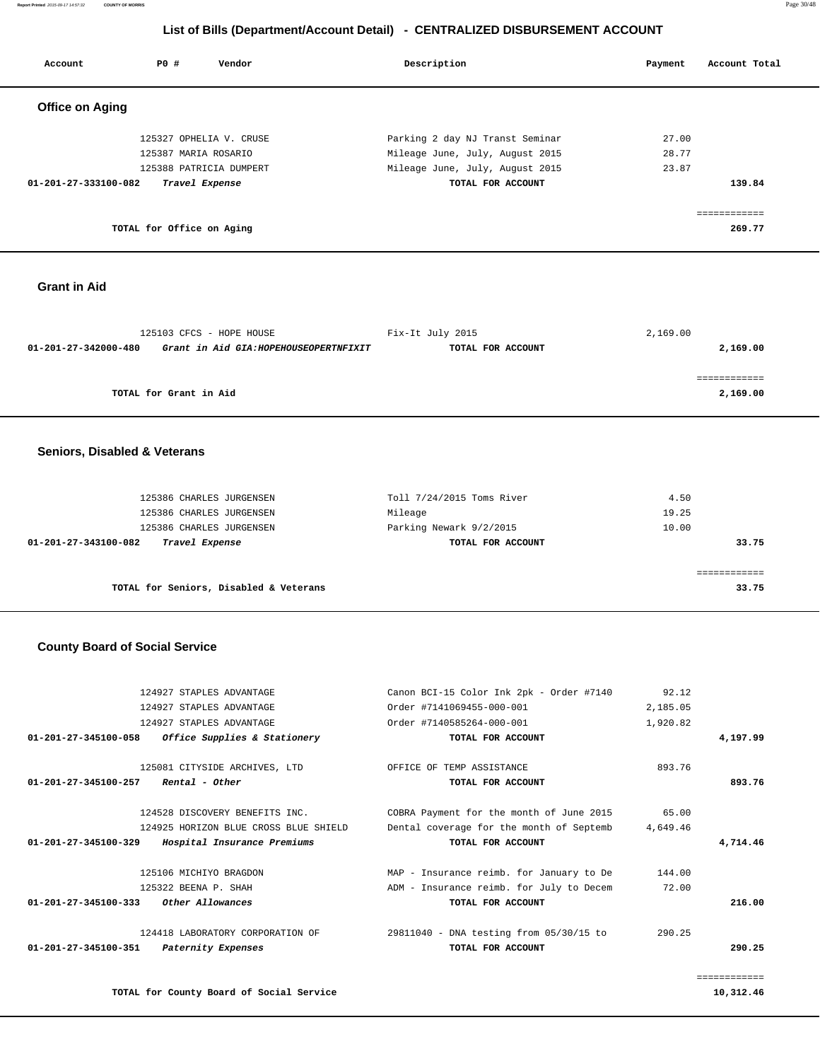**Report Printed** 2015-09-17 14:57:32 **COUNTY OF MORRIS** Page 30/48

# **List of Bills (Department/Account Detail) - CENTRALIZED DISBURSEMENT ACCOUNT**

| Account                        | <b>PO #</b>               | Vendor                  | Description                     | Account Total<br>Payment |
|--------------------------------|---------------------------|-------------------------|---------------------------------|--------------------------|
| <b>Office on Aging</b>         |                           |                         |                                 |                          |
|                                |                           | 125327 OPHELIA V. CRUSE | Parking 2 day NJ Transt Seminar | 27.00                    |
|                                | 125387 MARIA ROSARIO      |                         | Mileage June, July, August 2015 | 28.77                    |
|                                |                           | 125388 PATRICIA DUMPERT | Mileage June, July, August 2015 | 23.87                    |
| $01 - 201 - 27 - 333100 - 082$ |                           | Travel Expense          | TOTAL FOR ACCOUNT               | 139.84                   |
|                                |                           |                         |                                 | ===========              |
|                                | TOTAL for Office on Aging |                         |                                 | 269.77                   |

### **Grant in Aid**

|                                                                | 125103 CFCS - HOPE HOUSE | Fix-It July 2015  | 2,169.00 |
|----------------------------------------------------------------|--------------------------|-------------------|----------|
| Grant in Aid GIA: HOPEHOUSEOPERTNFIXIT<br>01-201-27-342000-480 |                          | TOTAL FOR ACCOUNT | 2,169.00 |
|                                                                |                          |                   |          |
|                                                                |                          |                   |          |
|                                                                | TOTAL for Grant in Aid   |                   | 2,169.00 |

#### **Seniors, Disabled & Veterans**

| 125386 CHARLES JURGENSEN               | Toll 7/24/2015 Toms River | 4.50  |
|----------------------------------------|---------------------------|-------|
| 125386 CHARLES JURGENSEN               | Mileage                   | 19.25 |
| 125386 CHARLES JURGENSEN               | Parking Newark 9/2/2015   | 10.00 |
| 01-201-27-343100-082<br>Travel Expense | TOTAL FOR ACCOUNT         | 33.75 |
|                                        |                           |       |
|                                        |                           |       |
| TOTAL for Seniors, Disabled & Veterans |                           | 33.75 |

#### **County Board of Social Service**

|              | 92.12    | Canon BCI-15 Color Ink 2pk - Order #7140 | 124927 STAPLES ADVANTAGE              |                                       |
|--------------|----------|------------------------------------------|---------------------------------------|---------------------------------------|
|              | 2,185.05 | Order #7141069455-000-001                | 124927 STAPLES ADVANTAGE              |                                       |
|              | 1,920.82 | Order #7140585264-000-001                | 124927 STAPLES ADVANTAGE              |                                       |
| 4,197.99     |          | TOTAL FOR ACCOUNT                        | Office Supplies & Stationery          | 01-201-27-345100-058                  |
|              |          |                                          |                                       |                                       |
|              | 893.76   | OFFICE OF TEMP ASSISTANCE                | 125081 CITYSIDE ARCHIVES, LTD         |                                       |
| 893.76       |          | TOTAL FOR ACCOUNT                        |                                       | $01-201-27-345100-257$ Rental - Other |
|              |          |                                          |                                       |                                       |
|              | 65.00    | COBRA Payment for the month of June 2015 | 124528 DISCOVERY BENEFITS INC.        |                                       |
|              | 4,649.46 | Dental coverage for the month of Septemb | 124925 HORIZON BLUE CROSS BLUE SHIELD |                                       |
| 4,714.46     |          | TOTAL FOR ACCOUNT                        | Hospital Insurance Premiums           | $01 - 201 - 27 - 345100 - 329$        |
|              | 144.00   | MAP - Insurance reimb. for January to De | 125106 MICHIYO BRAGDON                |                                       |
|              | 72.00    | ADM - Insurance reimb. for July to Decem | 125322 BEENA P. SHAH                  |                                       |
| 216.00       |          | TOTAL FOR ACCOUNT                        | 01-201-27-345100-333 Other Allowances |                                       |
|              | 290.25   | 29811040 - DNA testing from 05/30/15 to  | 124418 LABORATORY CORPORATION OF      |                                       |
| 290.25       |          | TOTAL FOR ACCOUNT                        | Paternity Expenses                    | $01 - 201 - 27 - 345100 - 351$        |
| ============ |          |                                          |                                       |                                       |
|              |          |                                          |                                       |                                       |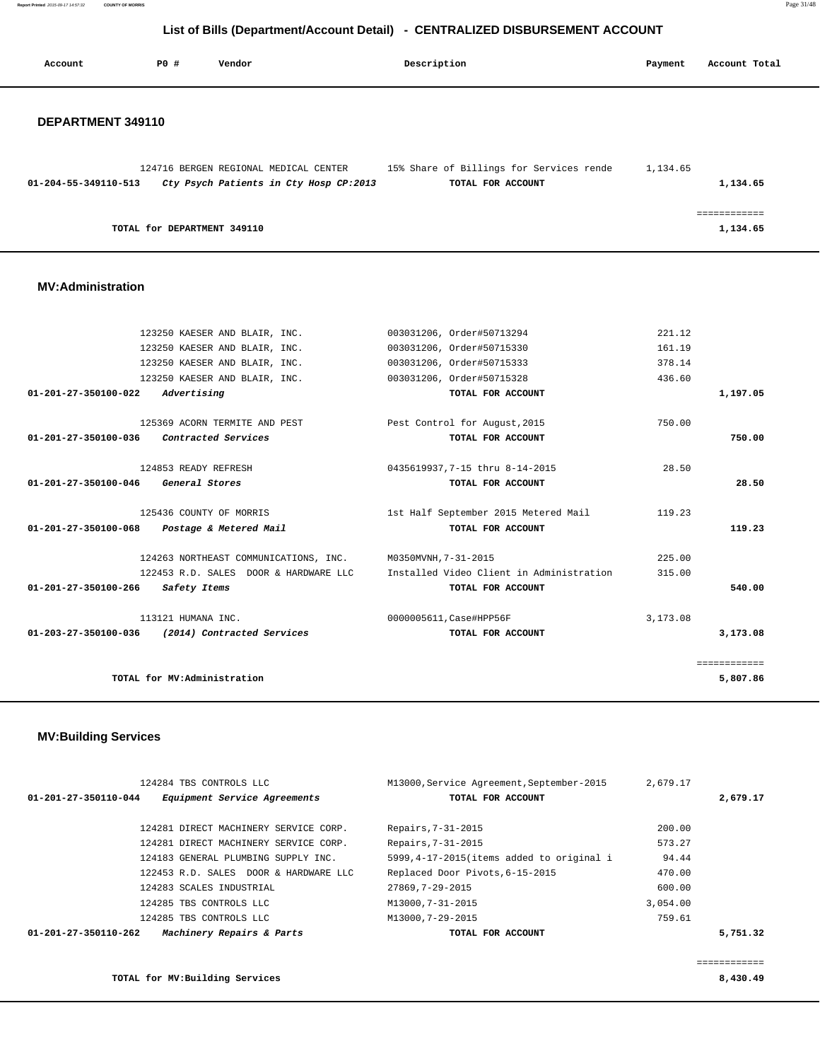**Report Printed** 2015-09-17 14:57:32 **COUNTY OF MORRIS** Page 31/48

# **List of Bills (Department/Account Detail) - CENTRALIZED DISBURSEMENT ACCOUNT**

| Account              | <b>PO #</b> | Vendor                                                                          | Description                                                   | Payment  | Account Total            |
|----------------------|-------------|---------------------------------------------------------------------------------|---------------------------------------------------------------|----------|--------------------------|
| DEPARTMENT 349110    |             |                                                                                 |                                                               |          |                          |
| 01-204-55-349110-513 |             | 124716 BERGEN REGIONAL MEDICAL CENTER<br>Cty Psych Patients in Cty Hosp CP:2013 | 15% Share of Billings for Services rende<br>TOTAL FOR ACCOUNT | 1,134.65 | 1,134.65                 |
|                      |             | TOTAL for DEPARTMENT 349110                                                     |                                                               |          | ============<br>1,134.65 |
|                      |             |                                                                                 |                                                               |          |                          |

#### **MV:Administration**

| 123250 KAESER AND BLAIR, INC.                              | 003031206, Order#50713294                | 221.12     |              |
|------------------------------------------------------------|------------------------------------------|------------|--------------|
| 123250 KAESER AND BLAIR, INC.                              | 003031206, Order#50715330                | 161.19     |              |
| 123250 KAESER AND BLAIR, INC.                              | 003031206, Order#50715333                | 378.14     |              |
| 123250 KAESER AND BLAIR, INC.                              | 003031206, Order#50715328                | 436.60     |              |
| Advertising<br>01-201-27-350100-022                        | TOTAL FOR ACCOUNT                        |            | 1,197.05     |
| 125369 ACORN TERMITE AND PEST                              | Pest Control for August, 2015            | 750.00     |              |
| 01-201-27-350100-036<br><i>Contracted Services</i>         | TOTAL FOR ACCOUNT                        |            | 750.00       |
| 124853 READY REFRESH                                       | 0435619937,7-15 thru 8-14-2015           | 28.50      |              |
| General Stores<br>01-201-27-350100-046                     | TOTAL FOR ACCOUNT                        |            | 28.50        |
| 125436 COUNTY OF MORRIS                                    | 1st Half September 2015 Metered Mail     | 119.23     |              |
| 01-201-27-350100-068 Postage & Metered Mail                | TOTAL FOR ACCOUNT                        |            | 119.23       |
| 124263 NORTHEAST COMMUNICATIONS, INC. M0350MVNH, 7-31-2015 |                                          | 225.00     |              |
| 122453 R.D. SALES DOOR & HARDWARE LLC                      | Installed Video Client in Administration | 315.00     |              |
| 01-201-27-350100-266<br>Safety Items                       | TOTAL FOR ACCOUNT                        |            | 540.00       |
| 113121 HUMANA INC.                                         | 0000005611, Case#HPP56F                  | 3, 173, 08 |              |
| 01-203-27-350100-036<br>(2014) Contracted Services         | TOTAL FOR ACCOUNT                        |            | 3,173.08     |
|                                                            |                                          |            | ============ |
| TOTAL for MV:Administration                                |                                          |            | 5,807.86     |
|                                                            |                                          |            |              |

### **MV:Building Services**

| $01 - 201 - 27 - 350110 - 044$ | 124284 TBS CONTROLS LLC<br>Equipment Service Agreements | M13000, Service Agreement, September-2015<br>TOTAL FOR ACCOUNT | 2,679.17 | 2,679.17 |
|--------------------------------|---------------------------------------------------------|----------------------------------------------------------------|----------|----------|
|                                | 124281 DIRECT MACHINERY SERVICE CORP.                   | Repairs, 7-31-2015                                             | 200.00   |          |
|                                | 124281 DIRECT MACHINERY SERVICE CORP.                   | Repairs, 7-31-2015                                             | 573.27   |          |
|                                | 124183 GENERAL PLUMBING SUPPLY INC.                     | 5999, 4-17-2015 (items added to original i                     | 94.44    |          |
|                                | 122453 R.D. SALES DOOR & HARDWARE LLC                   | Replaced Door Pivots, 6-15-2015                                | 470.00   |          |
|                                | 124283 SCALES INDUSTRIAL                                | 27869, 7-29-2015                                               | 600.00   |          |
|                                | 124285 TBS CONTROLS LLC                                 | M13000.7-31-2015                                               | 3,054.00 |          |
|                                | 124285 TBS CONTROLS LLC                                 | M13000.7-29-2015                                               | 759.61   |          |
| $01 - 201 - 27 - 350110 - 262$ | Machinery Repairs & Parts                               | TOTAL FOR ACCOUNT                                              |          | 5,751.32 |
|                                |                                                         |                                                                |          |          |
|                                |                                                         |                                                                |          |          |

**TOTAL for MV:Building Services 8,430.49**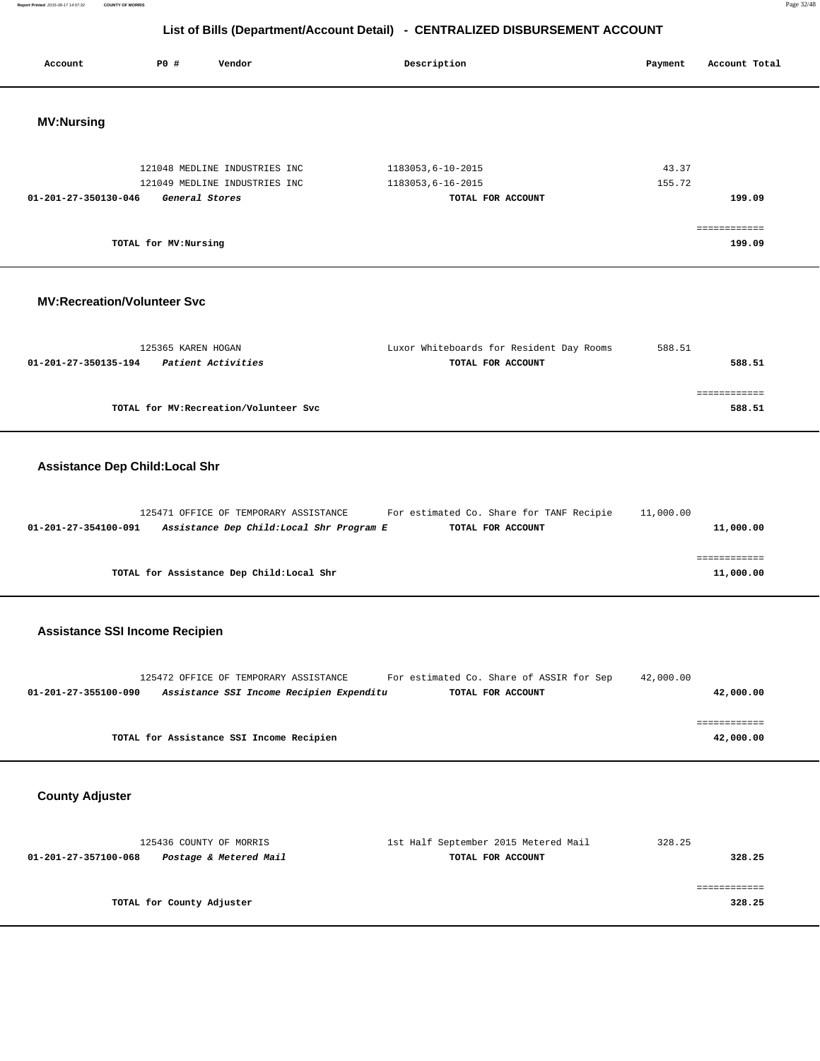**Report Printed** 2015-09-17 14:57:32 **COUNTY OF MORRIS** Page 32/48

# **List of Bills (Department/Account Detail) - CENTRALIZED DISBURSEMENT ACCOUNT**

| Account                               | P0 #<br>Vendor                                                                     | Description                                                   | Payment         | Account Total             |
|---------------------------------------|------------------------------------------------------------------------------------|---------------------------------------------------------------|-----------------|---------------------------|
| <b>MV:Nursing</b>                     |                                                                                    |                                                               |                 |                           |
| 01-201-27-350130-046                  | 121048 MEDLINE INDUSTRIES INC<br>121049 MEDLINE INDUSTRIES INC<br>General Stores   | 1183053,6-10-2015<br>1183053,6-16-2015<br>TOTAL FOR ACCOUNT   | 43.37<br>155.72 | 199.09<br>============    |
|                                       | TOTAL for MV: Nursing                                                              |                                                               |                 | 199.09                    |
| <b>MV:Recreation/Volunteer Svc</b>    |                                                                                    |                                                               |                 |                           |
| 01-201-27-350135-194                  | 125365 KAREN HOGAN<br>Patient Activities                                           | Luxor Whiteboards for Resident Day Rooms<br>TOTAL FOR ACCOUNT | 588.51          | 588.51                    |
|                                       | TOTAL for MV: Recreation/Volunteer Svc                                             |                                                               |                 | ============<br>588.51    |
| <b>Assistance Dep Child:Local Shr</b> |                                                                                    |                                                               |                 |                           |
| 01-201-27-354100-091                  | 125471 OFFICE OF TEMPORARY ASSISTANCE<br>Assistance Dep Child: Local Shr Program E | For estimated Co. Share for TANF Recipie<br>TOTAL FOR ACCOUNT | 11,000.00       | 11,000.00                 |
|                                       | TOTAL for Assistance Dep Child: Local Shr                                          |                                                               |                 | ============<br>11,000.00 |
|                                       | <b>Assistance SSI Income Recipien</b>                                              |                                                               |                 |                           |
| 01-201-27-355100-090                  | 125472 OFFICE OF TEMPORARY ASSISTANCE<br>Assistance SSI Income Recipien Expenditu  | For estimated Co. Share of ASSIR for Sep<br>TOTAL FOR ACCOUNT | 42,000.00       | 42,000.00                 |
|                                       | TOTAL for Assistance SSI Income Recipien                                           |                                                               |                 | ============<br>42,000.00 |
| <b>County Adjuster</b>                |                                                                                    |                                                               |                 |                           |
| 01-201-27-357100-068                  | 125436 COUNTY OF MORRIS<br>Postage & Metered Mail                                  | 1st Half September 2015 Metered Mail<br>TOTAL FOR ACCOUNT     | 328.25          | 328.25                    |
|                                       | TOTAL for County Adjuster                                                          |                                                               |                 | ============<br>328.25    |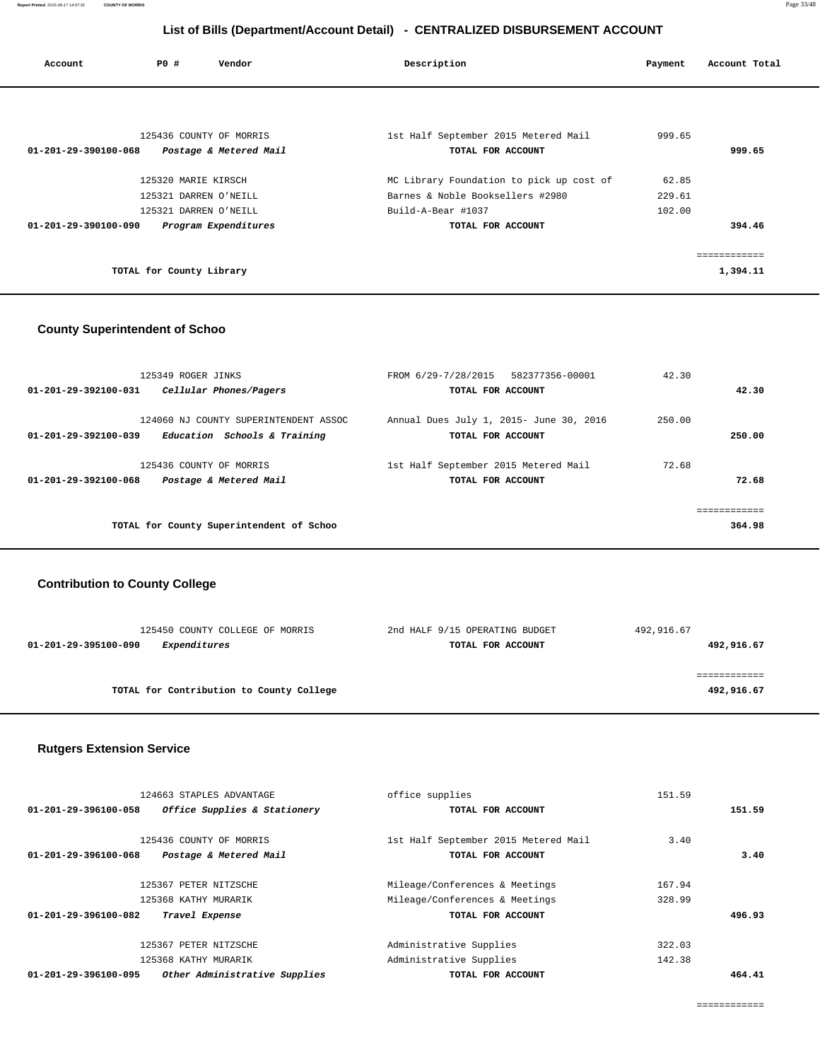| Account              | <b>PO #</b>              | Vendor                                            | Description                                               | Payment | Account Total |
|----------------------|--------------------------|---------------------------------------------------|-----------------------------------------------------------|---------|---------------|
|                      |                          |                                                   |                                                           |         |               |
| 01-201-29-390100-068 |                          | 125436 COUNTY OF MORRIS<br>Postage & Metered Mail | 1st Half September 2015 Metered Mail<br>TOTAL FOR ACCOUNT | 999.65  | 999.65        |
|                      | 125320 MARIE KIRSCH      |                                                   | MC Library Foundation to pick up cost of                  | 62.85   |               |
|                      |                          | 125321 DARREN O'NEILL                             | Barnes & Noble Booksellers #2980                          | 229.61  |               |
|                      |                          | 125321 DARREN O'NEILL                             | Build-A-Bear #1037                                        | 102.00  |               |
| 01-201-29-390100-090 |                          | Program Expenditures                              | TOTAL FOR ACCOUNT                                         |         | 394.46        |
|                      |                          |                                                   |                                                           |         | ------------  |
|                      | TOTAL for County Library |                                                   |                                                           |         | 1,394.11      |

### **County Superintendent of Schoo**

| 125349 ROGER JINKS                                   | FROM 6/29-7/28/2015 582377356-00001     | 42.30  |              |
|------------------------------------------------------|-----------------------------------------|--------|--------------|
| 01-201-29-392100-031<br>Cellular Phones/Pagers       | TOTAL FOR ACCOUNT                       |        | 42.30        |
|                                                      |                                         |        |              |
| 124060 NJ COUNTY SUPERINTENDENT ASSOC                | Annual Dues July 1, 2015- June 30, 2016 | 250.00 |              |
| Education Schools & Training<br>01-201-29-392100-039 | TOTAL FOR ACCOUNT                       |        | 250.00       |
|                                                      |                                         |        |              |
| 125436 COUNTY OF MORRIS                              | 1st Half September 2015 Metered Mail    | 72.68  |              |
| Postage & Metered Mail<br>01-201-29-392100-068       | TOTAL FOR ACCOUNT                       |        | 72.68        |
|                                                      |                                         |        |              |
|                                                      |                                         |        | ------------ |
| TOTAL for County Superintendent of Schoo             |                                         |        | 364.98       |
|                                                      |                                         |        |              |

### **Contribution to County College**

| 125450 COUNTY COLLEGE OF MORRIS             | 2nd HALF 9/15 OPERATING BUDGET | 492,916.67 |
|---------------------------------------------|--------------------------------|------------|
| <i>Expenditures</i><br>01-201-29-395100-090 | TOTAL FOR ACCOUNT              | 492,916.67 |
|                                             |                                |            |
|                                             |                                |            |
| TOTAL for Contribution to County College    |                                | 492,916.67 |
|                                             |                                |            |

### **Rutgers Extension Service**

| 124663 STAPLES ADVANTAGE                                 | office supplies                      | 151.59 |        |
|----------------------------------------------------------|--------------------------------------|--------|--------|
| Office Supplies & Stationery<br>01-201-29-396100-058     | TOTAL FOR ACCOUNT                    |        | 151.59 |
| 125436 COUNTY OF MORRIS                                  | 1st Half September 2015 Metered Mail | 3.40   |        |
| $01 - 201 - 29 - 396100 - 068$<br>Postage & Metered Mail | TOTAL FOR ACCOUNT                    |        | 3.40   |
| 125367 PETER NITZSCHE                                    | Mileage/Conferences & Meetings       | 167.94 |        |
| 125368 KATHY MURARIK                                     | Mileage/Conferences & Meetings       | 328.99 |        |
| $01 - 201 - 29 - 396100 - 082$<br>Travel Expense         | TOTAL FOR ACCOUNT                    |        | 496.93 |
| 125367 PETER NITZSCHE                                    | Administrative Supplies              | 322.03 |        |
| 125368 KATHY MURARIK                                     | Administrative Supplies              | 142.38 |        |
| Other Administrative Supplies<br>01-201-29-396100-095    | TOTAL FOR ACCOUNT                    |        | 464.41 |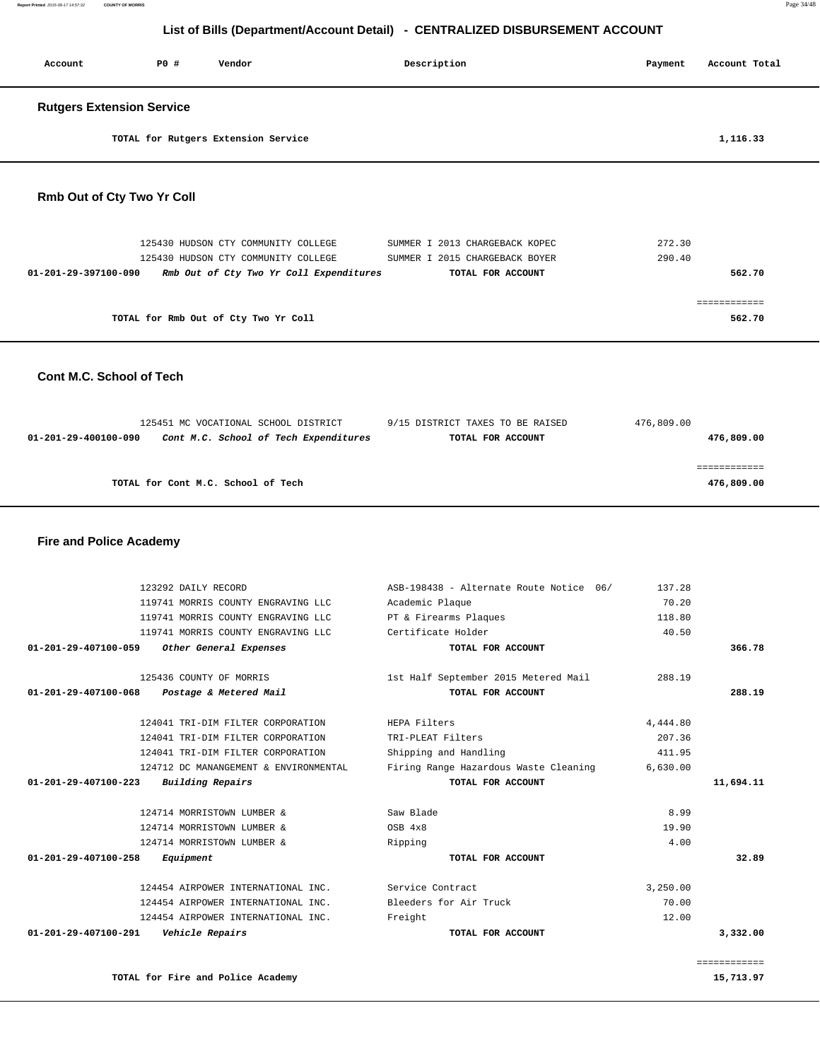| Account                          | PO# | Vendor                                  | Description                    | Payment<br>Account Total |
|----------------------------------|-----|-----------------------------------------|--------------------------------|--------------------------|
| <b>Rutgers Extension Service</b> |     |                                         |                                |                          |
|                                  |     | TOTAL for Rutgers Extension Service     |                                | 1,116.33                 |
| Rmb Out of Cty Two Yr Coll       |     |                                         |                                |                          |
|                                  |     | 125430 HUDSON CTY COMMUNITY COLLEGE     | SUMMER I 2013 CHARGEBACK KOPEC | 272.30                   |
|                                  |     | 125430 HUDSON CTY COMMUNITY COLLEGE     | SUMMER I 2015 CHARGEBACK BOYER | 290.40                   |
| $01 - 201 - 29 - 397100 - 090$   |     | Rmb Out of Cty Two Yr Coll Expenditures | TOTAL FOR ACCOUNT              | 562.70                   |
|                                  |     |                                         |                                | ============             |
|                                  |     | TOTAL for Rmb Out of Cty Two Yr Coll    |                                | 562.70                   |
| Cont M.C. School of Tech         |     |                                         |                                |                          |

|                      | 125451 MC VOCATIONAL SCHOOL DISTRICT  | 9/15 DISTRICT TAXES TO BE RAISED | 476,809.00 |
|----------------------|---------------------------------------|----------------------------------|------------|
| 01-201-29-400100-090 | Cont M.C. School of Tech Expenditures | TOTAL FOR ACCOUNT                | 476,809.00 |
|                      |                                       |                                  |            |
|                      |                                       |                                  |            |
|                      | TOTAL for Cont M.C. School of Tech    |                                  | 476,809.00 |
|                      |                                       |                                  |            |

### **Fire and Police Academy**

|                           | 137.28   | ASB-198438 - Alternate Route Notice 06/ | 123292 DAILY RECORD                   |                                |
|---------------------------|----------|-----------------------------------------|---------------------------------------|--------------------------------|
|                           | 70.20    | Academic Plaque                         | 119741 MORRIS COUNTY ENGRAVING LLC    |                                |
|                           | 118.80   | PT & Firearms Plaques                   | 119741 MORRIS COUNTY ENGRAVING LLC    |                                |
|                           | 40.50    | Certificate Holder                      | 119741 MORRIS COUNTY ENGRAVING LLC    |                                |
| 366.78                    |          | TOTAL FOR ACCOUNT                       | Other General Expenses                | $01 - 201 - 29 - 407100 - 059$ |
|                           | 288.19   | 1st Half September 2015 Metered Mail    | 125436 COUNTY OF MORRIS               |                                |
| 288.19                    |          | TOTAL FOR ACCOUNT                       | Postage & Metered Mail                | 01-201-29-407100-068           |
|                           | 4,444.80 | HEPA Filters                            | 124041 TRI-DIM FILTER CORPORATION     |                                |
|                           | 207.36   | TRI-PLEAT Filters                       | 124041 TRI-DIM FILTER CORPORATION     |                                |
|                           | 411.95   | Shipping and Handling                   | 124041 TRI-DIM FILTER CORPORATION     |                                |
|                           | 6,630.00 | Firing Range Hazardous Waste Cleaning   | 124712 DC MANANGEMENT & ENVIRONMENTAL |                                |
| 11,694.11                 |          | TOTAL FOR ACCOUNT                       | Building Repairs                      | $01 - 201 - 29 - 407100 - 223$ |
|                           | 8.99     | Saw Blade                               | 124714 MORRISTOWN LUMBER &            |                                |
|                           | 19.90    | OSB 4x8                                 | 124714 MORRISTOWN LUMBER &            |                                |
|                           | 4.00     | Ripping                                 | 124714 MORRISTOWN LUMBER &            |                                |
| 32.89                     |          | TOTAL FOR ACCOUNT                       | Equipment                             | $01 - 201 - 29 - 407100 - 258$ |
|                           | 3,250.00 | Service Contract                        | 124454 AIRPOWER INTERNATIONAL INC.    |                                |
|                           | 70.00    | Bleeders for Air Truck                  | 124454 AIRPOWER INTERNATIONAL INC.    |                                |
|                           | 12.00    | Freight                                 | 124454 AIRPOWER INTERNATIONAL INC.    |                                |
| 3,332.00                  |          | TOTAL FOR ACCOUNT                       | Vehicle Repairs                       | 01-201-29-407100-291           |
| ============<br>15,713.97 |          |                                         | TOTAL for Fire and Police Academy     |                                |
|                           |          |                                         |                                       |                                |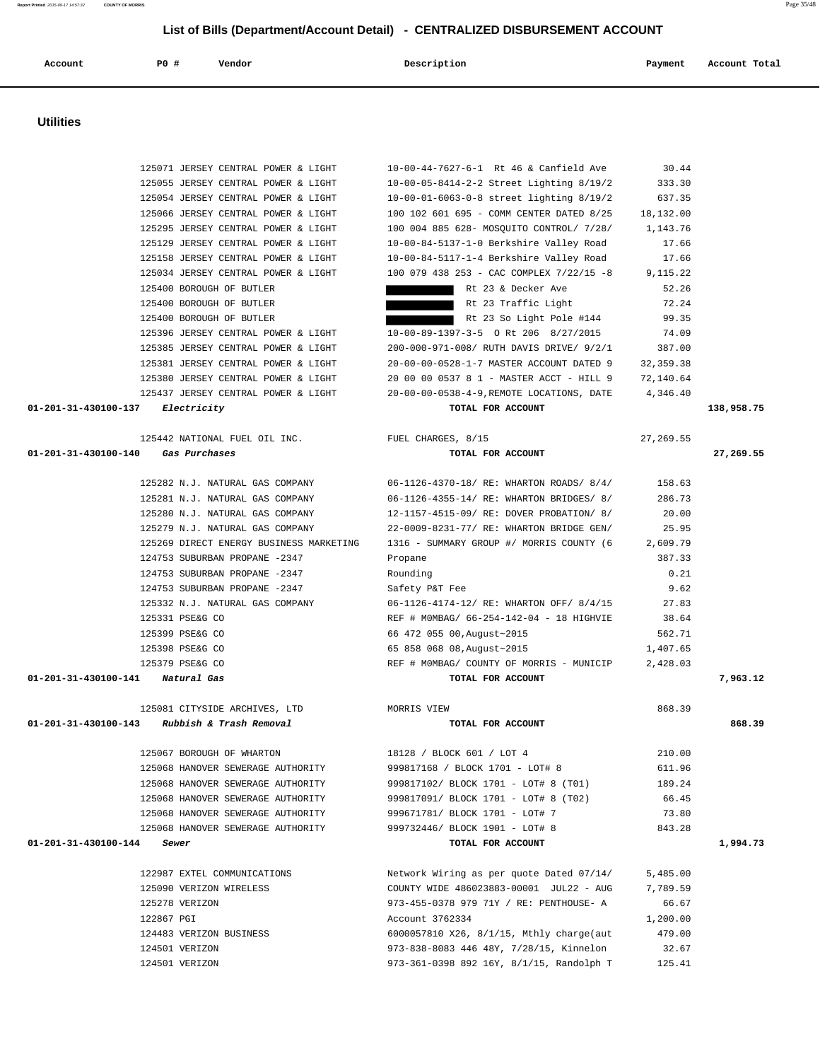125071 JERSEY CENTRAL POWER & LIGHT 10-00-44-7627-6-1 Rt 46 & Canfield Ave 30.44 125055 JERSEY CENTRAL POWER & LIGHT 10-00-05-8414-2-2 Street Lighting 8/19/2 333.30 125054 JERSEY CENTRAL POWER & LIGHT 10-00-01-6063-0-8 street lighting 8/19/2 637.35 125066 JERSEY CENTRAL POWER & LIGHT 100 102 601 695 - COMM CENTER DATED 8/25 18,132.00 125295 JERSEY CENTRAL POWER & LIGHT 100 004 885 628- MOSQUITO CONTROL/ 7/28/ 1,143.76 125129 JERSEY CENTRAL POWER & LIGHT 10-00-84-5137-1-0 Berkshire Valley Road 17.66 125158 JERSEY CENTRAL POWER & LIGHT 10-00-84-5117-1-4 Berkshire Valley Road 17.66 125034 JERSEY CENTRAL POWER & LIGHT 100 079 438 253 - CAC COMPLEX 7/22/15 -8 9,115.22 125400 BOROUGH OF BUTLER **Reduces Rt 23 & Decker Ave** 52.26 125400 BOROUGH OF BUTLER **Reduces 12.24** Rt 23 Traffic Light 72.24 125400 BOROUGH OF BUTLER Rt 23 So Light Pole #144 99.35 125396 JERSEY CENTRAL POWER & LIGHT 10-00-89-1397-3-5 O Rt 206 8/27/2015 74.09 125385 JERSEY CENTRAL POWER & LIGHT 200-000-971-008/ RUTH DAVIS DRIVE/ 9/2/1 387.00 125381 JERSEY CENTRAL POWER & LIGHT 20-00-00-0528-1-7 MASTER ACCOUNT DATED 9 32,359.38 125380 JERSEY CENTRAL POWER & LIGHT 20 00 00 0537 8 1 - MASTER ACCT - HILL 9 72,140.64 125437 JERSEY CENTRAL POWER & LIGHT 20-00-00-0538-4-9,REMOTE LOCATIONS, DATE 4,346.40  **01-201-31-430100-137 Electricity TOTAL FOR ACCOUNT 138,958.75** 125442 NATIONAL FUEL OIL INC. FUEL CHARGES, 8/15 27,269.55  **01-201-31-430100-140 Gas Purchases TOTAL FOR ACCOUNT 27,269.55** 125282 N.J. NATURAL GAS COMPANY 06-1126-4370-18/ RE: WHARTON ROADS/ 8/4/ 158.63 125281 N.J. NATURAL GAS COMPANY 06-1126-4355-14/ RE: WHARTON BRIDGES/ 8/ 286.73 125280 N.J. NATURAL GAS COMPANY 12-1157-4515-09/ RE: DOVER PROBATION/ 8/ 20.00 125279 N.J. NATURAL GAS COMPANY 22-0009-8231-77/ RE: WHARTON BRIDGE GEN/ 25.95 125269 DIRECT ENERGY BUSINESS MARKETING 1316 - SUMMARY GROUP #/ MORRIS COUNTY (6 2,609.79 124753 SUBURBAN PROPANE -2347 Propane 387.33 124753 SUBURBAN PROPANE -2347 Rounding 0.21 124753 SUBURBAN PROPANE -2347 Safety P&T Fee 9.62 125332 N.J. NATURAL GAS COMPANY 06-1126-4174-12/ RE: WHARTON OFF/ 8/4/15 27.83 125331 PSE&G CO REF # M0MBAG/ 66-254-142-04 - 18 HIGHVIE 38.64 125399 PSE&G CO 66 472 055 00,August~2015 562.71 125398 PSE&G CO 65 858 068 08,August~2015 1,407.65 125379 PSE&G CO REF # M0MBAG/ COUNTY OF MORRIS - MUNICIP 2,428.03  **01-201-31-430100-141 Natural Gas TOTAL FOR ACCOUNT 7,963.12** 125081 CITYSIDE ARCHIVES, LTD MORRIS VIEW 868.39  **01-201-31-430100-143 Rubbish & Trash Removal TOTAL FOR ACCOUNT 868.39** 125067 BOROUGH OF WHARTON 18128 / BLOCK 601 / LOT 4 210.00 125068 HANOVER SEWERAGE AUTHORITY 999817168 / BLOCK 1701 - LOT# 8 611.96 125068 HANOVER SEWERAGE AUTHORITY 999817102/ BLOCK 1701 - LOT# 8 (T01) 189.24 125068 HANOVER SEWERAGE AUTHORITY 999817091/ BLOCK 1701 - LOT# 8 (T02) 66.45 125068 HANOVER SEWERAGE AUTHORITY 999671781/ BLOCK 1701 - LOT# 7 73.80 125068 HANOVER SEWERAGE AUTHORITY 999732446/ BLOCK 1901 - LOT# 8 843.28  **01-201-31-430100-144 Sewer TOTAL FOR ACCOUNT 1,994.73** 122987 EXTEL COMMUNICATIONS Network Wiring as per quote Dated 07/14/ 5,485.00 125090 VERIZON WIRELESS COUNTY WIDE 486023883-00001 JUL22 - AUG 7,789.59 125278 VERIZON 973-455-0378 979 71Y / RE: PENTHOUSE- A 66.67 122867 PGI Account 3762334 1,200.00 124483 VERIZON BUSINESS 6000057810 X26, 8/1/15, Mthly charge(aut 479.00 124501 VERIZON 973-838-8083 446 48Y, 7/28/15, Kinnelon 32.67 124501 VERIZON 973-361-0398 892 16Y, 8/1/15, Randolph T 125.41

 **Account P0 # Vendor Description Payment Account Total**

 **Utilities**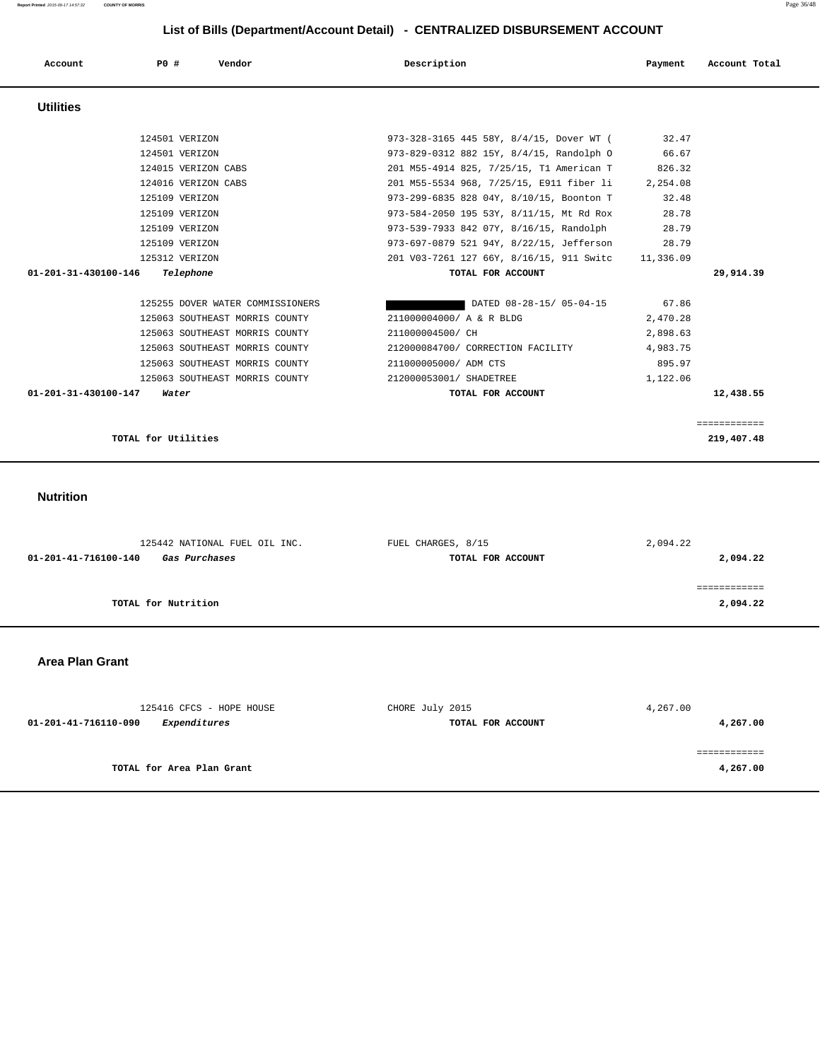**Report Printed** 2015-09-17 14:57:32 **COUNTY OF MORRIS** Page 36/48

# **List of Bills (Department/Account Detail) - CENTRALIZED DISBURSEMENT ACCOUNT**

| Account                        | PO#                 | Vendor                           | Description                                        |                          | Payment  | Account Total |
|--------------------------------|---------------------|----------------------------------|----------------------------------------------------|--------------------------|----------|---------------|
| <b>Utilities</b>               |                     |                                  |                                                    |                          |          |               |
|                                |                     | 124501 VERIZON                   | 973-328-3165 445 58Y, 8/4/15, Dover WT (           |                          | 32.47    |               |
|                                |                     | 124501 VERIZON                   | 973-829-0312 882 15Y, 8/4/15, Randolph O           |                          | 66.67    |               |
|                                |                     | 124015 VERIZON CABS              | 201 M55-4914 825, 7/25/15, T1 American T           |                          | 826.32   |               |
|                                |                     | 124016 VERIZON CABS              | 201 M55-5534 968, 7/25/15, E911 fiber li           |                          | 2,254.08 |               |
|                                |                     | 125109 VERIZON                   | 973-299-6835 828 04Y, 8/10/15, Boonton T           |                          | 32.48    |               |
|                                |                     | 125109 VERIZON                   | 973-584-2050 195 53Y, 8/11/15, Mt Rd Rox           |                          | 28.78    |               |
|                                |                     | 125109 VERIZON                   | 973-539-7933 842 07Y, 8/16/15, Randolph            |                          | 28.79    |               |
|                                |                     | 125109 VERIZON                   | 973-697-0879 521 94Y, 8/22/15, Jefferson           |                          | 28.79    |               |
|                                |                     | 125312 VERIZON                   | 201 V03-7261 127 66Y, 8/16/15, 911 Switc 11,336.09 |                          |          |               |
| 01-201-31-430100-146           |                     | Telephone                        | TOTAL FOR ACCOUNT                                  |                          |          | 29,914.39     |
|                                |                     | 125255 DOVER WATER COMMISSIONERS |                                                    | DATED 08-28-15/ 05-04-15 | 67.86    |               |
|                                |                     | 125063 SOUTHEAST MORRIS COUNTY   | 211000004000/ A & R BLDG                           |                          | 2,470.28 |               |
|                                |                     | 125063 SOUTHEAST MORRIS COUNTY   | 211000004500/ CH                                   |                          | 2,898.63 |               |
|                                |                     | 125063 SOUTHEAST MORRIS COUNTY   | 212000084700/ CORRECTION FACILITY                  |                          | 4,983.75 |               |
|                                |                     | 125063 SOUTHEAST MORRIS COUNTY   | 211000005000/ ADM CTS                              |                          | 895.97   |               |
|                                |                     | 125063 SOUTHEAST MORRIS COUNTY   | 212000053001/ SHADETREE                            |                          | 1,122.06 |               |
| $01 - 201 - 31 - 430100 - 147$ |                     | Water                            | TOTAL FOR ACCOUNT                                  |                          |          | 12,438.55     |
|                                |                     |                                  |                                                    |                          |          | ============  |
|                                | TOTAL for Utilities |                                  |                                                    |                          |          | 219,407.48    |

#### **Nutrition**

| 125442 NATIONAL FUEL OIL INC.         | FUEL CHARGES, 8/15 | 2,094.22 |  |
|---------------------------------------|--------------------|----------|--|
| 01-201-41-716100-140<br>Gas Purchases | TOTAL FOR ACCOUNT  | 2,094.22 |  |
|                                       |                    |          |  |
|                                       |                    |          |  |
| TOTAL for Nutrition                   |                    | 2,094.22 |  |
|                                       |                    |          |  |

#### **Area Plan Grant**

| 125416 CFCS - HOPE HOUSE                    | CHORE July 2015   | 4,267.00 |
|---------------------------------------------|-------------------|----------|
| <i>Expenditures</i><br>01-201-41-716110-090 | TOTAL FOR ACCOUNT | 4,267.00 |
|                                             |                   |          |
|                                             |                   |          |
| TOTAL for Area Plan Grant                   |                   | 4,267.00 |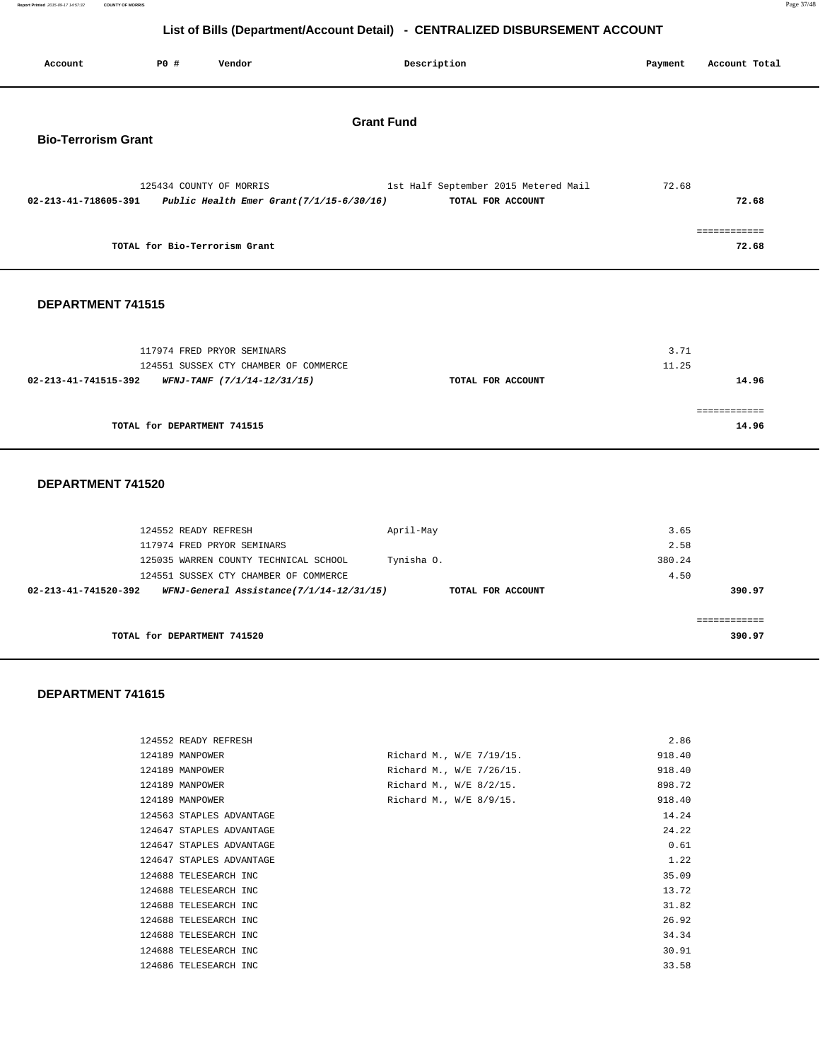**Report Printed** 2015-09-17 14:57:32 **COUNTY OF MORRIS** Page 37/48

# **List of Bills (Department/Account Detail) - CENTRALIZED DISBURSEMENT ACCOUNT**

|                            |                                                                                                                         | List of Dins (Department/Account Detail)    | <b>PLITTING LILLD DIODOROLMENT ACCOUNT</b>                |               |                                    |
|----------------------------|-------------------------------------------------------------------------------------------------------------------------|---------------------------------------------|-----------------------------------------------------------|---------------|------------------------------------|
| Account                    | <b>PO #</b><br>Vendor                                                                                                   |                                             | Description                                               | Payment       | Account Total                      |
| <b>Bio-Terrorism Grant</b> |                                                                                                                         | <b>Grant Fund</b>                           |                                                           |               |                                    |
| 02-213-41-718605-391       | 125434 COUNTY OF MORRIS                                                                                                 | Public Health Emer Grant $(7/1/15-6/30/16)$ | 1st Half September 2015 Metered Mail<br>TOTAL FOR ACCOUNT | 72.68         | 72.68                              |
|                            | TOTAL for Bio-Terrorism Grant                                                                                           |                                             |                                                           |               | $=$ = = = = = = = = = = =<br>72.68 |
| DEPARTMENT 741515          |                                                                                                                         |                                             |                                                           |               |                                    |
|                            | 117974 FRED PRYOR SEMINARS<br>124551 SUSSEX CTY CHAMBER OF COMMERCE<br>02-213-41-741515-392 WFNJ-TANF (7/1/14-12/31/15) |                                             | TOTAL FOR ACCOUNT                                         | 3.71<br>11.25 | 14.96                              |
|                            | TOTAL for DEPARTMENT 741515                                                                                             |                                             |                                                           |               | ============<br>14.96              |
| DEPARTMENT 741520          |                                                                                                                         |                                             |                                                           |               |                                    |
|                            | 124552 READY REFRESH                                                                                                    |                                             | April-May                                                 | 3.65          |                                    |

| 124552 READY REFRESH                                             | April-May         | 3.65   |
|------------------------------------------------------------------|-------------------|--------|
| 117974 FRED PRYOR SEMINARS                                       |                   | 2.58   |
| 125035 WARREN COUNTY TECHNICAL SCHOOL                            | Tynisha 0.        | 380.24 |
| 124551 SUSSEX CTY CHAMBER OF COMMERCE                            |                   | 4.50   |
| WFNJ-General Assistance(7/1/14-12/31/15)<br>02-213-41-741520-392 | TOTAL FOR ACCOUNT | 390.97 |
|                                                                  |                   |        |
|                                                                  |                   |        |
| TOTAL for DEPARTMENT 741520                                      |                   | 390.97 |
|                                                                  |                   |        |

#### **DEPARTMENT 741615**

| 124552 READY REFRESH     |                          | 2.86   |
|--------------------------|--------------------------|--------|
| 124189 MANPOWER          | Richard M., W/E 7/19/15. | 918.40 |
| 124189 MANPOWER          | Richard M., W/E 7/26/15. | 918.40 |
| 124189 MANPOWER          | Richard M., W/E 8/2/15.  | 898.72 |
| 124189 MANPOWER          | Richard M., W/E 8/9/15.  | 918.40 |
| 124563 STAPLES ADVANTAGE |                          | 14.24  |
| 124647 STAPLES ADVANTAGE |                          | 24.22  |
| 124647 STAPLES ADVANTAGE |                          | 0.61   |
| 124647 STAPLES ADVANTAGE |                          | 1.22   |
| 124688 TELESEARCH INC    |                          | 35.09  |
| 124688 TELESEARCH INC    |                          | 13.72  |
| 124688 TELESEARCH INC    |                          | 31.82  |
| 124688 TELESEARCH INC    |                          | 26.92  |
| 124688 TELESEARCH INC    |                          | 34.34  |
| 124688 TELESEARCH INC    |                          | 30.91  |
| 124686 TELESEARCH INC    |                          | 33.58  |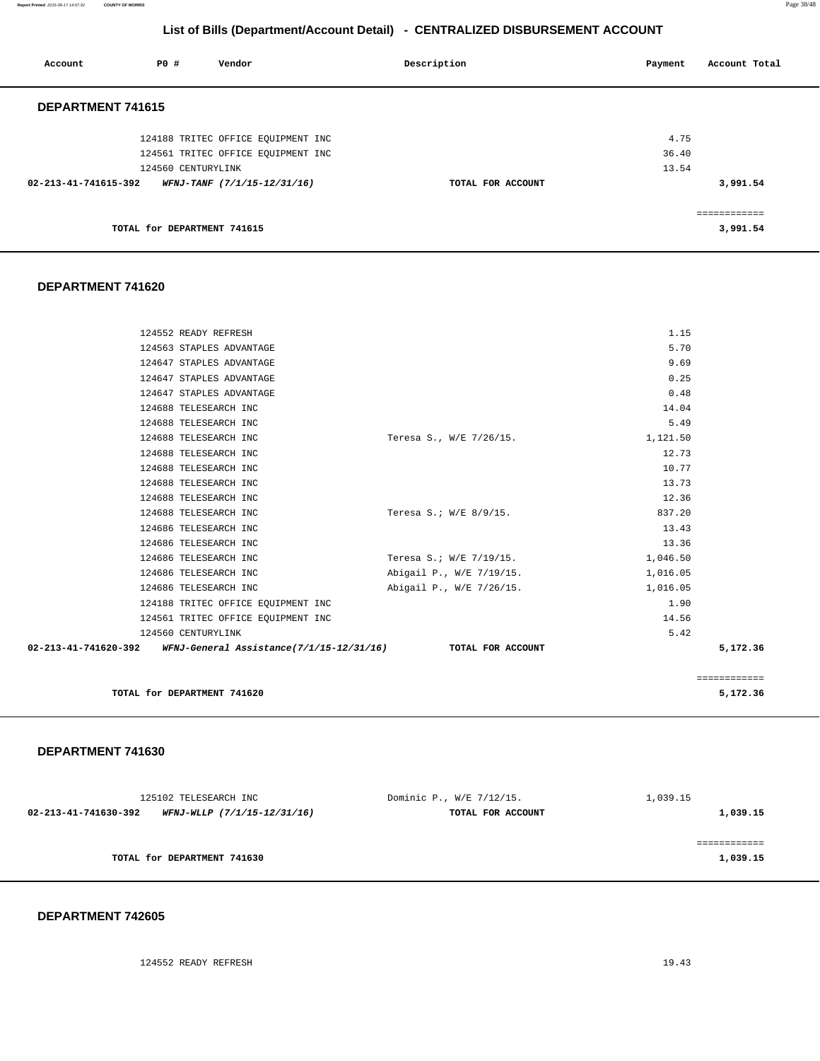**Report Printed** 2015-09-17 14:57:32 **COUNTY OF MORRIS** Page 38/48

# **List of Bills (Department/Account Detail) - CENTRALIZED DISBURSEMENT ACCOUNT**

| Account              | PO#                         | Vendor                             | Description       | Account Total<br>Payment |
|----------------------|-----------------------------|------------------------------------|-------------------|--------------------------|
| DEPARTMENT 741615    |                             |                                    |                   |                          |
|                      |                             | 124188 TRITEC OFFICE EQUIPMENT INC |                   | 4.75                     |
|                      |                             | 124561 TRITEC OFFICE EQUIPMENT INC |                   | 36.40                    |
|                      | 124560 CENTURYLINK          |                                    |                   | 13.54                    |
| 02-213-41-741615-392 |                             | WFNJ-TANF (7/1/15-12/31/16)        | TOTAL FOR ACCOUNT | 3,991.54                 |
|                      |                             |                                    |                   | ------------             |
|                      | TOTAL for DEPARTMENT 741615 |                                    |                   | 3,991.54                 |

#### **DEPARTMENT 741620**

| 124552 READY REFRESH                                                            |                          | 1.15     |              |
|---------------------------------------------------------------------------------|--------------------------|----------|--------------|
| 124563 STAPLES ADVANTAGE                                                        |                          | 5.70     |              |
| 124647 STAPLES ADVANTAGE                                                        |                          | 9.69     |              |
| 124647 STAPLES ADVANTAGE                                                        |                          | 0.25     |              |
| 124647 STAPLES ADVANTAGE                                                        |                          | 0.48     |              |
| 124688 TELESEARCH INC                                                           |                          | 14.04    |              |
| 124688 TELESEARCH INC                                                           |                          | 5.49     |              |
| 124688 TELESEARCH INC                                                           | Teresa S., W/E 7/26/15.  | 1,121.50 |              |
| 124688 TELESEARCH INC                                                           |                          | 12.73    |              |
| 124688 TELESEARCH INC                                                           |                          | 10.77    |              |
| 124688 TELESEARCH INC                                                           |                          | 13.73    |              |
| 124688 TELESEARCH INC                                                           |                          | 12.36    |              |
| 124688 TELESEARCH INC                                                           | Teresa S.; W/E 8/9/15.   | 837.20   |              |
| 124686 TELESEARCH INC                                                           |                          | 13.43    |              |
| 124686 TELESEARCH INC                                                           |                          | 13.36    |              |
| 124686 TELESEARCH INC                                                           | Teresa S.; W/E 7/19/15.  | 1,046.50 |              |
| 124686 TELESEARCH INC                                                           | Abigail P., W/E 7/19/15. | 1,016.05 |              |
| 124686 TELESEARCH INC                                                           | Abigail P., W/E 7/26/15. | 1,016.05 |              |
| 124188 TRITEC OFFICE EQUIPMENT INC                                              |                          | 1.90     |              |
| 124561 TRITEC OFFICE EQUIPMENT INC                                              |                          | 14.56    |              |
| 124560 CENTURYLINK                                                              |                          | 5.42     |              |
| 02-213-41-741620-392 WFNJ-General Assistance(7/1/15-12/31/16) TOTAL FOR ACCOUNT |                          |          | 5,172.36     |
|                                                                                 |                          |          | ============ |
| TOTAL for DEPARTMENT 741620                                                     |                          |          | 5,172.36     |

#### **DEPARTMENT 741630**

| 125102 TELESEARCH INC                               | Dominic P., W/E 7/12/15. | 1,039.15 |
|-----------------------------------------------------|--------------------------|----------|
| 02-213-41-741630-392<br>WFNJ-WLLP (7/1/15-12/31/16) | TOTAL FOR ACCOUNT        | 1,039.15 |
|                                                     |                          |          |
|                                                     |                          |          |
| TOTAL for DEPARTMENT 741630                         |                          | 1,039.15 |
|                                                     |                          |          |

#### **DEPARTMENT 742605**

124552 READY REFRESH 19.43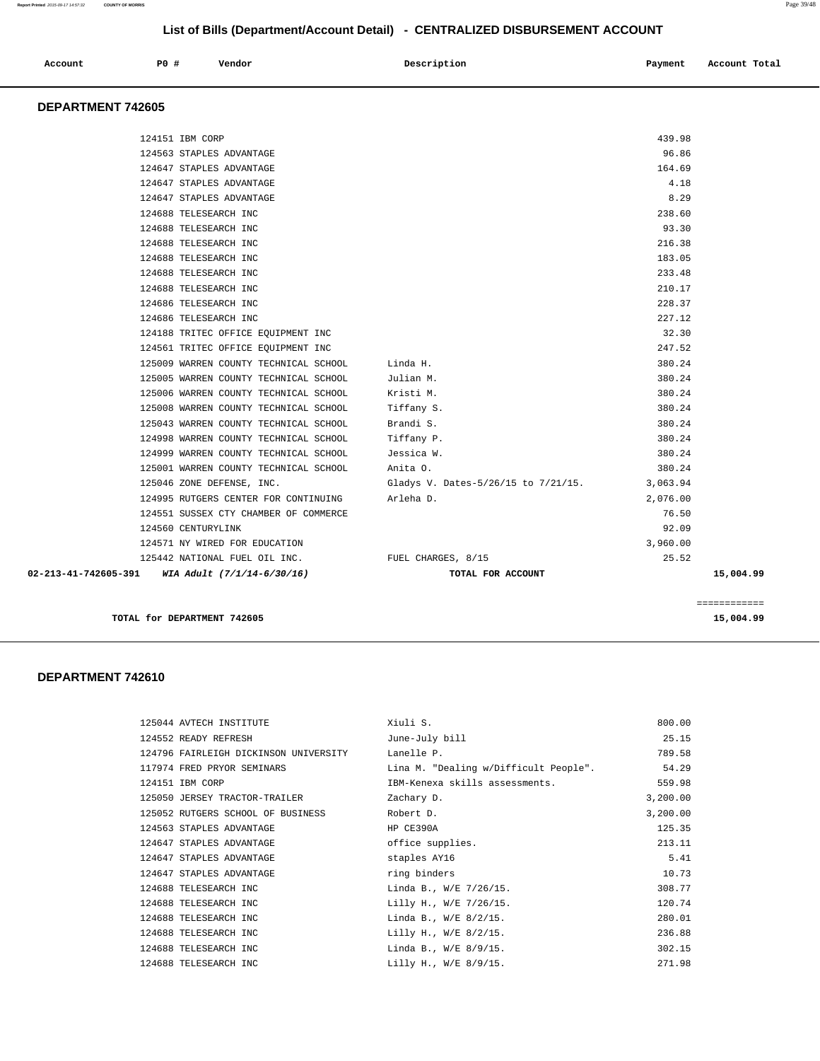| Account | P0 # | Vendor<br>. | Description<br>$\sim$ $\sim$<br>. | Payment<br>$\sim$ $\sim$ | Account Total |
|---------|------|-------------|-----------------------------------|--------------------------|---------------|
|         |      |             |                                   |                          |               |

#### **DEPARTMENT 742605**

| $02 - 213 - 41 - 742605 - 391$ WIA Adult $(7/1/14 - 6/30/16)$ | TOTAL FOR ACCOUNT                   |                 | 15,004.99 |
|---------------------------------------------------------------|-------------------------------------|-----------------|-----------|
| 125442 NATIONAL FUEL OIL INC. TUEL CHARGES, 8/15              |                                     | 25.52           |           |
| 124571 NY WIRED FOR EDUCATION                                 |                                     | 3,960.00        |           |
| 124560 CENTURYLINK                                            |                                     | 92.09           |           |
| 124551 SUSSEX CTY CHAMBER OF COMMERCE                         |                                     | 76.50           |           |
| 124995 RUTGERS CENTER FOR CONTINUING                          | Arleha D.                           | 2,076.00        |           |
| 125046 ZONE DEFENSE, INC.                                     | Gladys V. Dates-5/26/15 to 7/21/15. | 3,063.94        |           |
| 125001 WARREN COUNTY TECHNICAL SCHOOL                         | Anita O.                            | 380.24          |           |
| 124999 WARREN COUNTY TECHNICAL SCHOOL                         | Jessica W.                          | 380.24          |           |
| 124998 WARREN COUNTY TECHNICAL SCHOOL                         | Tiffany P.                          | 380.24          |           |
| 125043 WARREN COUNTY TECHNICAL SCHOOL                         | Brandi S.                           | 380.24          |           |
| 125008 WARREN COUNTY TECHNICAL SCHOOL                         | Tiffany S.                          | 380.24          |           |
| 125006 WARREN COUNTY TECHNICAL SCHOOL                         | Kristi M.                           | 380.24          |           |
| 125005 WARREN COUNTY TECHNICAL SCHOOL                         | Julian M.                           | 380.24          |           |
| 125009 WARREN COUNTY TECHNICAL SCHOOL                         | Linda H.                            | 380.24          |           |
| 124561 TRITEC OFFICE EQUIPMENT INC                            |                                     | 247.52          |           |
| 124188 TRITEC OFFICE EQUIPMENT INC                            |                                     | 32.30           |           |
| 124686 TELESEARCH INC                                         |                                     | 227.12          |           |
| 124686 TELESEARCH INC                                         |                                     | 228.37          |           |
| 124688 TELESEARCH INC                                         |                                     | 210.17          |           |
| 124688 TELESEARCH INC                                         |                                     | 233.48          |           |
| 124688 TELESEARCH INC                                         |                                     | 183.05          |           |
| 124688 TELESEARCH INC                                         |                                     | 216.38          |           |
| 124688 TELESEARCH INC<br>124688 TELESEARCH INC                |                                     | 238.60<br>93.30 |           |
| 124647 STAPLES ADVANTAGE                                      |                                     | 8.29            |           |
| 124647 STAPLES ADVANTAGE                                      |                                     | 4.18            |           |
| 124647 STAPLES ADVANTAGE                                      |                                     | 164.69          |           |
| 124563 STAPLES ADVANTAGE                                      |                                     | 96.86           |           |
| 124151 IBM CORP                                               |                                     | 439.98          |           |

**TOTAL for DEPARTMENT 742605** 15,004.99

#### **DEPARTMENT 742610**

| 125044 AVTECH INSTITUTE               | Xiuli S.                              | 800.00   |
|---------------------------------------|---------------------------------------|----------|
| 124552 READY REFRESH                  | June-July bill                        | 25.15    |
| 124796 FAIRLEIGH DICKINSON UNIVERSITY | Lanelle P.                            | 789.58   |
| 117974 FRED PRYOR SEMINARS            | Lina M. "Dealing w/Difficult People". | 54.29    |
| 124151 IBM CORP                       | IBM-Kenexa skills assessments.        | 559.98   |
| 125050 JERSEY TRACTOR-TRAILER         | Zachary D.                            | 3,200.00 |
| 125052 RUTGERS SCHOOL OF BUSINESS     | Robert D.                             | 3,200.00 |
| 124563 STAPLES ADVANTAGE              | HP CE390A                             | 125.35   |
| 124647 STAPLES ADVANTAGE              | office supplies.                      | 213.11   |
| 124647 STAPLES ADVANTAGE              | staples AY16                          | 5.41     |
| 124647 STAPLES ADVANTAGE              | ring binders                          | 10.73    |
| 124688 TELESEARCH INC                 | Linda B., W/E 7/26/15.                | 308.77   |
| 124688 TELESEARCH INC                 | Lilly H., W/E 7/26/15.                | 120.74   |
| 124688 TELESEARCH INC                 | Linda B., W/E 8/2/15.                 | 280.01   |
| 124688 TELESEARCH INC                 | Lilly H., W/E 8/2/15.                 | 236.88   |
| 124688 TELESEARCH INC                 | Linda B., W/E 8/9/15.                 | 302.15   |
| 124688 TELESEARCH INC                 | Lilly H., W/E 8/9/15.                 | 271.98   |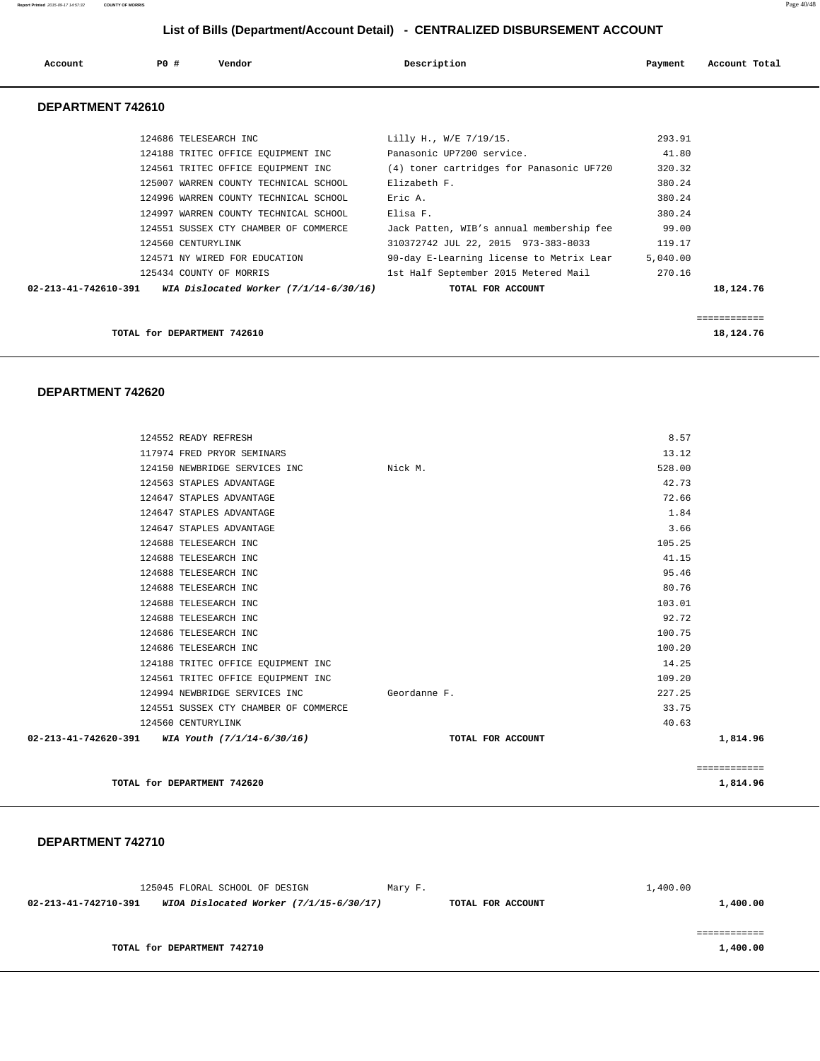| Account           | PO#                   | Vendor                                | Description                              | Payment | Account Total |
|-------------------|-----------------------|---------------------------------------|------------------------------------------|---------|---------------|
| DEPARTMENT 742610 |                       |                                       |                                          |         |               |
|                   | 124686 TELESEARCH INC |                                       | Lilly H., W/E 7/19/15.                   | 293.91  |               |
|                   |                       | 124188 TRITEC OFFICE EQUIPMENT INC    | Panasonic UP7200 service.                | 41.80   |               |
|                   |                       | 124561 TRITEC OFFICE EQUIPMENT INC    | (4) toner cartridges for Panasonic UF720 | 320.32  |               |
|                   |                       | 125007 WARREN COUNTY TECHNICAL SCHOOL | Elizabeth F.                             | 380.24  |               |
|                   |                       | 124996 WARREN COUNTY TECHNICAL SCHOOL | Eric A.                                  | 380.24  |               |
|                   |                       | 124997 WARREN COUNTY TECHNICAL SCHOOL | Elisa F.                                 | 380.24  |               |
|                   |                       | 124551 SUSSEX CTY CHAMBER OF COMMERCE | Jack Patten, WIB's annual membership fee | 99.00   |               |
|                   | 124560 CENTURYLINK    |                                       | 310372742 JUL 22, 2015 973-383-8033      | 119.17  |               |

125434 COUNTY OF MORRIS 1st Half September 2015 Metered Mail 270.16

 **02-213-41-742610-391 WIA Dislocated Worker (7/1/14-6/30/16) TOTAL FOR ACCOUNT 18,124.76**

| 124571 NY WIRED FOR EDUCATION | 90-day E-Learning license to Metrix Lear | 5,040.00 |
|-------------------------------|------------------------------------------|----------|
|                               |                                          |          |

**TOTAL for DEPARTMENT 742610** 18,124.76

============

#### **DEPARTMENT 742620**

|                                                   |                                       |                   |        | ============ |
|---------------------------------------------------|---------------------------------------|-------------------|--------|--------------|
| 02-213-41-742620-391 WIA Youth $(7/1/14-6/30/16)$ |                                       | TOTAL FOR ACCOUNT |        | 1,814.96     |
|                                                   | 124560 CENTURYLINK                    |                   | 40.63  |              |
|                                                   | 124551 SUSSEX CTY CHAMBER OF COMMERCE |                   | 33.75  |              |
|                                                   | 124994 NEWBRIDGE SERVICES INC         | Geordanne F.      | 227.25 |              |
|                                                   | 124561 TRITEC OFFICE EQUIPMENT INC    |                   | 109.20 |              |
|                                                   | 124188 TRITEC OFFICE EQUIPMENT INC    |                   | 14.25  |              |
|                                                   | 124686 TELESEARCH INC                 |                   | 100.20 |              |
|                                                   | 124686 TELESEARCH INC                 |                   | 100.75 |              |
|                                                   | 124688 TELESEARCH INC                 |                   | 92.72  |              |
|                                                   | 124688 TELESEARCH INC                 |                   | 103.01 |              |
|                                                   | 124688 TELESEARCH INC                 |                   | 80.76  |              |
|                                                   | 124688 TELESEARCH INC                 |                   | 95.46  |              |
|                                                   | 124688 TELESEARCH INC                 |                   | 41.15  |              |
|                                                   | 124688 TELESEARCH INC                 |                   | 105.25 |              |
|                                                   | 124647 STAPLES ADVANTAGE              |                   | 3.66   |              |
|                                                   | 124647 STAPLES ADVANTAGE              |                   | 1.84   |              |
|                                                   | 124647 STAPLES ADVANTAGE              |                   | 72.66  |              |
|                                                   | 124563 STAPLES ADVANTAGE              |                   | 42.73  |              |
|                                                   | 124150 NEWBRIDGE SERVICES INC         | Nick M.           | 528.00 |              |
|                                                   | 117974 FRED PRYOR SEMINARS            |                   | 13.12  |              |
|                                                   | 124552 READY REFRESH                  |                   | 8.57   |              |
|                                                   |                                       |                   |        |              |

**TOTAL for DEPARTMENT 742620 1,814.96** 

#### **DEPARTMENT 742710**

125045 FLORAL SCHOOL OF DESIGN Mary F. 1,400.00  **02-213-41-742710-391 WIOA Dislocated Worker (7/1/15-6/30/17) TOTAL FOR ACCOUNT 1,400.00** ============

**TOTAL for DEPARTMENT 742710** 1,400.00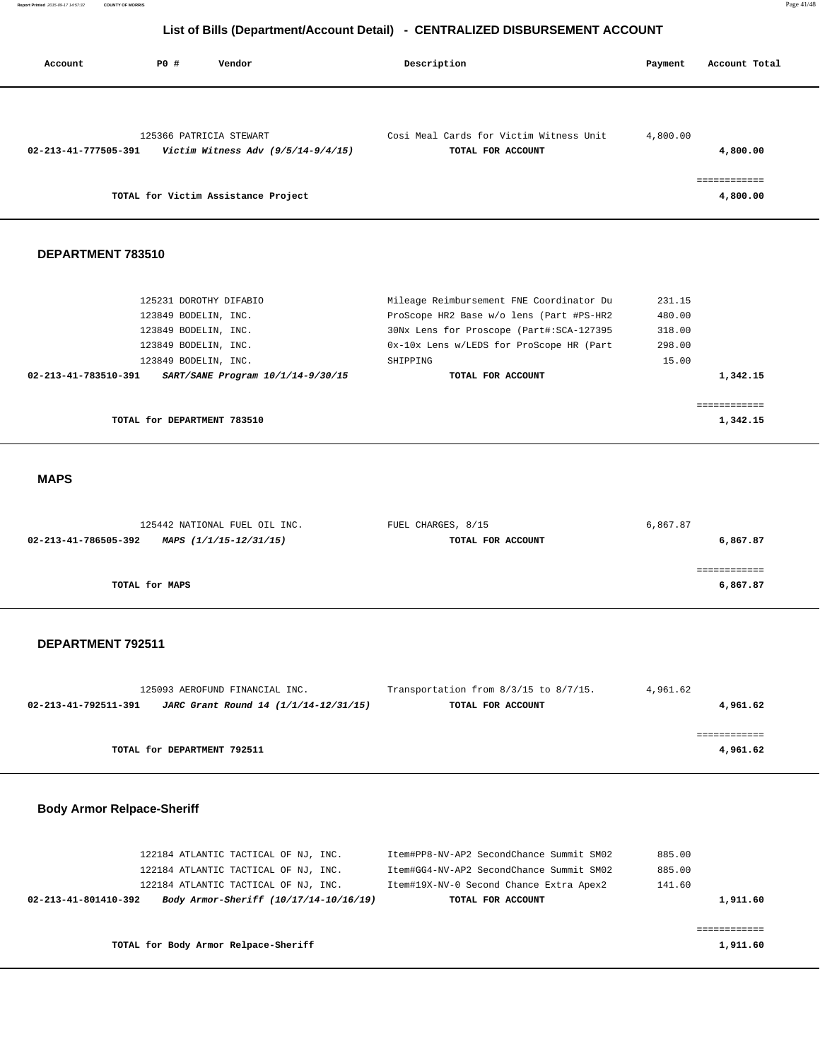| Account              | PO#                         | Vendor                                                          | Description                                                  | Payment  | Account Total            |
|----------------------|-----------------------------|-----------------------------------------------------------------|--------------------------------------------------------------|----------|--------------------------|
| 02-213-41-777505-391 |                             | 125366 PATRICIA STEWART<br>Victim Witness Adv $(9/5/14-9/4/15)$ | Cosi Meal Cards for Victim Witness Unit<br>TOTAL FOR ACCOUNT | 4,800.00 | 4,800.00                 |
|                      |                             | TOTAL for Victim Assistance Project                             |                                                              |          | ============<br>4,800.00 |
| DEPARTMENT 783510    |                             |                                                                 |                                                              |          |                          |
|                      | 125231 DOROTHY DIFABIO      |                                                                 | Mileage Reimbursement FNE Coordinator Du                     | 231.15   |                          |
|                      | 123849 BODELIN, INC.        |                                                                 | ProScope HR2 Base w/o lens (Part #PS-HR2                     | 480.00   |                          |
|                      | 123849 BODELIN, INC.        |                                                                 | 30Nx Lens for Proscope (Part#:SCA-127395                     | 318.00   |                          |
|                      | 123849 BODELIN, INC.        |                                                                 | 0x-10x Lens w/LEDS for ProScope HR (Part                     | 298.00   |                          |
|                      | 123849 BODELIN, INC.        |                                                                 | SHIPPING                                                     | 15.00    |                          |
| 02-213-41-783510-391 |                             | SART/SANE Program 10/1/14-9/30/15                               | TOTAL FOR ACCOUNT                                            |          | 1,342.15                 |
|                      |                             |                                                                 |                                                              |          | ============             |
|                      | TOTAL for DEPARTMENT 783510 |                                                                 |                                                              |          | 1,342.15                 |

### **MAPS**

| 125442 NATIONAL FUEL OIL INC.                  | FUEL CHARGES, 8/15 | 6,867.87 |
|------------------------------------------------|--------------------|----------|
| 02-213-41-786505-392<br>MAPS (1/1/15-12/31/15) | TOTAL FOR ACCOUNT  | 6,867.87 |
|                                                |                    |          |
|                                                |                    |          |
| TOTAL for MAPS                                 |                    | 6,867.87 |
|                                                |                    |          |

#### **DEPARTMENT 792511**

| 4,961.62 | Transportation from $8/3/15$ to $8/7/15$ . | 125093 AEROFUND FINANCIAL INC.        |                      |
|----------|--------------------------------------------|---------------------------------------|----------------------|
| 4,961.62 | TOTAL FOR ACCOUNT                          | JARC Grant Round 14 (1/1/14-12/31/15) | 02-213-41-792511-391 |
|          |                                            |                                       |                      |
|          |                                            |                                       |                      |
| 4,961.62 |                                            | TOTAL for DEPARTMENT 792511           |                      |
|          |                                            |                                       |                      |

### **Body Armor Relpace-Sheriff**

| TOTAL for Body Armor Relpace-Sheriff |                                        |                                          | 1,911.60 |
|--------------------------------------|----------------------------------------|------------------------------------------|----------|
|                                      |                                        |                                          |          |
| 02-213-41-801410-392                 | Body Armor-Sheriff (10/17/14-10/16/19) | TOTAL FOR ACCOUNT                        | 1,911.60 |
| 122184 ATLANTIC TACTICAL OF NJ, INC. |                                        | Item#19X-NV-0 Second Chance Extra Apex2  | 141.60   |
| 122184 ATLANTIC TACTICAL OF NJ, INC. |                                        | Item#GG4-NV-AP2 SecondChance Summit SM02 | 885.00   |
| 122184 ATLANTIC TACTICAL OF NJ, INC. |                                        | Item#PP8-NV-AP2 SecondChance Summit SM02 | 885.00   |
|                                      |                                        |                                          |          |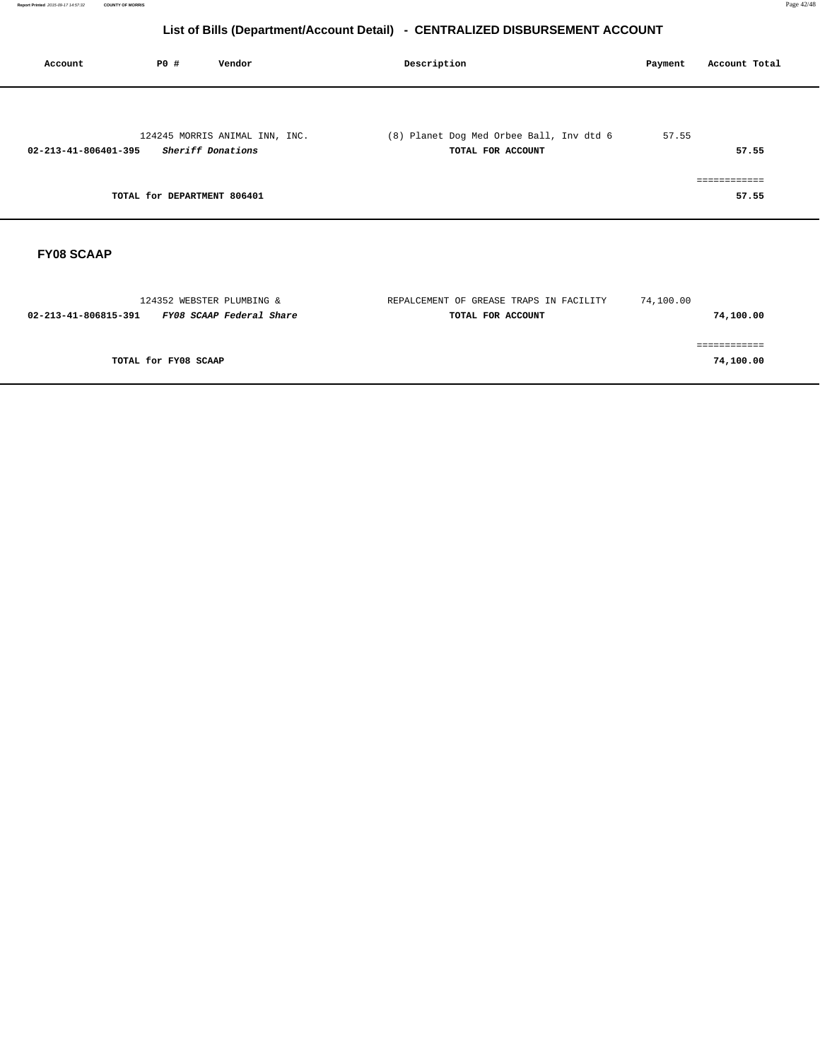| Account                        | P0 #                        | Vendor                         | Description                                                   | Payment | Account Total         |
|--------------------------------|-----------------------------|--------------------------------|---------------------------------------------------------------|---------|-----------------------|
| $02 - 213 - 41 - 806401 - 395$ | Sheriff Donations           | 124245 MORRIS ANIMAL INN, INC. | (8) Planet Dog Med Orbee Ball, Inv dtd 6<br>TOTAL FOR ACCOUNT | 57.55   | 57.55                 |
|                                | TOTAL for DEPARTMENT 806401 |                                |                                                               |         | ============<br>57.55 |
|                                |                             |                                |                                                               |         |                       |

# **FY08 SCAAP**

| REPALCEMENT OF GREASE TRAPS IN FACILITY | 74,100.00 |
|-----------------------------------------|-----------|
| TOTAL FOR ACCOUNT                       | 74,100.00 |
|                                         |           |
|                                         |           |
|                                         | 74,100.00 |
|                                         |           |
|                                         |           |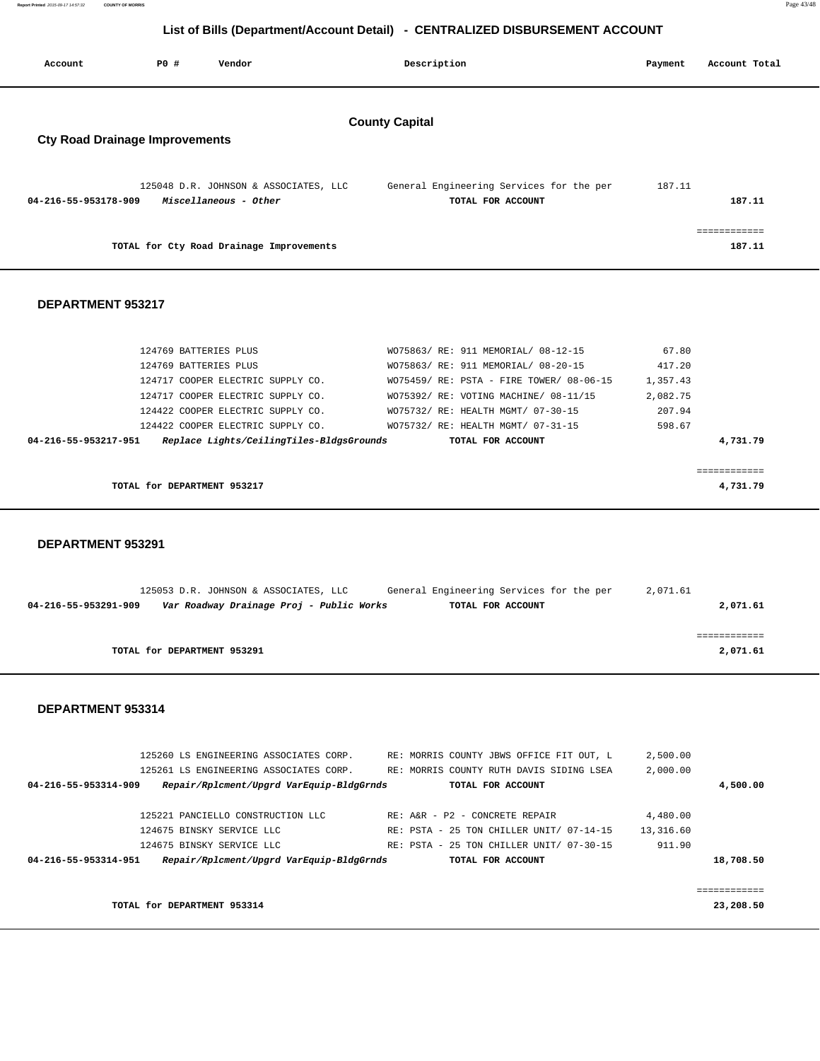| Report Printed 2015-09-17 14:57:32 | <b>COUNTY OF MORRIS</b> | Page 43/48 |  |
|------------------------------------|-------------------------|------------|--|
|                                    |                         |            |  |

| Account                                                        | <b>PO #</b> | Vendor                                                         |  | Description                                                   |  | Payment | Account Total          |  |
|----------------------------------------------------------------|-------------|----------------------------------------------------------------|--|---------------------------------------------------------------|--|---------|------------------------|--|
| <b>County Capital</b><br><b>Cty Road Drainage Improvements</b> |             |                                                                |  |                                                               |  |         |                        |  |
| 04-216-55-953178-909                                           |             | 125048 D.R. JOHNSON & ASSOCIATES, LLC<br>Miscellaneous - Other |  | General Engineering Services for the per<br>TOTAL FOR ACCOUNT |  | 187.11  | 187.11                 |  |
|                                                                |             | TOTAL for Cty Road Drainage Improvements                       |  |                                                               |  |         | ------------<br>187.11 |  |

#### **DEPARTMENT 953217**

|                      | 124769 BATTERIES PLUS                    | WO75863/ RE: 911 MEMORIAL/ 08-12-15      | 67.80    |
|----------------------|------------------------------------------|------------------------------------------|----------|
|                      | 124769 BATTERIES PLUS                    | WO75863/ RE: 911 MEMORIAL/ 08-20-15      | 417.20   |
|                      | 124717 COOPER ELECTRIC SUPPLY CO.        | WO75459/ RE: PSTA - FIRE TOWER/ 08-06-15 | 1,357.43 |
|                      | 124717 COOPER ELECTRIC SUPPLY CO.        | WO75392/ RE: VOTING MACHINE/ 08-11/15    | 2,082.75 |
|                      | 124422 COOPER ELECTRIC SUPPLY CO.        | WO75732/ RE: HEALTH MGMT/ 07-30-15       | 207.94   |
|                      | 124422 COOPER ELECTRIC SUPPLY CO.        | WO75732/ RE: HEALTH MGMT/ 07-31-15       | 598.67   |
| 04-216-55-953217-951 | Replace Lights/CeilingTiles-BldgsGrounds | TOTAL FOR ACCOUNT                        | 4,731.79 |
|                      |                                          |                                          |          |
|                      |                                          |                                          |          |
|                      | TOTAL for DEPARTMENT 953217              |                                          | 4,731.79 |
|                      |                                          |                                          |          |

 **DEPARTMENT 953291** 

|                      | 125053 D.R. JOHNSON & ASSOCIATES, LLC    |  | General Engineering Services for the per | 2,071.61 |          |
|----------------------|------------------------------------------|--|------------------------------------------|----------|----------|
| 04-216-55-953291-909 | Var Roadway Drainage Proj - Public Works |  | TOTAL FOR ACCOUNT                        |          | 2,071.61 |
|                      |                                          |  |                                          |          |          |
|                      |                                          |  |                                          |          |          |
|                      | TOTAL for DEPARTMENT 953291              |  |                                          |          | 2,071.61 |

#### **DEPARTMENT 953314**

|                      | 125260 LS ENGINEERING ASSOCIATES CORP.   | RE: MORRIS COUNTY JBWS OFFICE FIT OUT, L | 2,500.00     |
|----------------------|------------------------------------------|------------------------------------------|--------------|
|                      | 125261 LS ENGINEERING ASSOCIATES CORP.   | RE: MORRIS COUNTY RUTH DAVIS SIDING LSEA | 2,000.00     |
| 04-216-55-953314-909 | Repair/Rplcment/Upgrd VarEquip-BldgGrnds | TOTAL FOR ACCOUNT                        | 4,500.00     |
|                      |                                          |                                          |              |
|                      | 125221 PANCIELLO CONSTRUCTION LLC        | RE: A&R - P2 - CONCRETE REPAIR           | 4,480.00     |
|                      | 124675 BINSKY SERVICE LLC                | RE: PSTA - 25 TON CHILLER UNIT/ 07-14-15 | 13,316.60    |
|                      | 124675 BINSKY SERVICE LLC                | RE: PSTA - 25 TON CHILLER UNIT/ 07-30-15 | 911.90       |
| 04-216-55-953314-951 | Repair/Rplcment/Upgrd VarEquip-BldgGrnds | TOTAL FOR ACCOUNT                        | 18,708.50    |
|                      |                                          |                                          |              |
|                      |                                          |                                          | ============ |
|                      | TOTAL for DEPARTMENT 953314              |                                          | 23,208.50    |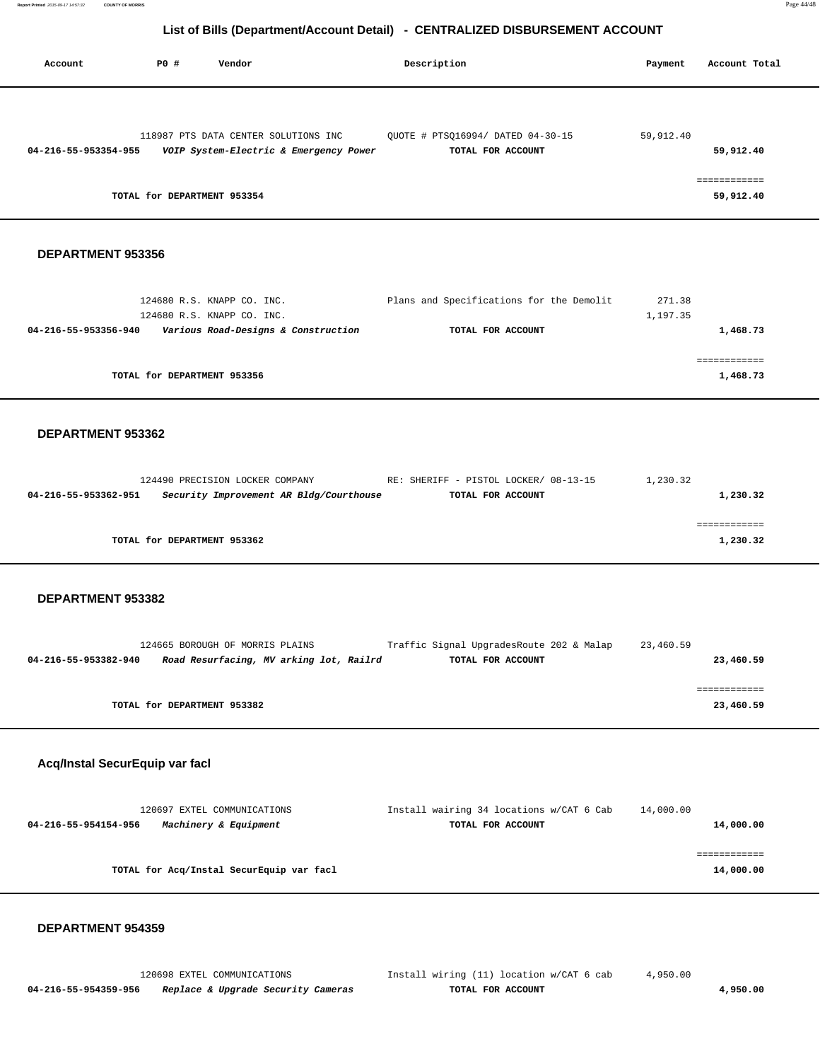| Account              | P0 #                        | Vendor                                                                         | Description                                            | Account Total<br>Payment  |
|----------------------|-----------------------------|--------------------------------------------------------------------------------|--------------------------------------------------------|---------------------------|
|                      |                             |                                                                                |                                                        |                           |
| 04-216-55-953354-955 |                             | 118987 PTS DATA CENTER SOLUTIONS INC<br>VOIP System-Electric & Emergency Power | QUOTE # PTSQ16994/ DATED 04-30-15<br>TOTAL FOR ACCOUNT | 59,912.40<br>59,912.40    |
|                      | TOTAL for DEPARTMENT 953354 |                                                                                |                                                        | ============<br>59,912.40 |

#### **DEPARTMENT 953356**

| 124680 R.S. KNAPP CO. INC.                                  | Plans and Specifications for the Demolit | 271.38   |  |
|-------------------------------------------------------------|------------------------------------------|----------|--|
| 124680 R.S. KNAPP CO. INC.                                  |                                          | 1,197.35 |  |
| Various Road-Designs & Construction<br>04-216-55-953356-940 | TOTAL FOR ACCOUNT                        | 1,468.73 |  |
|                                                             |                                          |          |  |
|                                                             |                                          |          |  |
| TOTAL for DEPARTMENT 953356                                 |                                          | 1,468.73 |  |
|                                                             |                                          |          |  |

#### **DEPARTMENT 953362**

| 124490 PRECISION LOCKER COMPANY |                                         | RE: SHERIFF - PISTOL LOCKER/ 08-13-15 | 1,230.32 |
|---------------------------------|-----------------------------------------|---------------------------------------|----------|
| 04-216-55-953362-951            | Security Improvement AR Bldg/Courthouse | TOTAL FOR ACCOUNT                     | 1,230.32 |
|                                 |                                         |                                       |          |
|                                 |                                         |                                       |          |
| TOTAL for DEPARTMENT 953362     |                                         |                                       | 1,230.32 |
|                                 |                                         |                                       |          |

#### **DEPARTMENT 953382**

|                      | 124665 BOROUGH OF MORRIS PLAINS         |  | Traffic Signal UpgradesRoute 202 & Malap | 23,460.59 |           |
|----------------------|-----------------------------------------|--|------------------------------------------|-----------|-----------|
| 04-216-55-953382-940 | Road Resurfacing, MV arking lot, Railrd |  | TOTAL FOR ACCOUNT                        |           | 23,460.59 |
|                      |                                         |  |                                          |           |           |
|                      |                                         |  |                                          |           |           |
|                      | TOTAL for DEPARTMENT 953382             |  |                                          |           | 23,460.59 |

#### **Acq/Instal SecurEquip var facl**

| 120697 EXTEL COMMUNICATIONS                   | Install wairing 34 locations w/CAT 6 Cab | 14,000.00 |
|-----------------------------------------------|------------------------------------------|-----------|
| Machinery & Equipment<br>04-216-55-954154-956 | TOTAL FOR ACCOUNT                        | 14,000.00 |
|                                               |                                          |           |
|                                               |                                          |           |
| TOTAL for Acq/Instal SecurEquip var facl      |                                          | 14,000.00 |
|                                               |                                          |           |

#### **DEPARTMENT 954359**

 **04-216-55-954359-956 Replace & Upgrade Security Cameras TOTAL FOR ACCOUNT 4,950.00**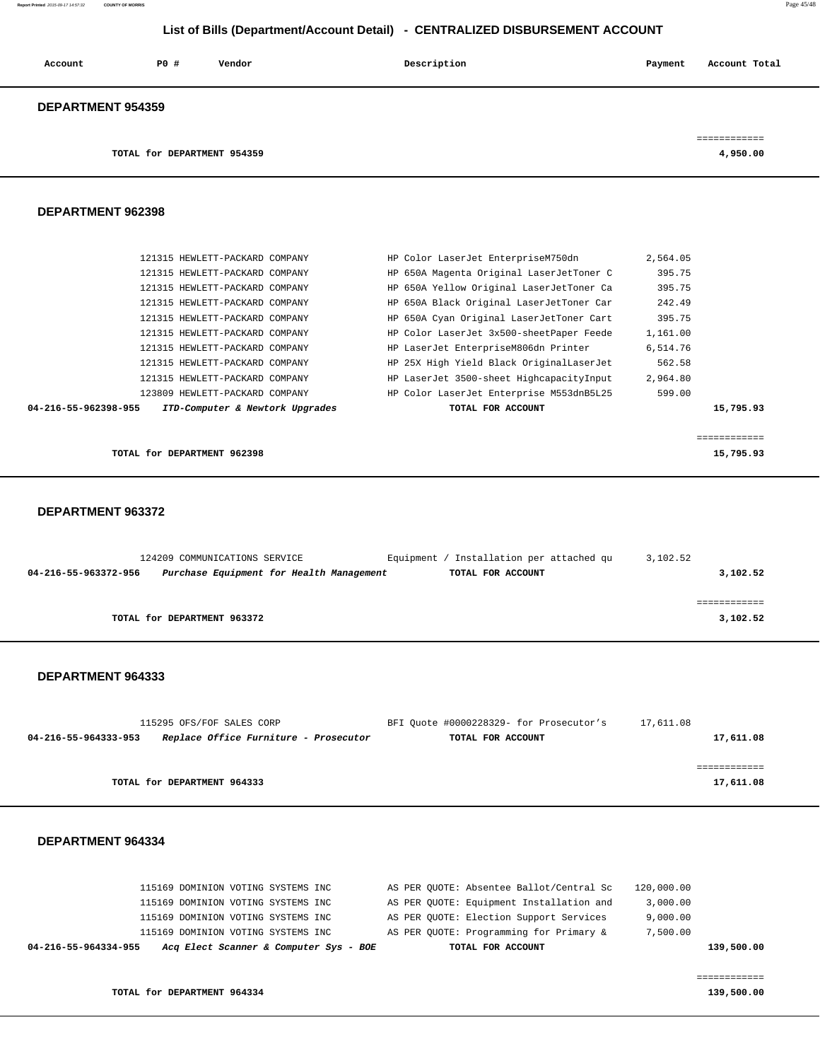| Account                  | P0#                         | Vendor | Description | Payment | Account Total |
|--------------------------|-----------------------------|--------|-------------|---------|---------------|
| <b>DEPARTMENT 954359</b> |                             |        |             |         |               |
|                          |                             |        |             |         | ============  |
|                          | TOTAL for DEPARTMENT 954359 |        |             |         | 4,950.00      |

#### **DEPARTMENT 962398**

| 121315 HEWLETT-PACKARD COMPANY                          | HP Color LaserJet EnterpriseM750dn       | 2,564.05 |           |
|---------------------------------------------------------|------------------------------------------|----------|-----------|
| 121315 HEWLETT-PACKARD COMPANY                          | HP 650A Magenta Original LaserJetToner C | 395.75   |           |
| 121315 HEWLETT-PACKARD COMPANY                          | HP 650A Yellow Original LaserJetToner Ca | 395.75   |           |
| 121315 HEWLETT-PACKARD COMPANY                          | HP 650A Black Original LaserJetToner Car | 242.49   |           |
| 121315 HEWLETT-PACKARD COMPANY                          | HP 650A Cyan Original LaserJetToner Cart | 395.75   |           |
| 121315 HEWLETT-PACKARD COMPANY                          | HP Color LaserJet 3x500-sheetPaper Feede | 1,161.00 |           |
| 121315 HEWLETT-PACKARD COMPANY                          | HP LaserJet EnterpriseM806dn Printer     | 6,514.76 |           |
| 121315 HEWLETT-PACKARD COMPANY                          | HP 25X High Yield Black OriginalLaserJet | 562.58   |           |
| 121315 HEWLETT-PACKARD COMPANY                          | HP LaserJet 3500-sheet HighcapacityInput | 2,964.80 |           |
| 123809 HEWLETT-PACKARD COMPANY                          | HP Color LaserJet Enterprise M553dnB5L25 | 599.00   |           |
| ITD-Computer & Newtork Upgrades<br>04-216-55-962398-955 | TOTAL FOR ACCOUNT                        |          | 15,795.93 |
|                                                         |                                          |          |           |
|                                                         |                                          |          |           |

**TOTAL for DEPARTMENT 962398** 15,795.93

#### **DEPARTMENT 963372**

| 124209 COMMUNICATIONS SERVICE |                                          | / Installation per attached qu<br>Equipment | 3,102.52 |
|-------------------------------|------------------------------------------|---------------------------------------------|----------|
| 04-216-55-963372-956          | Purchase Equipment for Health Management | TOTAL FOR ACCOUNT                           | 3,102.52 |
|                               |                                          |                                             |          |
|                               |                                          |                                             |          |
| TOTAL for DEPARTMENT 963372   |                                          |                                             | 3,102.52 |
|                               |                                          |                                             |          |

#### **DEPARTMENT 964333**

| 115295 OFS/FOF SALES CORP                                     | BFI Quote #0000228329- for Prosecutor's | 17,611.08 |
|---------------------------------------------------------------|-----------------------------------------|-----------|
| Replace Office Furniture - Prosecutor<br>04-216-55-964333-953 | TOTAL FOR ACCOUNT                       | 17,611.08 |
|                                                               |                                         |           |
|                                                               |                                         |           |
| TOTAL for DEPARTMENT 964333                                   |                                         | 17,611.08 |

#### **DEPARTMENT 964334**

| 04-216-55-964334-955 | Acq Elect Scanner & Computer Sys - BOE |  | TOTAL FOR ACCOUNT                        |            | 139,500.00 |
|----------------------|----------------------------------------|--|------------------------------------------|------------|------------|
|                      | 115169 DOMINION VOTING SYSTEMS INC     |  | AS PER QUOTE: Programming for Primary &  | 7,500.00   |            |
|                      | 115169 DOMINION VOTING SYSTEMS INC     |  | AS PER QUOTE: Election Support Services  | 9,000.00   |            |
|                      | 115169 DOMINION VOTING SYSTEMS INC     |  | AS PER QUOTE: Equipment Installation and | 3,000.00   |            |
|                      | 115169 DOMINION VOTING SYSTEMS INC     |  | AS PER QUOTE: Absentee Ballot/Central Sc | 120,000.00 |            |
|                      |                                        |  |                                          |            |            |

**TOTAL for DEPARTMENT 964334 139,500.00 139,500.00 139,500.00** 

============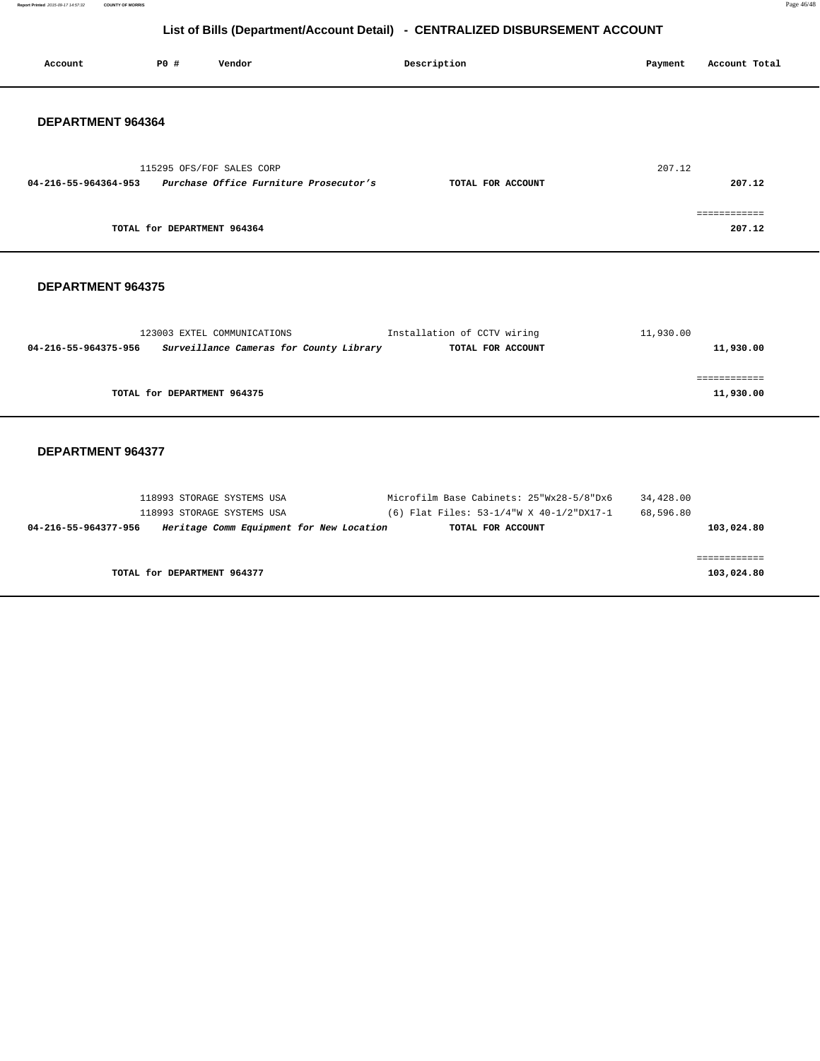**Report Printed** 2015-09-17 14:57:32 **COUNTY OF MORRIS** Page 46/48

# **List of Bills (Department/Account Detail) - CENTRALIZED DISBURSEMENT ACCOUNT**

| Account                  | PO#                         | Vendor                                                                 | Description                                      | Account Total<br>Payment  |
|--------------------------|-----------------------------|------------------------------------------------------------------------|--------------------------------------------------|---------------------------|
| DEPARTMENT 964364        |                             |                                                                        |                                                  |                           |
| 04-216-55-964364-953     |                             | 115295 OFS/FOF SALES CORP<br>Purchase Office Furniture Prosecutor's    | TOTAL FOR ACCOUNT                                | 207.12<br>207.12          |
|                          | TOTAL for DEPARTMENT 964364 |                                                                        |                                                  | ============<br>207.12    |
| <b>DEPARTMENT 964375</b> |                             |                                                                        |                                                  |                           |
| 04-216-55-964375-956     |                             | 123003 EXTEL COMMUNICATIONS<br>Surveillance Cameras for County Library | Installation of CCTV wiring<br>TOTAL FOR ACCOUNT | 11,930.00<br>11,930.00    |
|                          | TOTAL for DEPARTMENT 964375 |                                                                        |                                                  | ============<br>11,930.00 |
| <b>DEPARTMENT 964377</b> |                             |                                                                        |                                                  |                           |

|            | 34,428.00 | Microfilm Base Cabinets: 25"Wx28-5/8"Dx6 |                                          | 118993 STORAGE SYSTEMS USA  |                      |
|------------|-----------|------------------------------------------|------------------------------------------|-----------------------------|----------------------|
|            | 68,596.80 | (6) Flat Files: 53-1/4"W X 40-1/2"DX17-1 |                                          | 118993 STORAGE SYSTEMS USA  |                      |
| 103,024.80 |           | TOTAL FOR ACCOUNT                        | Heritage Comm Equipment for New Location |                             | 04-216-55-964377-956 |
|            |           |                                          |                                          |                             |                      |
|            |           |                                          |                                          |                             |                      |
| 103,024.80 |           |                                          |                                          | TOTAL for DEPARTMENT 964377 |                      |
|            |           |                                          |                                          |                             |                      |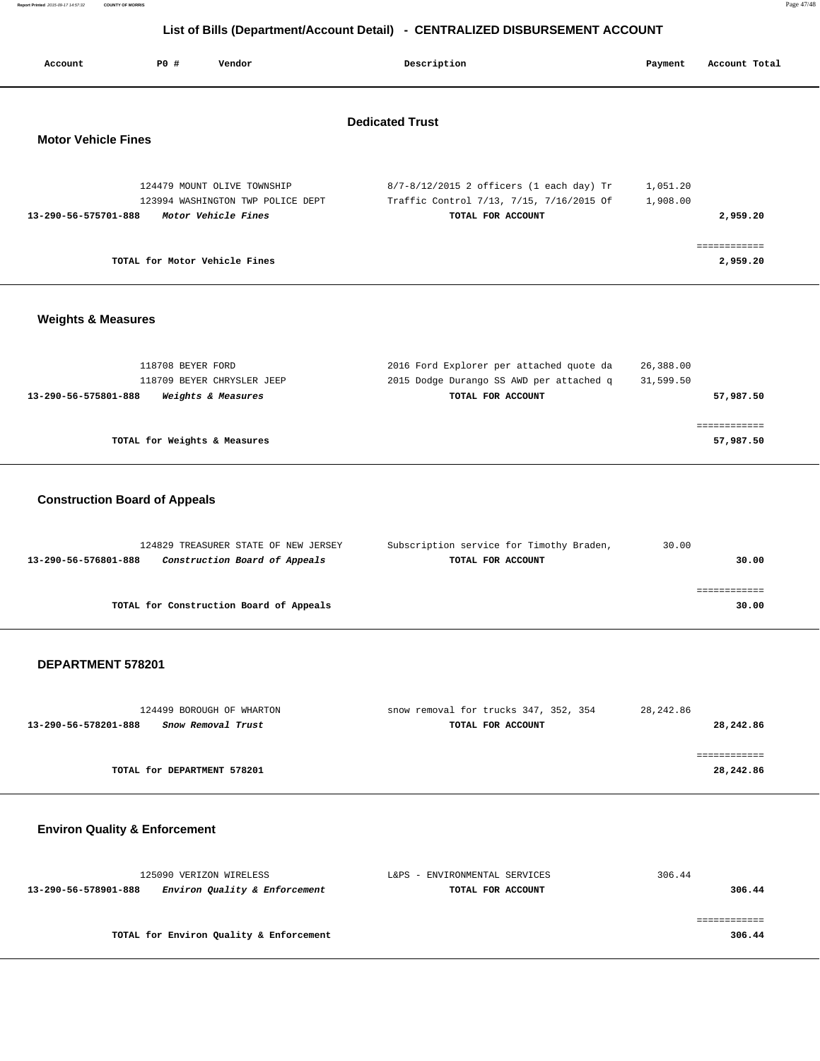| Report Printed 2015-09-17 14:57:32 | <b>COUNTY OF MORRIS</b> | Page 47/48 |
|------------------------------------|-------------------------|------------|
|                                    |                         |            |

| Account                       | PO#               | Vendor                                                           | Description                                                                          | Payment              | Account Total |
|-------------------------------|-------------------|------------------------------------------------------------------|--------------------------------------------------------------------------------------|----------------------|---------------|
|                               |                   |                                                                  |                                                                                      |                      |               |
|                               |                   |                                                                  | <b>Dedicated Trust</b>                                                               |                      |               |
| <b>Motor Vehicle Fines</b>    |                   |                                                                  |                                                                                      |                      |               |
|                               |                   |                                                                  |                                                                                      |                      |               |
|                               |                   | 124479 MOUNT OLIVE TOWNSHIP<br>123994 WASHINGTON TWP POLICE DEPT | 8/7-8/12/2015 2 officers (1 each day) Tr<br>Traffic Control 7/13, 7/15, 7/16/2015 Of | 1,051.20<br>1,908.00 |               |
| 13-290-56-575701-888          |                   | Motor Vehicle Fines                                              | TOTAL FOR ACCOUNT                                                                    |                      | 2,959.20      |
|                               |                   |                                                                  |                                                                                      |                      | ============  |
|                               |                   | TOTAL for Motor Vehicle Fines                                    |                                                                                      |                      | 2,959.20      |
|                               |                   |                                                                  |                                                                                      |                      |               |
| <b>Weights &amp; Measures</b> |                   |                                                                  |                                                                                      |                      |               |
|                               |                   |                                                                  |                                                                                      |                      |               |
|                               | 118708 BEYER FORD |                                                                  | 2016 Ford Explorer per attached quote da                                             | 26,388.00            |               |
|                               |                   | 118709 BEYER CHRYSLER JEEP                                       | 2015 Dodge Durango SS AWD per attached q                                             | 31,599.50            |               |
| 13-290-56-575801-888          |                   | Weights & Measures                                               | TOTAL FOR ACCOUNT                                                                    |                      | 57,987.50     |
|                               |                   |                                                                  |                                                                                      |                      | ============  |
|                               |                   | TOTAL for Weights & Measures                                     |                                                                                      |                      | 57,987.50     |
|                               |                   |                                                                  |                                                                                      |                      |               |

### **Construction Board of Appeals**

|                      | 124829 TREASURER STATE OF NEW JERSEY    | Subscription service for Timothy Braden, | 30.00 |       |
|----------------------|-----------------------------------------|------------------------------------------|-------|-------|
| 13-290-56-576801-888 | Construction Board of Appeals           | TOTAL FOR ACCOUNT                        |       | 30.00 |
|                      |                                         |                                          |       |       |
|                      |                                         |                                          |       |       |
|                      | TOTAL for Construction Board of Appeals |                                          |       | 30.00 |
|                      |                                         |                                          |       |       |

#### **DEPARTMENT 578201**

| 124499 BOROUGH OF WHARTON                  | snow removal for trucks 347, 352, 354 | 28,242.86 |
|--------------------------------------------|---------------------------------------|-----------|
| 13-290-56-578201-888<br>Snow Removal Trust | TOTAL FOR ACCOUNT                     | 28,242.86 |
|                                            |                                       |           |
|                                            |                                       |           |
| TOTAL for DEPARTMENT 578201                |                                       | 28,242.86 |

### **Environ Quality & Enforcement**

| 125090 VERIZON WIRELESS                               | L&PS - ENVIRONMENTAL SERVICES | 306.44 |
|-------------------------------------------------------|-------------------------------|--------|
| Environ Quality & Enforcement<br>13-290-56-578901-888 | TOTAL FOR ACCOUNT             | 306.44 |
|                                                       |                               |        |
|                                                       |                               |        |
| TOTAL for Environ Quality & Enforcement               |                               | 306.44 |